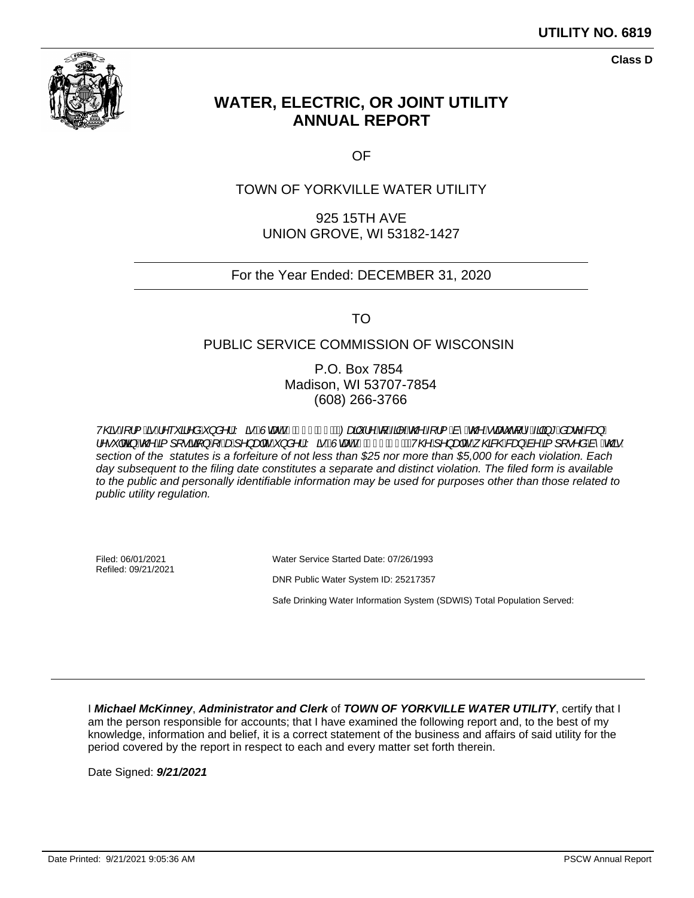

**Class D**

# **WATER, ELECTRIC, OR JOINT UTILITY ANNUAL REPORT**

OF

### TOWN OF YORKVILLE WATER UTILITY

925 15TH AVE UNION GROVE, WI 53182-1427

#### For the Year Ended: DECEMBER 31, 2020

TO

#### PUBLIC SERVICE COMMISSION OF WISCONSIN

P.O. Box 7854 Madison, WI 53707-7854 (608) 266-3766

V@Al¦&A^~\*a^åA}å^¦AY&<u>H</u>WaddakJÎE`DOadiy¦^AfAA^&QA[¦&^&@A`cae`q¦^Aqq}\*&ae^&agA IA•~JoGHA@AEJ[•ãEF}AFAGAJ^}aqc^A^}à^|AY^&PEÙcaedzhAFJÎEÏDAV@Aj^}aqc^A{@B&@bagAb^AEJ[•^àAb^A@G} section of the statutes is a forfeiture of not less than \$25 nor more than \$5,000 for each violation. Each day subsequent to the filing date constitutes a separate and distinct violation. The filed form is available to the public and personally identifiable information may be used for purposes other than those related to public utility regulation.

Filed: 06/01/2021 Refiled: 09/21/2021 Water Service Started Date: 07/26/1993 DNR Public Water System ID: 25217357 Safe Drinking Water Information System (SDWIS) Total Population Served:

I **Michael McKinney**, **Administrator and Clerk** of **TOWN OF YORKVILLE WATER UTILITY**, certify that I am the person responsible for accounts; that I have examined the following report and, to the best of my knowledge, information and belief, it is a correct statement of the business and affairs of said utility for the period covered by the report in respect to each and every matter set forth therein.

Date Signed: **9/21/2021**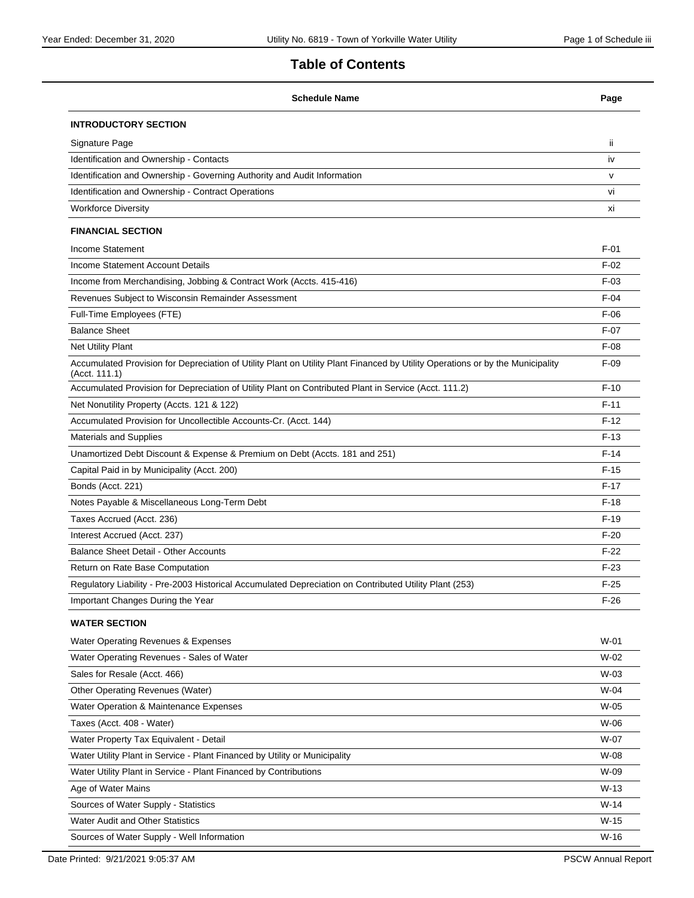### **Table of Contents**

| <b>Schedule Name</b>                                                                                                                            | Page   |
|-------------------------------------------------------------------------------------------------------------------------------------------------|--------|
| <b>INTRODUCTORY SECTION</b>                                                                                                                     |        |
| Signature Page                                                                                                                                  | ii.    |
| Identification and Ownership - Contacts                                                                                                         | iv     |
| Identification and Ownership - Governing Authority and Audit Information                                                                        | v      |
| Identification and Ownership - Contract Operations                                                                                              | vi     |
| <b>Workforce Diversity</b>                                                                                                                      | xi     |
| <b>FINANCIAL SECTION</b>                                                                                                                        |        |
| <b>Income Statement</b>                                                                                                                         | $F-01$ |
| Income Statement Account Details                                                                                                                | $F-02$ |
| Income from Merchandising, Jobbing & Contract Work (Accts. 415-416)                                                                             | $F-03$ |
| Revenues Subject to Wisconsin Remainder Assessment                                                                                              | $F-04$ |
| Full-Time Employees (FTE)                                                                                                                       | $F-06$ |
| <b>Balance Sheet</b>                                                                                                                            | $F-07$ |
| Net Utility Plant                                                                                                                               | $F-08$ |
| Accumulated Provision for Depreciation of Utility Plant on Utility Plant Financed by Utility Operations or by the Municipality<br>(Acct. 111.1) | $F-09$ |
| Accumulated Provision for Depreciation of Utility Plant on Contributed Plant in Service (Acct. 111.2)                                           | $F-10$ |
| Net Nonutility Property (Accts. 121 & 122)                                                                                                      | $F-11$ |
| Accumulated Provision for Uncollectible Accounts-Cr. (Acct. 144)                                                                                | $F-12$ |
| <b>Materials and Supplies</b>                                                                                                                   | $F-13$ |
| Unamortized Debt Discount & Expense & Premium on Debt (Accts. 181 and 251)                                                                      | $F-14$ |
| Capital Paid in by Municipality (Acct. 200)                                                                                                     | $F-15$ |
| Bonds (Acct. 221)                                                                                                                               | $F-17$ |
| Notes Payable & Miscellaneous Long-Term Debt                                                                                                    | $F-18$ |
| Taxes Accrued (Acct. 236)                                                                                                                       | $F-19$ |
| Interest Accrued (Acct. 237)                                                                                                                    | $F-20$ |
| Balance Sheet Detail - Other Accounts                                                                                                           | $F-22$ |
| Return on Rate Base Computation                                                                                                                 | $F-23$ |
| Regulatory Liability - Pre-2003 Historical Accumulated Depreciation on Contributed Utility Plant (253)                                          | $F-25$ |
| Important Changes During the Year                                                                                                               | $F-26$ |
| <b>WATER SECTION</b>                                                                                                                            |        |
| Water Operating Revenues & Expenses                                                                                                             | W-01   |
| Water Operating Revenues - Sales of Water                                                                                                       | W-02   |
| Sales for Resale (Acct. 466)                                                                                                                    | $W-03$ |
| Other Operating Revenues (Water)                                                                                                                | W-04   |
| Water Operation & Maintenance Expenses                                                                                                          | W-05   |
| Taxes (Acct. 408 - Water)                                                                                                                       | W-06   |
| Water Property Tax Equivalent - Detail                                                                                                          | W-07   |
| Water Utility Plant in Service - Plant Financed by Utility or Municipality                                                                      | W-08   |
| Water Utility Plant in Service - Plant Financed by Contributions                                                                                | W-09   |
| Age of Water Mains                                                                                                                              | $W-13$ |
| Sources of Water Supply - Statistics                                                                                                            | $W-14$ |
| <b>Water Audit and Other Statistics</b>                                                                                                         | $W-15$ |
| Sources of Water Supply - Well Information                                                                                                      | $W-16$ |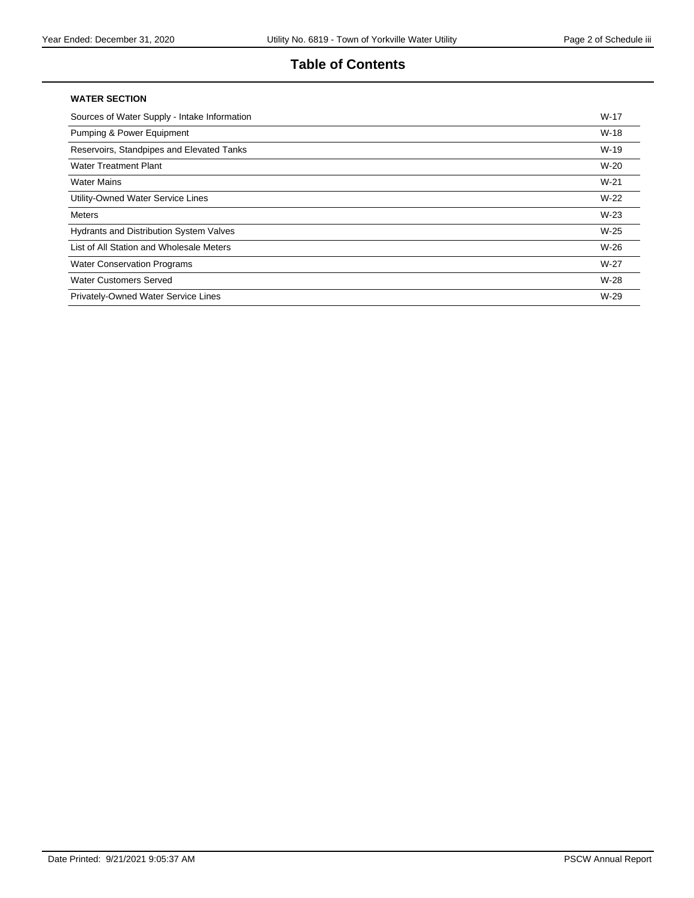### **Table of Contents**

#### **WATER SECTION**

| Sources of Water Supply - Intake Information   | $W-17$ |
|------------------------------------------------|--------|
| <b>Pumping &amp; Power Equipment</b>           | $W-18$ |
| Reservoirs, Standpipes and Elevated Tanks      | $W-19$ |
| <b>Water Treatment Plant</b>                   | $W-20$ |
| <b>Water Mains</b>                             | $W-21$ |
| Utility-Owned Water Service Lines              | $W-22$ |
| <b>Meters</b>                                  | $W-23$ |
| <b>Hydrants and Distribution System Valves</b> | $W-25$ |
| List of All Station and Wholesale Meters       | $W-26$ |
| <b>Water Conservation Programs</b>             | $W-27$ |
| <b>Water Customers Served</b>                  | $W-28$ |
| Privately-Owned Water Service Lines            | $W-29$ |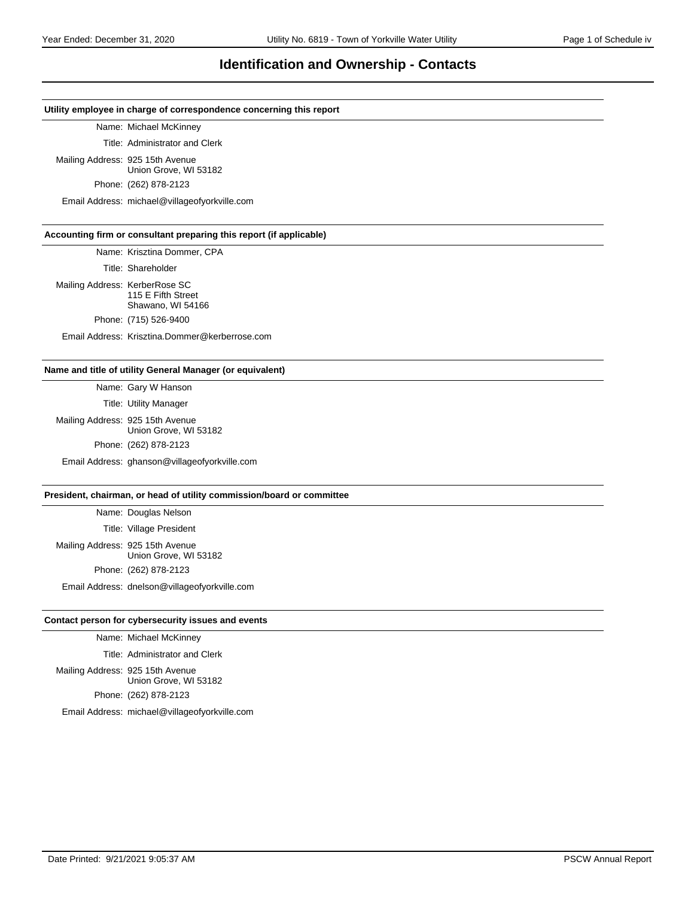#### **Identification and Ownership - Contacts**

#### **Utility employee in charge of correspondence concerning this report**

#### Name: Michael McKinney

Title: Administrator and Clerk

Mailing Address: 925 15th Avenue Union Grove, WI 53182

Phone: (262) 878-2123

Email Address: michael@villageofyorkville.com

#### **Accounting firm or consultant preparing this report (if applicable)**

Name: Krisztina Dommer, CPA

Title: Shareholder

Mailing Address: KerberRose SC 115 E Fifth Street Shawano, WI 54166

Phone: (715) 526-9400

Email Address: Krisztina.Dommer@kerberrose.com

#### **Name and title of utility General Manager (or equivalent)**

Name: Gary W Hanson

Title: Utility Manager

Mailing Address: 925 15th Avenue Union Grove, WI 53182 Phone: (262) 878-2123 Email Address: ghanson@villageofyorkville.com

#### **President, chairman, or head of utility commission/board or committee**

Name: Douglas Nelson Title: Village President Mailing Address: 925 15th Avenue Union Grove, WI 53182 Phone: (262) 878-2123

Email Address: dnelson@villageofyorkville.com

#### **Contact person for cybersecurity issues and events**

Name: Michael McKinney

Title: Administrator and Clerk

Mailing Address: 925 15th Avenue Union Grove, WI 53182 Phone: (262) 878-2123

Email Address: michael@villageofyorkville.com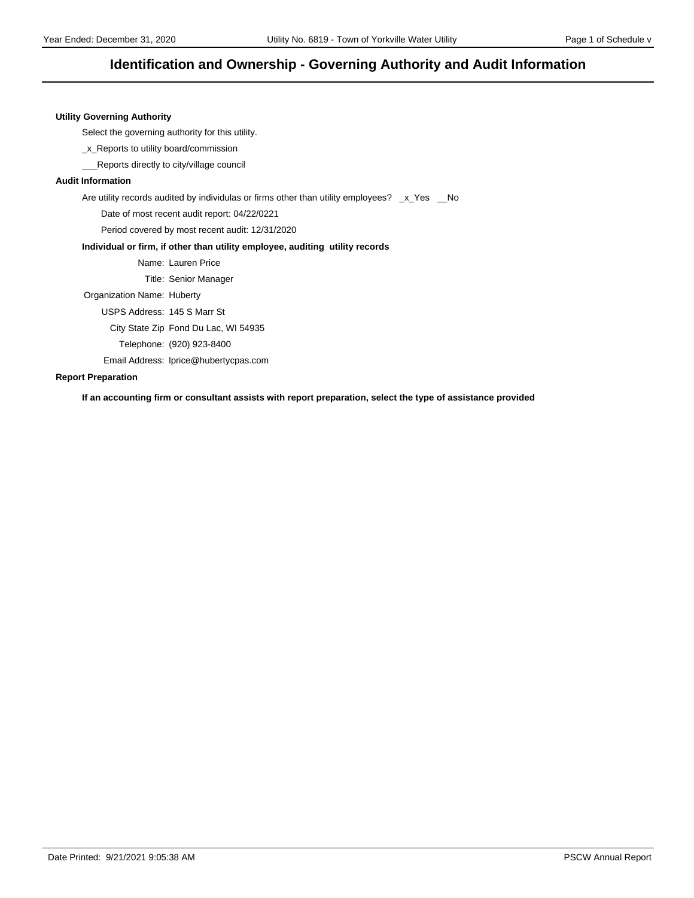#### **Identification and Ownership - Governing Authority and Audit Information**

#### **Utility Governing Authority**

Select the governing authority for this utility.

\_x\_Reports to utility board/commission

\_\_\_Reports directly to city/village council

#### **Audit Information**

Are utility records audited by individulas or firms other than utility employees? \_x\_Yes \_No

Date of most recent audit report: 04/22/0221

Period covered by most recent audit: 12/31/2020

#### **Individual or firm, if other than utility employee, auditing utility records**

Name: Lauren Price

Title: Senior Manager

Organization Name: Huberty

USPS Address: 145 S Marr St

City State Zip Fond Du Lac, WI 54935

Telephone: (920) 923-8400

Email Address: lprice@hubertycpas.com

#### **Report Preparation**

**If an accounting firm or consultant assists with report preparation, select the type of assistance provided**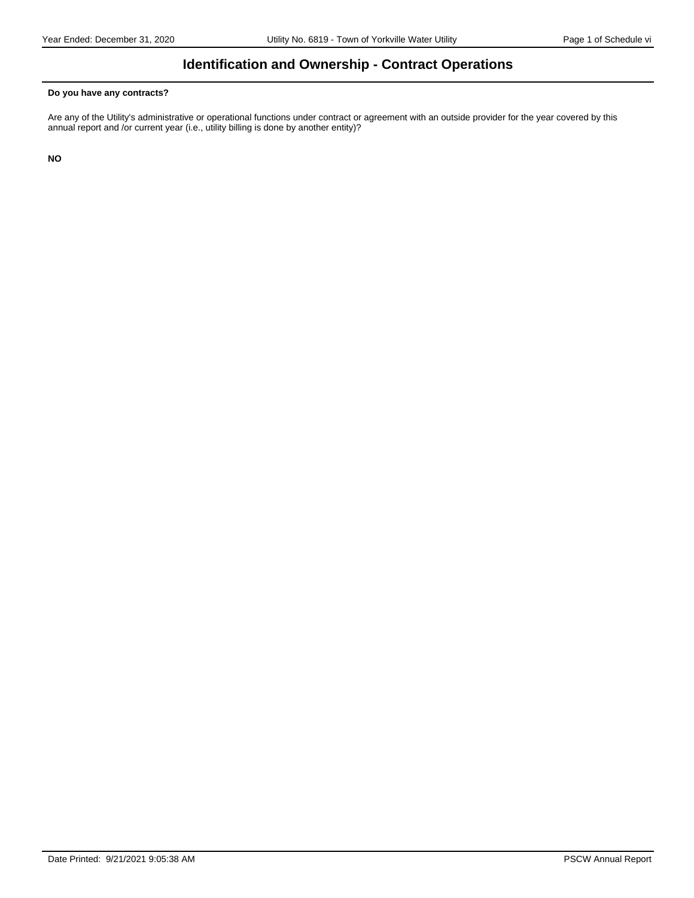### **Identification and Ownership - Contract Operations**

#### **Do you have any contracts?**

Are any of the Utility's administrative or operational functions under contract or agreement with an outside provider for the year covered by this annual report and /or current year (i.e., utility billing is done by another entity)?

**NO**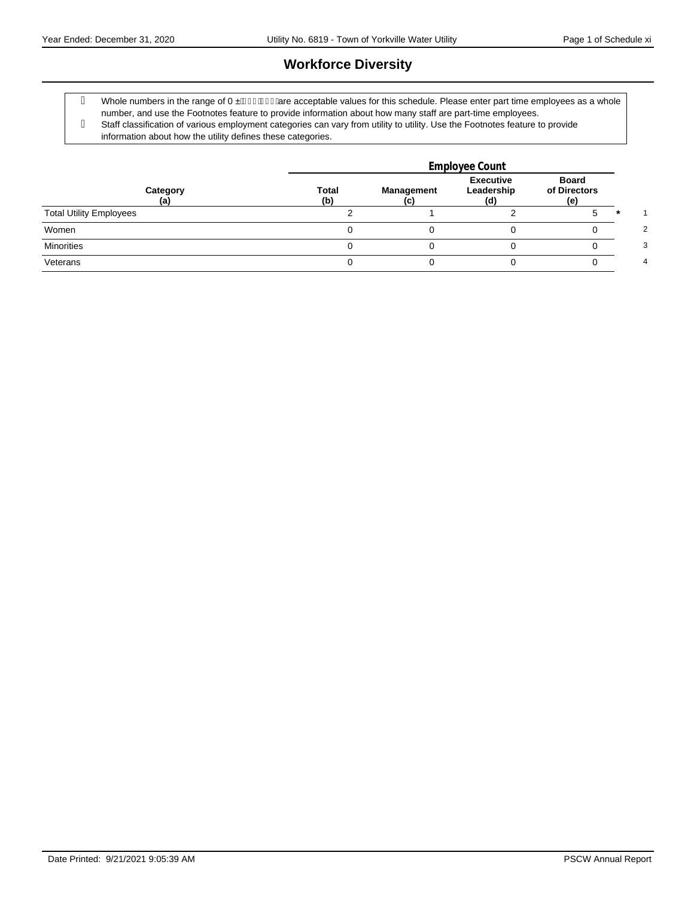# **Workforce Diversity**

g Whole numbers in the range of 0.  $\acute{a}$ JJ $\acute{a}$ JJ $\acute{a}$ are acceptable values for this schedule. Please enter part time employees as a whole number, and use the Footnotes feature to provide information about how many staff are part-time employees. Staff classification of various employment categories can vary from utility to utility. Use the Footnotes feature to provide information about how the utility defines these categories.

|                                | Employee Count      |                   |                                      |                              |  |  |
|--------------------------------|---------------------|-------------------|--------------------------------------|------------------------------|--|--|
| Category<br>(a)                | <b>Total</b><br>(b) | <b>Management</b> | <b>Executive</b><br>Leadership<br>(ď | Board<br>of Directors<br>(e) |  |  |
| <b>Total Utility Employees</b> |                     |                   |                                      |                              |  |  |
| Women                          |                     |                   |                                      |                              |  |  |
| <b>Minorities</b>              |                     |                   |                                      |                              |  |  |
| Veterans                       |                     |                   |                                      |                              |  |  |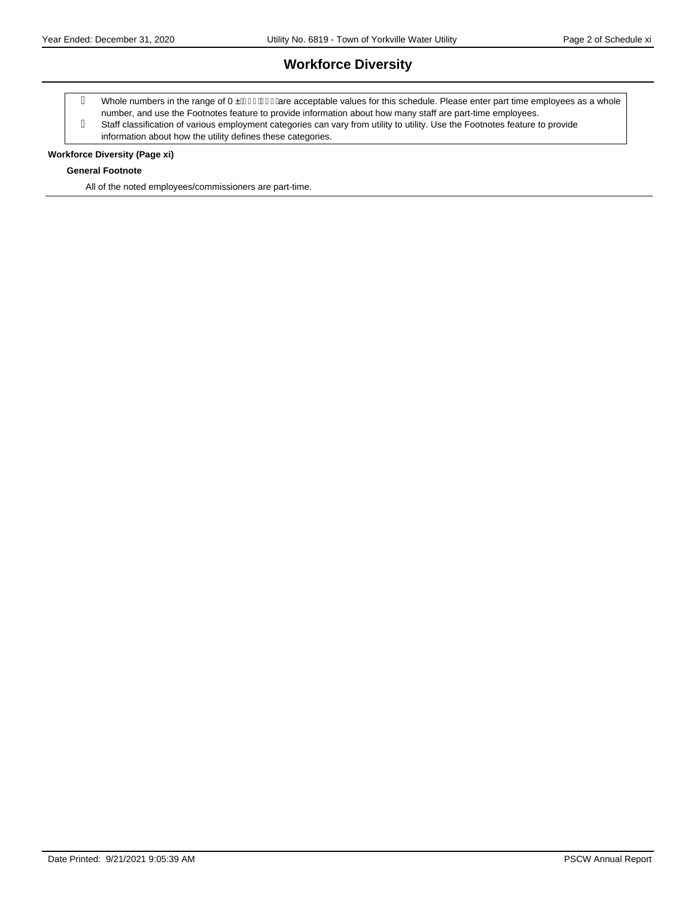# **Workforce Diversity**

- g Whole numbers in the range of 0.  $\acute{a}$ JJ $\acute{a}$ JJ $\acute{a}$ are acceptable values for this schedule. Please enter part time employees as a whole
- number, and use the Footnotes feature to provide information about how many staff are part-time employees.
- Staff classification of various employment categories can vary from utility to utility. Use the Footnotes feature to provide information about how the utility defines these categories.

#### **Workforce Diversity (Page xi)**

#### **General Footnote**

All of the noted employees/commissioners are part-time.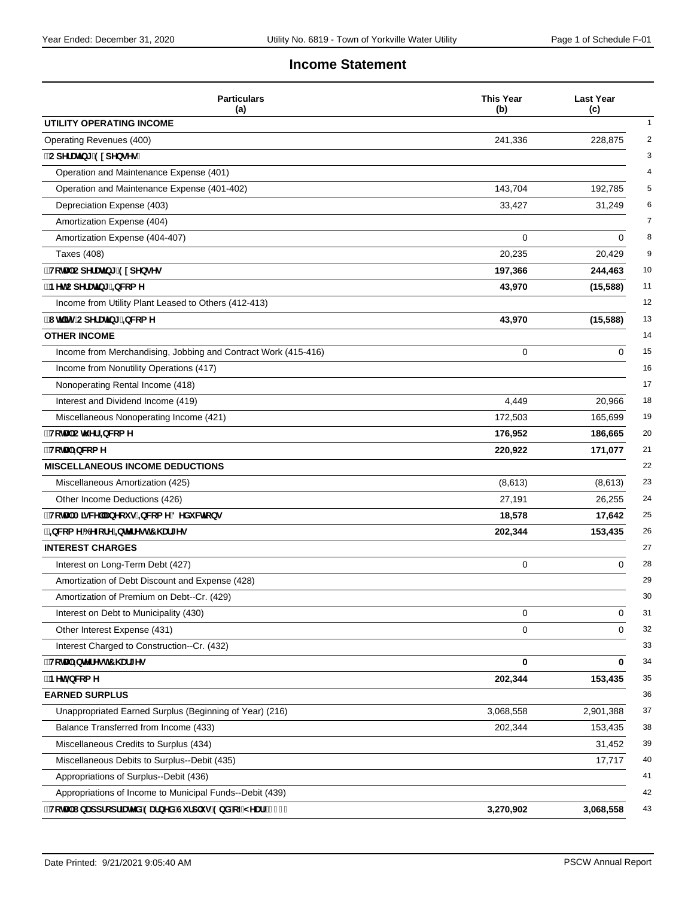#### **Income Statement**

| <b>Particulars</b><br>(a)                                      | <b>This Year</b><br>(b) | <b>Last Year</b><br>(c) |
|----------------------------------------------------------------|-------------------------|-------------------------|
| UTILITY OPERATING INCOME                                       |                         |                         |
| Operating Revenues (400)                                       | 241,336                 | 228,875                 |
| ¨CdYfUŊb[ ˙9l dYbgYg.                                          |                         |                         |
| Operation and Maintenance Expense (401)                        |                         |                         |
| Operation and Maintenance Expense (401-402)                    | 143,704                 | 192,785                 |
| Depreciation Expense (403)                                     | 33,427                  | 31,249                  |
| Amortization Expense (404)                                     |                         |                         |
| Amortization Expense (404-407)                                 | 0                       | 0                       |
| Taxes (408)                                                    | 20,235                  | 20,429                  |
| "HcHJ'CdYfUHb[ 91 dYbgYg                                       | 197,366                 | 244,463                 |
| "BYhCdYfUr]b[ '±wca Y                                          | 43,970                  | (15, 588)               |
| Income from Utility Plant Leased to Others (412-413)           |                         |                         |
| "I hj]hmCdYfUr]b[ ≒bWca Y                                      | 43,970                  | (15, 588)               |
| <b>OTHER INCOME</b>                                            |                         |                         |
| Income from Merchandising, Jobbing and Contract Work (415-416) | 0                       | $\mathbf 0$             |
| Income from Nonutility Operations (417)                        |                         |                         |
| Nonoperating Rental Income (418)                               |                         |                         |
| Interest and Dividend Income (419)                             | 4,449                   | 20,966                  |
| Miscellaneous Nonoperating Income (421)                        | 172,503                 | 165,699                 |
| <b>HcHJ`Ch\Yf`±bWcaY</b>                                       | 176,952                 | 186,665                 |
| <b>HcHJ</b> `=bWcaY                                            | 220,922                 | 171,077                 |
| <b>MISCELLANEOUS INCOME DEDUCTIONS</b>                         |                         |                         |
| Miscellaneous Amortization (425)                               | (8,613)                 | (8,613)                 |
| Other Income Deductions (426)                                  | 27,191                  | 26,255                  |
| ∵HchU`A]gWY`UbYcigʻ=bWcaY8YXiWh]cbg                            | 18,578                  | 17,642                  |
| `±bWcaY6YZcfY`±bhYfYgh7\Uf[Yg                                  | 202,344                 | 153,435                 |
| <b>INTEREST CHARGES</b>                                        |                         |                         |
| Interest on Long-Term Debt (427)                               | 0                       | 0                       |
| Amortization of Debt Discount and Expense (428)                |                         |                         |
| Amortization of Premium on Debt--Cr. (429)                     |                         |                         |
| Interest on Debt to Municipality (430)                         | 0                       | $\mathbf 0$             |
| Other Interest Expense (431)                                   | 0                       | 0                       |
| Interest Charged to Construction--Cr. (432)                    |                         |                         |
| "HcHJ"=bhYfYgh7\Uf[Yg                                          | 0                       | 0                       |
| 'BYhi±bW:a Y                                                   | 202,344                 | 153,435                 |
| <b>EARNED SURPLUS</b>                                          |                         |                         |
| Unappropriated Earned Surplus (Beginning of Year) (216)        | 3,068,558               | 2,901,388               |
| Balance Transferred from Income (433)                          | 202,344                 | 153,435                 |
| Miscellaneous Credits to Surplus (434)                         |                         | 31,452                  |
| Miscellaneous Debits to Surplus--Debit (435)                   |                         | 17,717                  |
| Appropriations of Surplus--Debit (436)                         |                         |                         |
| Appropriations of Income to Municipal Funds--Debit (439)       |                         |                         |
| "HchU'lbUddfcdf]UhYX'9UfbYX'Gifd`ig'9bX'cZMYUf'f&%'Ł           | 3,270,902               | 3,068,558               |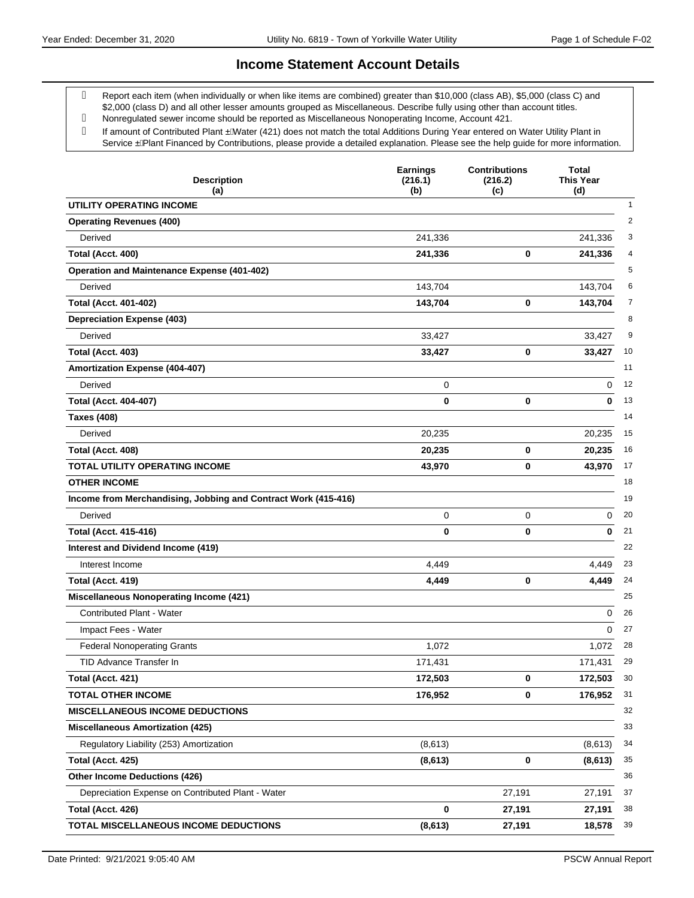#### **Income Statement Account Details**

 Report each item (when individually or when like items are combined) greater than \$10,000 (class AB), \$5,000 (class C) and \$2,000 (class D) and all other lesser amounts grouped as Miscellaneous. Describe fully using other than account titles.

- Nonregulated sewer income should be reported as Miscellaneous Nonoperating Income, Account 421.
- g If amount of Contributed Plant . AVater (421) does not match the total Additions During Year entered on Water Utility Plant in Service . A Plant Financed by Contributions, please provide a detailed explanation. Please see the help guide for more information.

| <b>Description</b><br>(a)                                      | <b>Earnings</b><br>(216.1)<br>(b) | <b>Contributions</b><br>(216.2)<br>(c) | Total<br><b>This Year</b><br>(d) |
|----------------------------------------------------------------|-----------------------------------|----------------------------------------|----------------------------------|
| <b>UTILITY OPERATING INCOME</b>                                |                                   |                                        | $\mathbf{1}$                     |
| <b>Operating Revenues (400)</b>                                |                                   |                                        | $\overline{2}$                   |
| Derived                                                        | 241,336                           |                                        | 3<br>241,336                     |
| Total (Acct. 400)                                              | 241,336                           | 0                                      | 241,336<br>4                     |
| <b>Operation and Maintenance Expense (401-402)</b>             |                                   |                                        | 5                                |
| Derived                                                        | 143,704                           |                                        | 143,704<br>6                     |
| <b>Total (Acct. 401-402)</b>                                   | 143,704                           | 0                                      | 7<br>143,704                     |
| <b>Depreciation Expense (403)</b>                              |                                   |                                        | 8                                |
| Derived                                                        | 33,427                            |                                        | 9<br>33,427                      |
| Total (Acct. 403)                                              | 33,427                            | 0                                      | 10<br>33,427                     |
| <b>Amortization Expense (404-407)</b>                          |                                   |                                        | 11                               |
| Derived                                                        | 0                                 |                                        | 12<br>0                          |
| <b>Total (Acct. 404-407)</b>                                   | 0                                 | 0                                      | 13<br>0                          |
| <b>Taxes (408)</b>                                             |                                   |                                        | 14                               |
| Derived                                                        | 20,235                            |                                        | 15<br>20,235                     |
| Total (Acct. 408)                                              | 20,235                            | 0                                      | 20,235<br>16                     |
| TOTAL UTILITY OPERATING INCOME                                 | 43,970                            | 0                                      | 43,970<br>17                     |
| <b>OTHER INCOME</b>                                            |                                   |                                        | 18                               |
| Income from Merchandising, Jobbing and Contract Work (415-416) |                                   |                                        | 19                               |
| Derived                                                        | 0                                 | 0                                      | 20<br>0                          |
| <b>Total (Acct. 415-416)</b>                                   | 0                                 | 0                                      | 0<br>21                          |
| Interest and Dividend Income (419)                             |                                   |                                        | 22                               |
| Interest Income                                                | 4,449                             |                                        | 23<br>4,449                      |
| Total (Acct. 419)                                              | 4,449                             | 0                                      | 4,449<br>24                      |
| <b>Miscellaneous Nonoperating Income (421)</b>                 |                                   |                                        | 25                               |
| Contributed Plant - Water                                      |                                   |                                        | 0<br>26                          |
| Impact Fees - Water                                            |                                   |                                        | 27<br>0                          |
| <b>Federal Nonoperating Grants</b>                             | 1,072                             |                                        | 28<br>1,072                      |
| <b>TID Advance Transfer In</b>                                 | 171,431                           |                                        | 171,431<br>29                    |
| Total (Acct. 421)                                              | 172,503                           | 0                                      | 30<br>172,503                    |
| <b>TOTAL OTHER INCOME</b>                                      | 176,952                           | 0                                      | 176,952<br>31                    |
| MISCELLANEOUS INCOME DEDUCTIONS                                |                                   |                                        | 32                               |
| <b>Miscellaneous Amortization (425)</b>                        |                                   |                                        | 33                               |
| Regulatory Liability (253) Amortization                        | (8,613)                           |                                        | (8,613)<br>34                    |
| Total (Acct. 425)                                              | (8, 613)                          | 0                                      | 35<br>(8,613)                    |
| <b>Other Income Deductions (426)</b>                           |                                   |                                        | 36                               |
| Depreciation Expense on Contributed Plant - Water              |                                   | 27,191                                 | 27,191<br>37                     |
| Total (Acct. 426)                                              | 0                                 | 27,191                                 | 38<br>27,191                     |
| TOTAL MISCELLANEOUS INCOME DEDUCTIONS                          | (8, 613)                          | 27,191                                 | 39<br>18,578                     |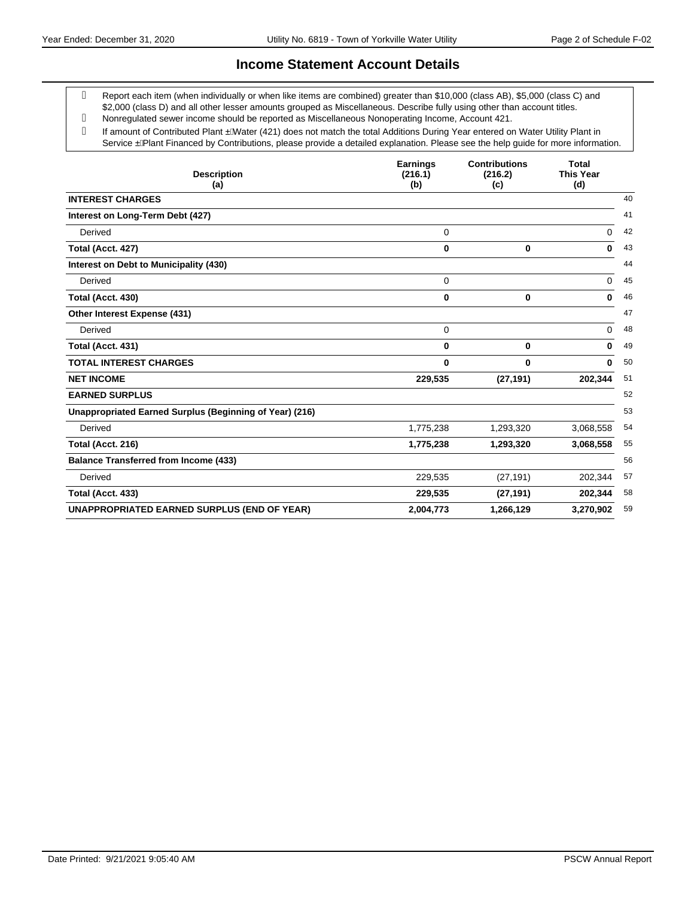#### **Income Statement Account Details**

 Report each item (when individually or when like items are combined) greater than \$10,000 (class AB), \$5,000 (class C) and \$2,000 (class D) and all other lesser amounts grouped as Miscellaneous. Describe fully using other than account titles.

- Nonregulated sewer income should be reported as Miscellaneous Nonoperating Income, Account 421.
- g If amount of Contributed Plant . AVater (421) does not match the total Additions During Year entered on Water Utility Plant in Service . A Plant Financed by Contributions, please provide a detailed explanation. Please see the help guide for more information.

| <b>Description</b><br>(a)                               | <b>Earnings</b><br>(216.1)<br>(b) | <b>Contributions</b><br>(216.2)<br>(c) | <b>Total</b><br><b>This Year</b><br>(d) |
|---------------------------------------------------------|-----------------------------------|----------------------------------------|-----------------------------------------|
| <b>INTEREST CHARGES</b>                                 |                                   |                                        | 40                                      |
| Interest on Long-Term Debt (427)                        |                                   |                                        | 41                                      |
| Derived                                                 | 0                                 |                                        | 0<br>42                                 |
| Total (Acct. 427)                                       | 0                                 | $\bf{0}$                               | 43<br>0                                 |
| Interest on Debt to Municipality (430)                  |                                   |                                        | 44                                      |
| Derived                                                 | $\mathbf 0$                       |                                        | 45<br>0                                 |
| Total (Acct. 430)                                       | 0                                 | $\bf{0}$                               | 46<br>0                                 |
| Other Interest Expense (431)                            |                                   |                                        | 47                                      |
| Derived                                                 | 0                                 |                                        | 48<br>0                                 |
| Total (Acct. 431)                                       | 0                                 | 0                                      | 49<br>0                                 |
| <b>TOTAL INTEREST CHARGES</b>                           | 0                                 | $\bf{0}$                               | 0<br>50                                 |
| <b>NET INCOME</b>                                       | 229,535                           | (27, 191)                              | 202,344<br>51                           |
| <b>EARNED SURPLUS</b>                                   |                                   |                                        | 52                                      |
| Unappropriated Earned Surplus (Beginning of Year) (216) |                                   |                                        | 53                                      |
| Derived                                                 | 1,775,238                         | 1,293,320                              | 3,068,558<br>54                         |
| Total (Acct. 216)                                       | 1,775,238                         | 1,293,320                              | 55<br>3,068,558                         |
| <b>Balance Transferred from Income (433)</b>            |                                   |                                        | 56                                      |
| Derived                                                 | 229,535                           | (27, 191)                              | 57<br>202,344                           |
| Total (Acct. 433)                                       | 229,535                           | (27, 191)                              | 58<br>202,344                           |
| <b>UNAPPROPRIATED EARNED SURPLUS (END OF YEAR)</b>      | 2,004,773                         | 1,266,129                              | 59<br>3,270,902                         |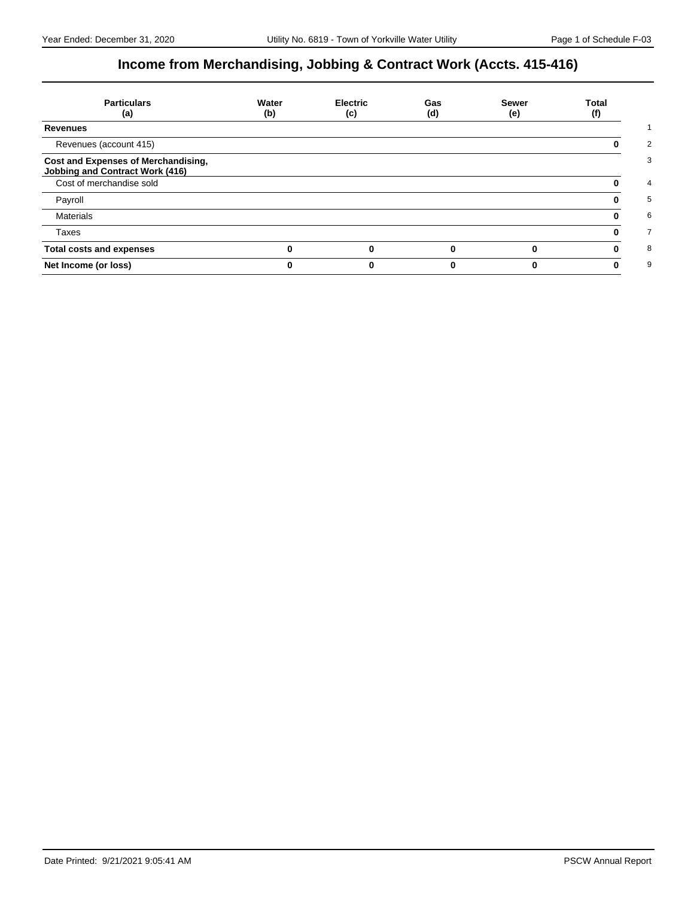# **Income from Merchandising, Jobbing & Contract Work (Accts. 415-416)**

| <b>Particulars</b><br>(a)                                                     | Water<br>(b) | <b>Electric</b><br>(c) | Gas<br>(d) | <b>Sewer</b><br>(e) | Total<br>(f) |
|-------------------------------------------------------------------------------|--------------|------------------------|------------|---------------------|--------------|
| <b>Revenues</b>                                                               |              |                        |            |                     |              |
| Revenues (account 415)                                                        |              |                        |            |                     |              |
| Cost and Expenses of Merchandising,<br><b>Jobbing and Contract Work (416)</b> |              |                        |            |                     |              |
| Cost of merchandise sold                                                      |              |                        |            |                     |              |
| Payroll                                                                       |              |                        |            |                     |              |
| <b>Materials</b>                                                              |              |                        |            |                     |              |
| Taxes                                                                         |              |                        |            |                     |              |
| <b>Total costs and expenses</b>                                               |              |                        |            |                     |              |
| Net Income (or loss)                                                          |              |                        |            |                     |              |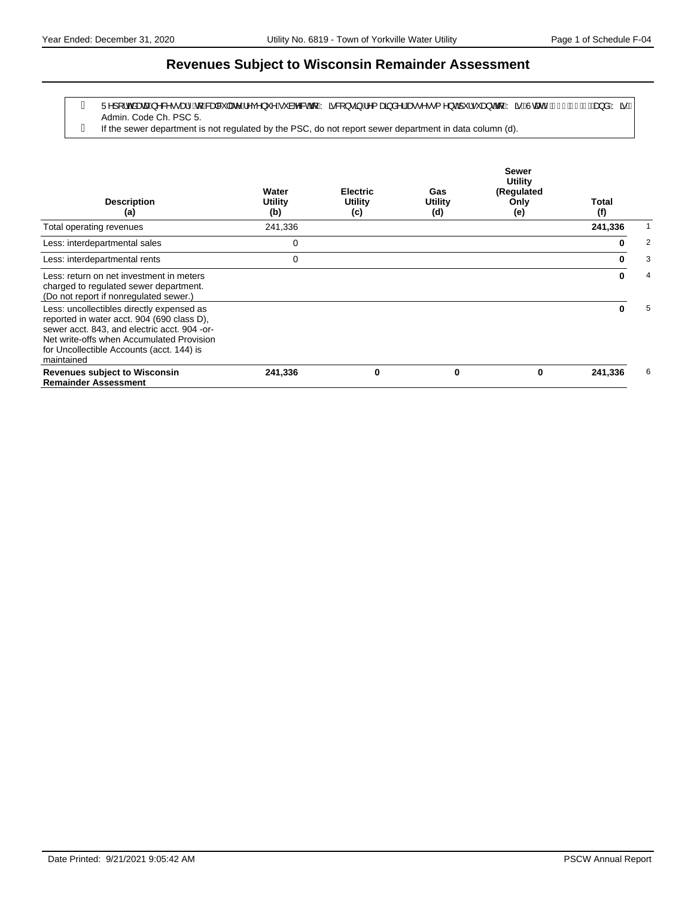#### **Revenues Subject to Wisconsin Remainder Assessment**

- g Ü^][¦o‱äææn∫^&^••æ}^&q{*k*&æa&`|æe^Á^ç^}`^Á`àb^&o&q{Árã&|}•ã}Á^{æã}å^¦&æ•^••{^}o∱`¦•`æ}o&q{ÁrãBÙœænhÁFJÎÈlÍÇQD&æ}åÁrãB Admin. Code Ch. PSC 5.
- If the sewer department is not regulated by the PSC, do not report sewer department in data column (d).

| <b>Description</b><br>(a)                                                                                                                                                                                                                       | Water<br>Utility<br>(b) | <b>Electric</b><br>Utility<br>(c) | Gas<br>Utility<br>(d) | <b>Sewer</b><br><b>Utility</b><br>(Regulated<br>Only<br>(e) | <b>Total</b><br>(f) |   |
|-------------------------------------------------------------------------------------------------------------------------------------------------------------------------------------------------------------------------------------------------|-------------------------|-----------------------------------|-----------------------|-------------------------------------------------------------|---------------------|---|
| Total operating revenues                                                                                                                                                                                                                        | 241,336                 |                                   |                       |                                                             | 241,336             |   |
| Less: interdepartmental sales                                                                                                                                                                                                                   | 0                       |                                   |                       |                                                             | 0                   | 2 |
| Less: interdepartmental rents                                                                                                                                                                                                                   | 0                       |                                   |                       |                                                             | 0                   | 3 |
| Less: return on net investment in meters<br>charged to regulated sewer department.<br>(Do not report if nonregulated sewer.)                                                                                                                    |                         |                                   |                       |                                                             | 0                   | 4 |
| Less: uncollectibles directly expensed as<br>reported in water acct. 904 (690 class D),<br>sewer acct. 843, and electric acct. 904 -or-<br>Net write-offs when Accumulated Provision<br>for Uncollectible Accounts (acct. 144) is<br>maintained |                         |                                   |                       |                                                             | 0                   | 5 |
| <b>Revenues subject to Wisconsin</b><br><b>Remainder Assessment</b>                                                                                                                                                                             | 241,336                 | 0                                 | 0                     | 0                                                           | 241,336             | 6 |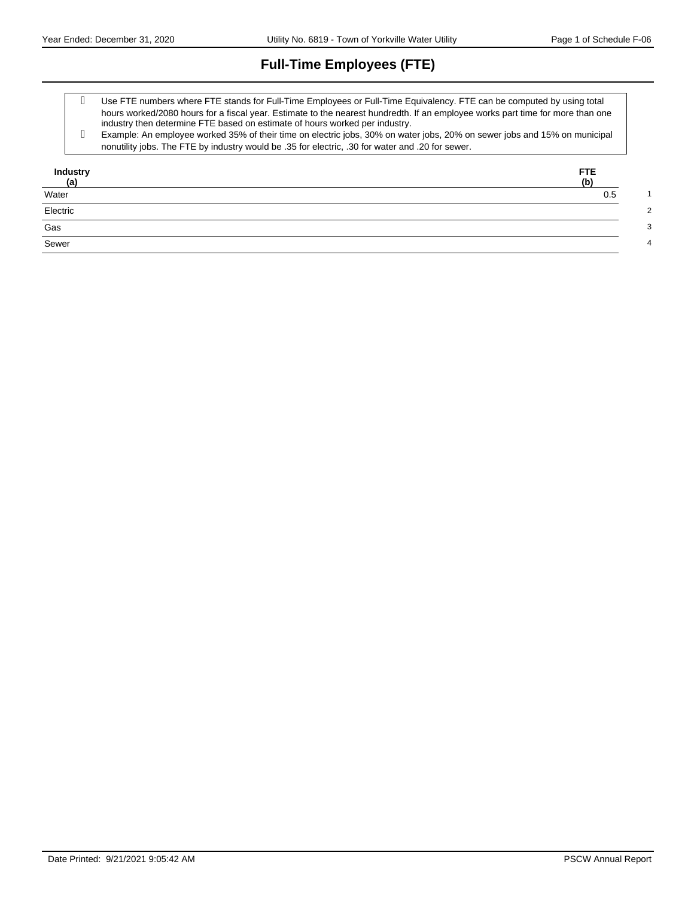# **Full-Time Employees (FTE)**

- Use FTE numbers where FTE stands for Full-Time Employees or Full-Time Equivalency. FTE can be computed by using total hours worked/2080 hours for a fiscal year. Estimate to the nearest hundredth. If an employee works part time for more than one industry then determine FTE based on estimate of hours worked per industry.
- Example: An employee worked 35% of their time on electric jobs, 30% on water jobs, 20% on sewer jobs and 15% on municipal nonutility jobs. The FTE by industry would be .35 for electric, .30 for water and .20 for sewer.

| Industry<br>(a)         | <b>FTE</b><br>(b) |
|-------------------------|-------------------|
| Water                   | 0.5               |
| Electric                |                   |
| $\overline{\text{Gas}}$ |                   |
| Sewer                   |                   |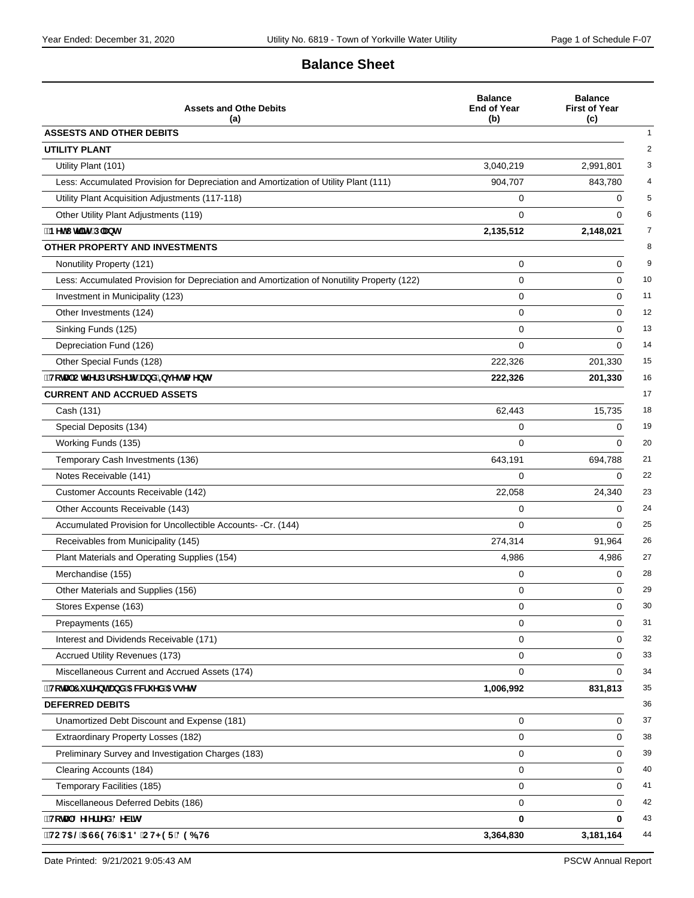### **Balance Sheet**

| <b>Assets and Othe Debits</b><br>(a)                                                       | <b>Balance</b><br><b>End of Year</b><br>(b) | <b>Balance</b><br><b>First of Year</b><br>(c) |
|--------------------------------------------------------------------------------------------|---------------------------------------------|-----------------------------------------------|
| <b>ASSESTS AND OTHER DEBITS</b>                                                            |                                             |                                               |
| <b>UTILITY PLANT</b>                                                                       |                                             |                                               |
| Utility Plant (101)                                                                        | 3,040,219                                   | 2,991,801                                     |
| Less: Accumulated Provision for Depreciation and Amortization of Utility Plant (111)       | 904,707                                     | 843,780                                       |
| Utility Plant Acquisition Adjustments (117-118)                                            | 0                                           | 0                                             |
| Other Utility Plant Adjustments (119)                                                      | $\Omega$                                    | $\Omega$                                      |
| <b>BYhl hijmiD'Ubh</b>                                                                     | 2,135,512                                   | 2,148,021                                     |
| OTHER PROPERTY AND INVESTMENTS                                                             |                                             |                                               |
| Nonutility Property (121)                                                                  | 0                                           | $\mathbf 0$                                   |
| Less: Accumulated Provision for Depreciation and Amortization of Nonutility Property (122) | 0                                           | 0                                             |
| Investment in Municipality (123)                                                           | 0                                           | 0                                             |
| Other Investments (124)                                                                    | 0                                           | $\mathbf 0$                                   |
| Sinking Funds (125)                                                                        | 0                                           | 0                                             |
| Depreciation Fund (126)                                                                    | 0                                           | $\Omega$                                      |
| Other Special Funds (128)                                                                  | 222,326                                     | 201,330                                       |
| "HcHJ'C'N Yf DfcdYfhmUbX'=bj Ygha Ybhg                                                     | 222,326                                     | 201,330                                       |
| <b>CURRENT AND ACCRUED ASSETS</b>                                                          |                                             |                                               |
| Cash (131)                                                                                 | 62,443                                      | 15,735                                        |
| Special Deposits (134)                                                                     | 0                                           | $\mathbf 0$                                   |
| Working Funds (135)                                                                        | 0                                           | $\Omega$                                      |
| Temporary Cash Investments (136)                                                           | 643,191                                     | 694,788                                       |
| Notes Receivable (141)                                                                     | $\Omega$                                    | $\Omega$                                      |
| Customer Accounts Receivable (142)                                                         | 22,058                                      | 24,340                                        |
| Other Accounts Receivable (143)                                                            | 0                                           | $\Omega$                                      |
| Accumulated Provision for Uncollectible Accounts- -Cr. (144)                               | 0                                           | $\Omega$                                      |
| Receivables from Municipality (145)                                                        | 274,314                                     | 91.964                                        |
| Plant Materials and Operating Supplies (154)                                               | 4,986                                       | 4,986                                         |
| Merchandise (155)                                                                          | 0                                           | 0                                             |
| Other Materials and Supplies (156)                                                         | 0                                           | $\Omega$                                      |
| Stores Expense (163)                                                                       | 0                                           | 0                                             |
| Prepayments (165)                                                                          | 0                                           | 0                                             |
| Interest and Dividends Receivable (171)                                                    | 0                                           | $\mathbf 0$                                   |
| Accrued Utility Revenues (173)                                                             | 0                                           | 0                                             |
| Miscellaneous Current and Accrued Assets (174)                                             | 0                                           | $\mathbf 0$                                   |
| "HcHJ'7 i ffYbhUbX'5 WW1i YX'5 ggYhg                                                       | 1,006,992                                   | 831,813                                       |
| <b>DEFERRED DEBITS</b>                                                                     |                                             |                                               |
| Unamortized Debt Discount and Expense (181)                                                | 0                                           | $\mathbf 0$                                   |
| Extraordinary Property Losses (182)                                                        | 0                                           | 0                                             |
| Preliminary Survey and Investigation Charges (183)                                         | 0                                           | $\mathbf 0$                                   |
| Clearing Accounts (184)                                                                    | 0                                           | 0                                             |
| Temporary Facilities (185)                                                                 | 0                                           | 0                                             |
| Miscellaneous Deferred Debits (186)                                                        | 0                                           | $\mathbf 0$                                   |
| "HcHJ'8 YZYffYX'8 YV]hg                                                                    | 0                                           | 0                                             |
| HCH5 @5 GG9 HG 5 B8 CH<9F 896 HG                                                           | 3,364,830                                   | 3,181,164                                     |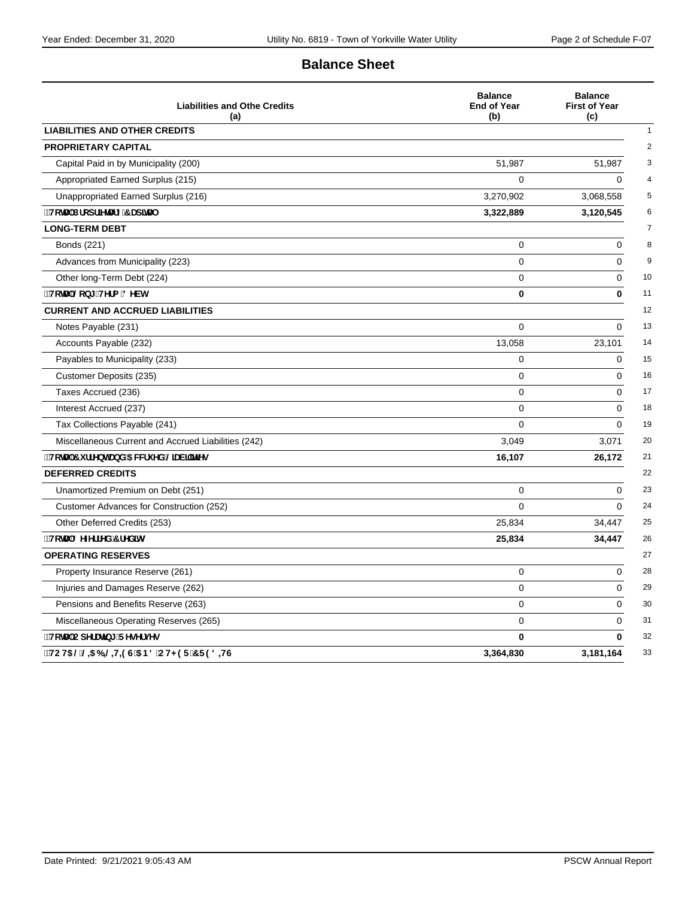### **Balance Sheet**

| <b>Liabilities and Othe Credits</b><br>(a)          | <b>Balance</b><br><b>End of Year</b><br>(b) | <b>Balance</b><br><b>First of Year</b><br>(c) |
|-----------------------------------------------------|---------------------------------------------|-----------------------------------------------|
| <b>LIABILITIES AND OTHER CREDITS</b>                |                                             |                                               |
| <b>PROPRIETARY CAPITAL</b>                          |                                             |                                               |
| Capital Paid in by Municipality (200)               | 51,987                                      | 51,987                                        |
| Appropriated Earned Surplus (215)                   | 0                                           | $\Omega$                                      |
| Unappropriated Earned Surplus (216)                 | 3,270,902                                   | 3,068,558                                     |
| "HcHJ"Dfcdf]YHJfm7 Ud]HJ                            | 3,322,889                                   | 3,120,545                                     |
| <b>LONG-TERM DEBT</b>                               |                                             |                                               |
| Bonds (221)                                         | 0                                           | $\mathbf 0$                                   |
| Advances from Municipality (223)                    | $\Omega$                                    | 0                                             |
| Other long-Term Debt (224)                          | 0                                           | 0                                             |
| ∵HcHJ`@cb[!HYfa `8YVh                               | 0                                           | $\bf{0}$                                      |
| <b>CURRENT AND ACCRUED LIABILITIES</b>              |                                             |                                               |
| Notes Payable (231)                                 | $\Omega$                                    | $\Omega$                                      |
| Accounts Payable (232)                              | 13,058                                      | 23,101                                        |
| Payables to Municipality (233)                      | 0                                           | 0                                             |
| Customer Deposits (235)                             | 0                                           | $\Omega$                                      |
| Taxes Accrued (236)                                 | 0                                           | $\mathbf 0$                                   |
| Interest Accrued (237)                              | $\Omega$                                    | $\Omega$                                      |
| Tax Collections Payable (241)                       | 0                                           | $\mathbf 0$                                   |
| Miscellaneous Current and Accrued Liabilities (242) | 3,049                                       | 3,071                                         |
| "HcHJ'7 i ffYbhUbX'5 VWV i YX @UV]]HYg              | 16,107                                      | 26,172                                        |
| <b>DEFERRED CREDITS</b>                             |                                             |                                               |
| Unamortized Premium on Debt (251)                   | $\mathbf 0$                                 | $\Omega$                                      |
| Customer Advances for Construction (252)            | 0                                           | 0                                             |
| Other Deferred Credits (253)                        | 25,834                                      | 34,447                                        |
| "HcHJ'8 YZYffYX'7 fYX]hg                            | 25,834                                      | 34,447                                        |
| <b>OPERATING RESERVES</b>                           |                                             |                                               |
| Property Insurance Reserve (261)                    | 0                                           | $\Omega$                                      |
| Injuries and Damages Reserve (262)                  | 0                                           | 0                                             |
| Pensions and Benefits Reserve (263)                 | $\mathbf 0$                                 | 0                                             |
| Miscellaneous Operating Reserves (265)              | $\mathbf 0$                                 | $\Omega$                                      |
| "HcHJ'CdYfUH]b['FYgYfjYg                            | 0                                           | 0                                             |
| `НСН5 @@=56=@Н=9G`5B8`СН<9F`7F98=НG                 | 3,364,830                                   | 3,181,164                                     |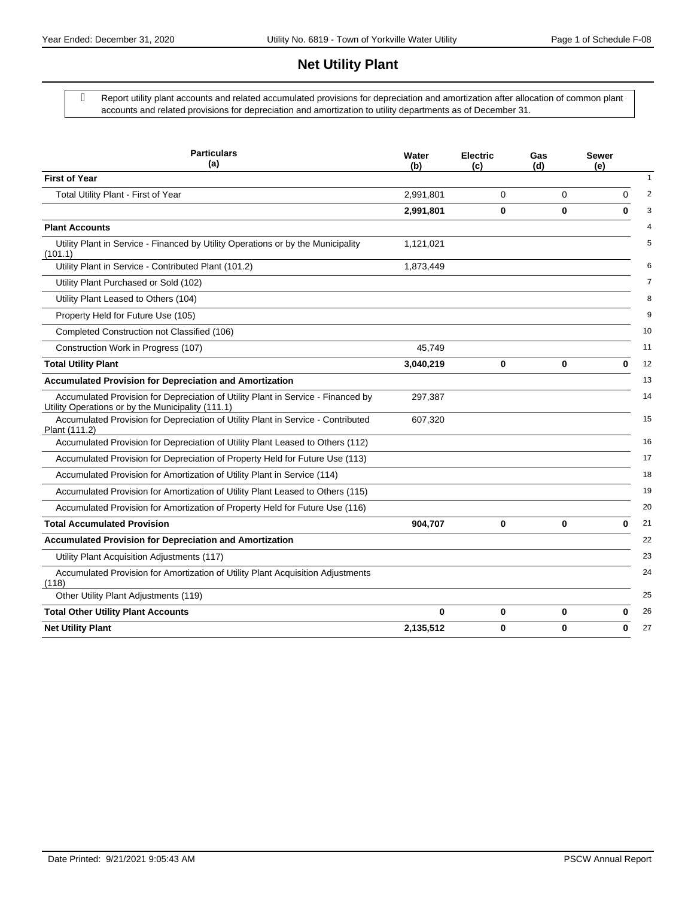### **Net Utility Plant**

 Report utility plant accounts and related accumulated provisions for depreciation and amortization after allocation of common plant accounts and related provisions for depreciation and amortization to utility departments as of December 31.

| <b>Particulars</b><br>(a)                                                                                                             | Water<br>(b) | <b>Electric</b><br>(c) | Gas<br>(d) | <b>Sewer</b><br>(e) |
|---------------------------------------------------------------------------------------------------------------------------------------|--------------|------------------------|------------|---------------------|
| <b>First of Year</b>                                                                                                                  |              |                        |            |                     |
| Total Utility Plant - First of Year                                                                                                   | 2,991,801    | 0                      | 0          | $\Omega$            |
|                                                                                                                                       | 2,991,801    | 0                      | 0          | $\bf{0}$            |
| <b>Plant Accounts</b>                                                                                                                 |              |                        |            |                     |
| Utility Plant in Service - Financed by Utility Operations or by the Municipality<br>(101.1)                                           | 1,121,021    |                        |            |                     |
| Utility Plant in Service - Contributed Plant (101.2)                                                                                  | 1,873,449    |                        |            |                     |
| Utility Plant Purchased or Sold (102)                                                                                                 |              |                        |            |                     |
| Utility Plant Leased to Others (104)                                                                                                  |              |                        |            |                     |
| Property Held for Future Use (105)                                                                                                    |              |                        |            |                     |
| Completed Construction not Classified (106)                                                                                           |              |                        |            |                     |
| Construction Work in Progress (107)                                                                                                   | 45,749       |                        |            |                     |
| <b>Total Utility Plant</b>                                                                                                            | 3,040,219    | 0                      | 0          | 0                   |
| <b>Accumulated Provision for Depreciation and Amortization</b>                                                                        |              |                        |            |                     |
| Accumulated Provision for Depreciation of Utility Plant in Service - Financed by<br>Utility Operations or by the Municipality (111.1) | 297,387      |                        |            |                     |
| Accumulated Provision for Depreciation of Utility Plant in Service - Contributed<br>Plant (111.2)                                     | 607,320      |                        |            |                     |
| Accumulated Provision for Depreciation of Utility Plant Leased to Others (112)                                                        |              |                        |            |                     |
| Accumulated Provision for Depreciation of Property Held for Future Use (113)                                                          |              |                        |            |                     |
| Accumulated Provision for Amortization of Utility Plant in Service (114)                                                              |              |                        |            |                     |
| Accumulated Provision for Amortization of Utility Plant Leased to Others (115)                                                        |              |                        |            |                     |
| Accumulated Provision for Amortization of Property Held for Future Use (116)                                                          |              |                        |            |                     |
| <b>Total Accumulated Provision</b>                                                                                                    | 904,707      | 0                      | 0          | $\bf{0}$            |
| <b>Accumulated Provision for Depreciation and Amortization</b>                                                                        |              |                        |            |                     |
| Utility Plant Acquisition Adjustments (117)                                                                                           |              |                        |            |                     |
| Accumulated Provision for Amortization of Utility Plant Acquisition Adjustments<br>(118)                                              |              |                        |            |                     |
| Other Utility Plant Adjustments (119)                                                                                                 |              |                        |            |                     |
| <b>Total Other Utility Plant Accounts</b>                                                                                             | 0            | 0                      | 0          | 0                   |
| <b>Net Utility Plant</b>                                                                                                              | 2,135,512    | 0                      | 0          | 0                   |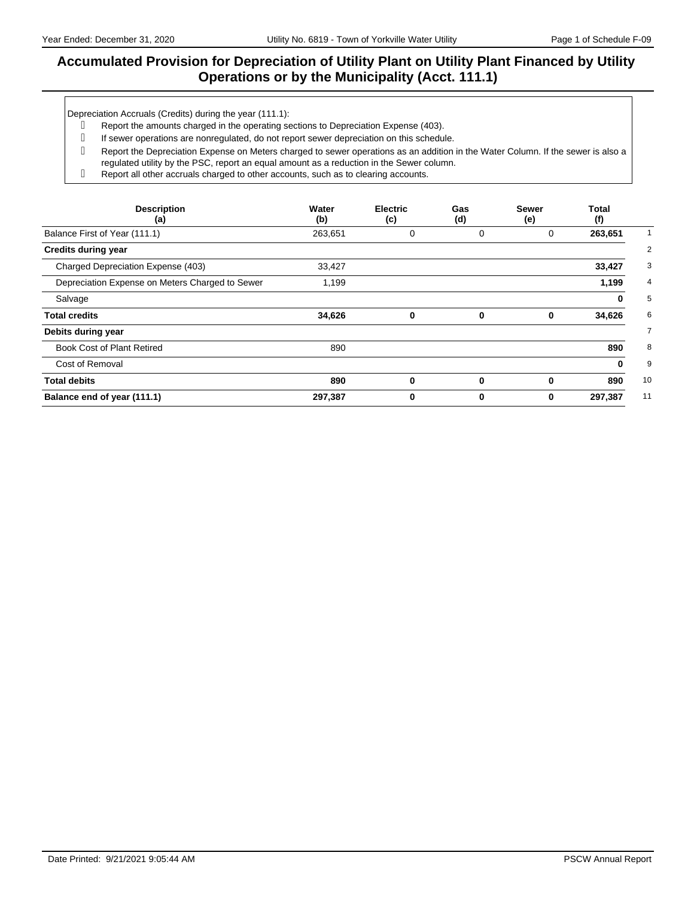### **Accumulated Provision for Depreciation of Utility Plant on Utility Plant Financed by Utility Operations or by the Municipality (Acct. 111.1)**

Depreciation Accruals (Credits) during the year (111.1):

- Report the amounts charged in the operating sections to Depreciation Expense (403).
- g If sewer operations are nonregulated, do not report sewer depreciation on this schedule.
- Report the Depreciation Expense on Meters charged to sewer operations as an addition in the Water Column. If the sewer is also a regulated utility by the PSC, report an equal amount as a reduction in the Sewer column.
- Report all other accruals charged to other accounts, such as to clearing accounts.

| <b>Description</b><br>(a)                       | Water<br>(b) | <b>Electric</b><br>(c) | Gas<br>(d) | <b>Sewer</b><br>(e) | Total<br>(f) |
|-------------------------------------------------|--------------|------------------------|------------|---------------------|--------------|
| Balance First of Year (111.1)                   | 263,651      | 0                      | 0          | 0                   | 263,651      |
| <b>Credits during year</b>                      |              |                        |            |                     |              |
| Charged Depreciation Expense (403)              | 33,427       |                        |            |                     | 33,427       |
| Depreciation Expense on Meters Charged to Sewer | 1,199        |                        |            |                     | 1,199        |
| Salvage                                         |              |                        |            |                     | 0            |
| <b>Total credits</b>                            | 34,626       | 0                      | 0          | 0                   | 34,626       |
| Debits during year                              |              |                        |            |                     |              |
| <b>Book Cost of Plant Retired</b>               | 890          |                        |            |                     | 890          |
| Cost of Removal                                 |              |                        |            |                     | 0            |
| <b>Total debits</b>                             | 890          | $\bf{0}$               | $\bf{0}$   | 0                   | 890          |
| Balance end of year (111.1)                     | 297,387      | 0                      | 0          | 0                   | 297,387      |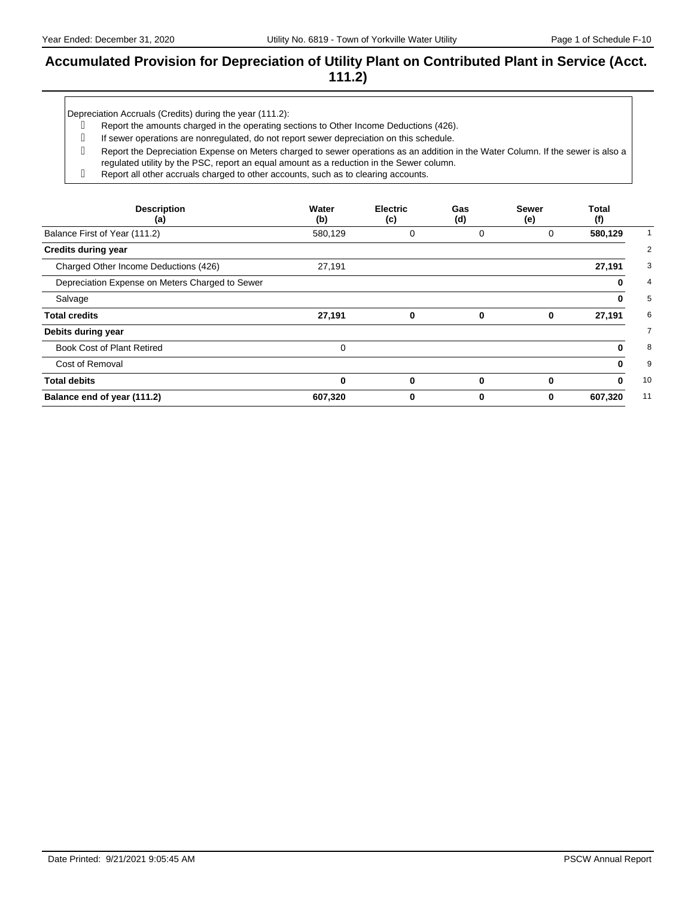#### **Accumulated Provision for Depreciation of Utility Plant on Contributed Plant in Service (Acct. 111.2)**

Depreciation Accruals (Credits) during the year (111.2):

- Report the amounts charged in the operating sections to Other Income Deductions (426).
- g If sewer operations are nonregulated, do not report sewer depreciation on this schedule.
- Report the Depreciation Expense on Meters charged to sewer operations as an addition in the Water Column. If the sewer is also a regulated utility by the PSC, report an equal amount as a reduction in the Sewer column.
- Report all other accruals charged to other accounts, such as to clearing accounts.

| <b>Description</b><br>(a)                       | Water<br>(b) | <b>Electric</b><br>(c) | Gas<br>(d)  | <b>Sewer</b><br>(e) | Total<br>(f)  |
|-------------------------------------------------|--------------|------------------------|-------------|---------------------|---------------|
| Balance First of Year (111.2)                   | 580,129      | 0                      | 0           | 0                   | 580,129       |
| <b>Credits during year</b>                      |              |                        |             |                     |               |
| Charged Other Income Deductions (426)           | 27,191       |                        |             |                     | 27,191        |
| Depreciation Expense on Meters Charged to Sewer |              |                        |             |                     | 0             |
| Salvage                                         |              |                        |             |                     | 0             |
| <b>Total credits</b>                            | 27,191       | $\bf{0}$               | $\mathbf 0$ | 0                   | 27,191        |
| Debits during year                              |              |                        |             |                     |               |
| <b>Book Cost of Plant Retired</b>               | $\Omega$     |                        |             |                     | 0             |
| Cost of Removal                                 |              |                        |             |                     | 0             |
| <b>Total debits</b>                             | $\bf{0}$     | $\bf{0}$               | $\bf{0}$    | 0                   | 10<br>0       |
| Balance end of year (111.2)                     | 607,320      | 0                      | 0           | 0                   | 11<br>607,320 |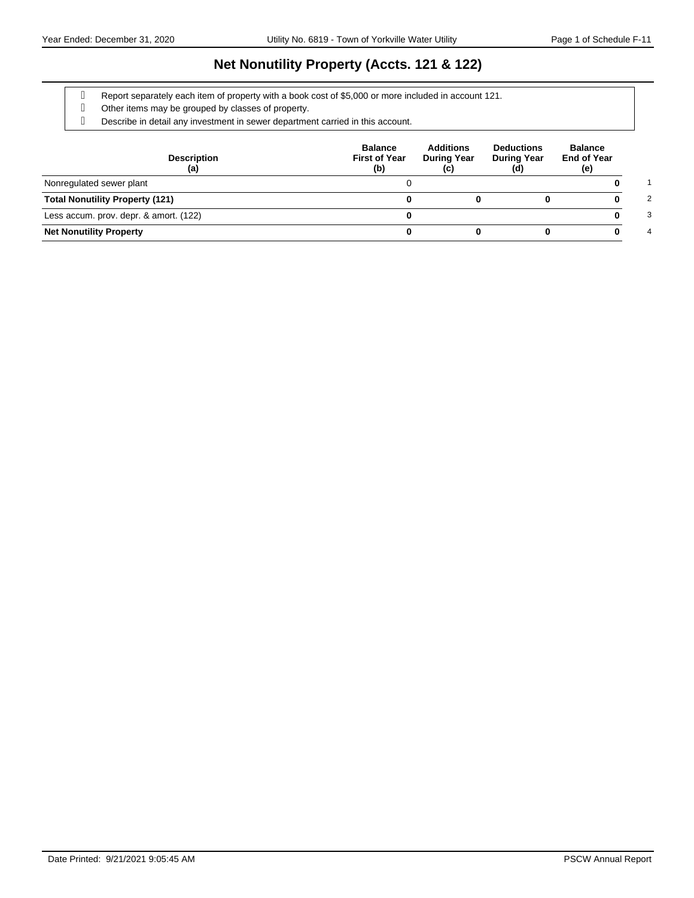### **Net Nonutility Property (Accts. 121 & 122)**

Report separately each item of property with a book cost of \$5,000 or more included in account 121.

- Other items may be grouped by classes of property.
- Describe in detail any investment in sewer department carried in this account.

| <b>Description</b><br>(a)              | <b>Balance</b><br><b>First of Year</b><br>(b) | <b>Additions</b><br><b>During Year</b><br>(c) | <b>Deductions</b><br><b>During Year</b><br>(d) | <b>Balance</b><br><b>End of Year</b><br>(e) |
|----------------------------------------|-----------------------------------------------|-----------------------------------------------|------------------------------------------------|---------------------------------------------|
| Nonregulated sewer plant               |                                               |                                               |                                                |                                             |
| <b>Total Nonutility Property (121)</b> |                                               |                                               |                                                | 2                                           |
| Less accum. prov. depr. & amort. (122) |                                               |                                               |                                                | 3                                           |
| <b>Net Nonutility Property</b>         |                                               |                                               |                                                | 4                                           |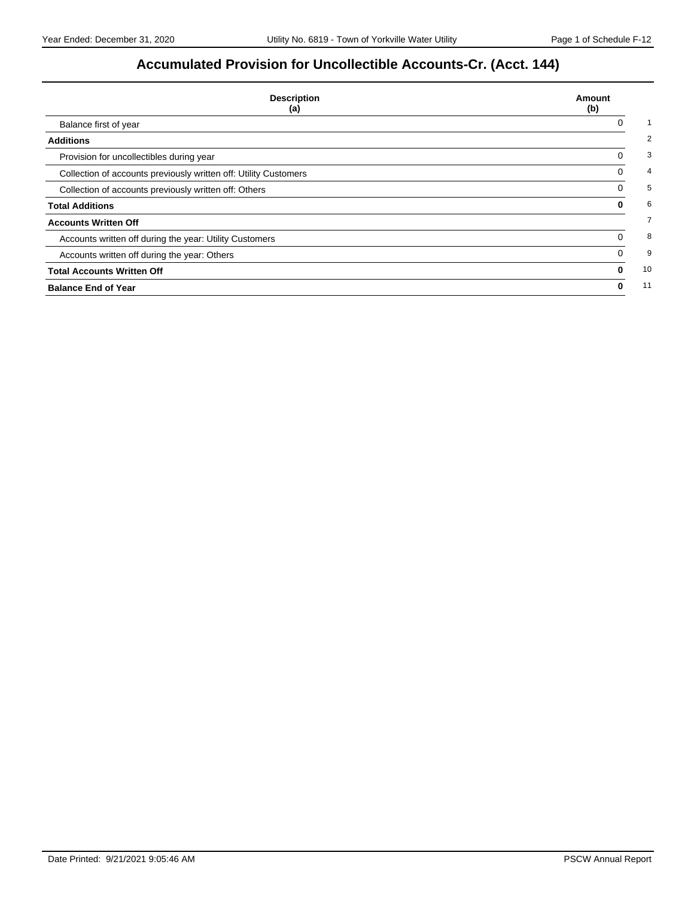# **Accumulated Provision for Uncollectible Accounts-Cr. (Acct. 144)**

| <b>Description</b><br>(a)                                        | Amount<br>(b) |
|------------------------------------------------------------------|---------------|
| Balance first of year                                            | 0             |
| <b>Additions</b>                                                 |               |
| Provision for uncollectibles during year                         | 0             |
| Collection of accounts previously written off: Utility Customers | 0             |
| Collection of accounts previously written off: Others            |               |
| <b>Total Additions</b>                                           | 0             |
| <b>Accounts Written Off</b>                                      |               |
| Accounts written off during the year: Utility Customers          | 0             |
| Accounts written off during the year: Others                     | 0             |
| <b>Total Accounts Written Off</b>                                | 0             |
| <b>Balance End of Year</b>                                       | 0             |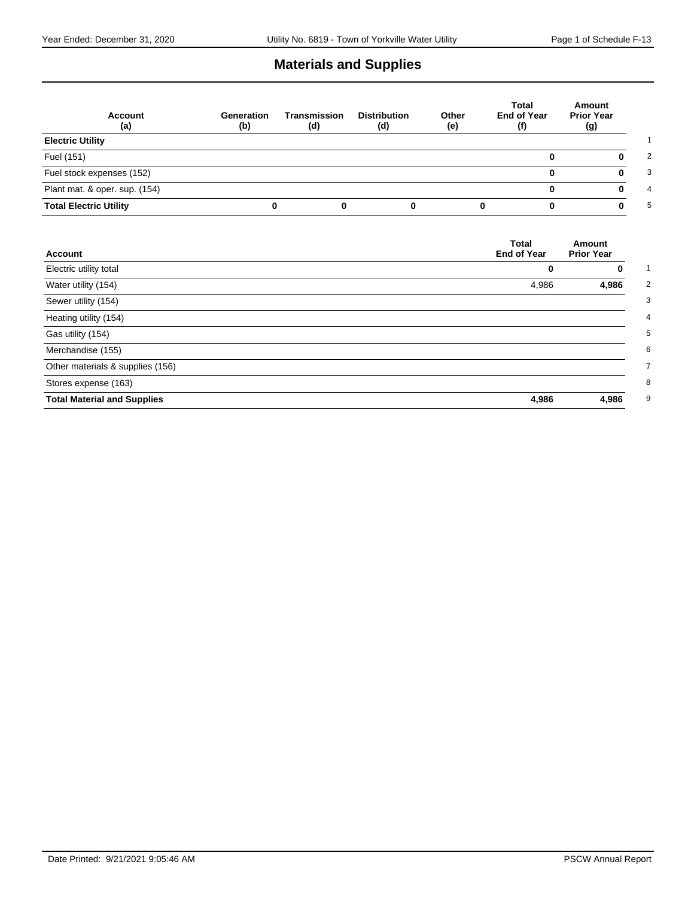# **Materials and Supplies**

| <b>Account</b><br>(a)         | Generation<br>(b) | Transmission<br>(d) | <b>Distribution</b><br>(d) | Other<br>(e) | Total<br><b>End of Year</b><br>(f) | Amount<br><b>Prior Year</b><br>(g) |
|-------------------------------|-------------------|---------------------|----------------------------|--------------|------------------------------------|------------------------------------|
| <b>Electric Utility</b>       |                   |                     |                            |              |                                    |                                    |
| Fuel (151)                    |                   |                     |                            |              | o                                  |                                    |
| Fuel stock expenses (152)     |                   |                     |                            |              | 0                                  |                                    |
| Plant mat. & oper. sup. (154) |                   |                     |                            |              |                                    |                                    |
| <b>Total Electric Utility</b> | 0                 |                     |                            |              |                                    |                                    |

| <b>Account</b>                     | <b>Total</b><br><b>End of Year</b> | Amount<br><b>Prior Year</b> |
|------------------------------------|------------------------------------|-----------------------------|
| Electric utility total             | 0                                  | 0                           |
| Water utility (154)                | 4,986                              | 4,986                       |
| Sewer utility (154)                |                                    |                             |
| Heating utility (154)              |                                    |                             |
| Gas utility (154)                  |                                    |                             |
| Merchandise (155)                  |                                    |                             |
| Other materials & supplies (156)   |                                    |                             |
| Stores expense (163)               |                                    |                             |
| <b>Total Material and Supplies</b> | 4,986                              | 4,986                       |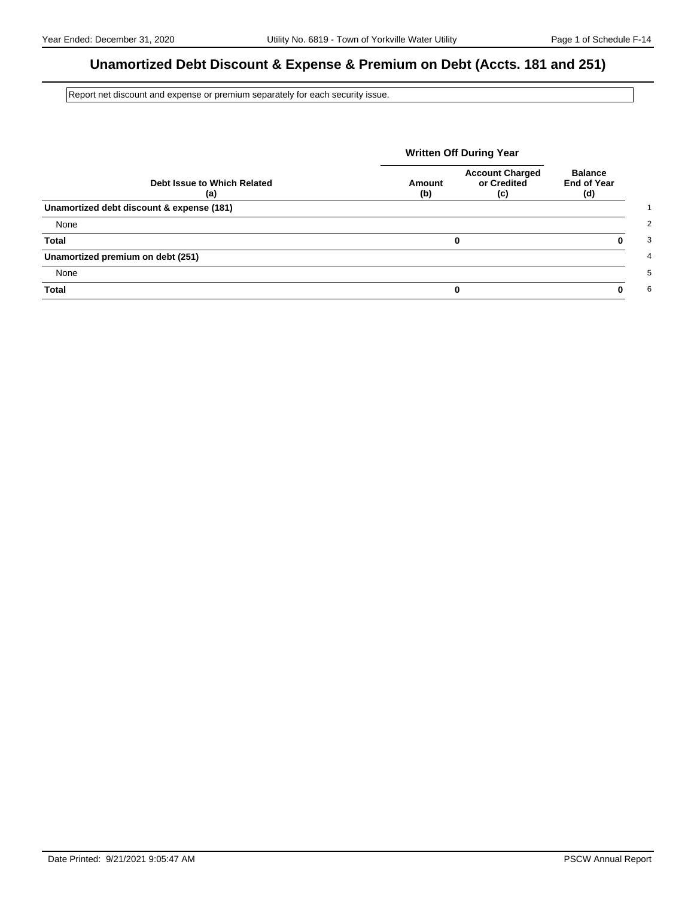### **Unamortized Debt Discount & Expense & Premium on Debt (Accts. 181 and 251)**

Report net discount and expense or premium separately for each security issue.

|                                           | <b>Written Off During Year</b> |                                              |                                             |
|-------------------------------------------|--------------------------------|----------------------------------------------|---------------------------------------------|
| Debt Issue to Which Related<br>(a)        | Amount<br>(b)                  | <b>Account Charged</b><br>or Credited<br>(c) | <b>Balance</b><br><b>End of Year</b><br>(d) |
| Unamortized debt discount & expense (181) |                                |                                              |                                             |
| None                                      |                                |                                              |                                             |
| <b>Total</b>                              |                                | 0                                            |                                             |
| Unamortized premium on debt (251)         |                                |                                              |                                             |
| None                                      |                                |                                              |                                             |
| <b>Total</b>                              |                                | 0                                            |                                             |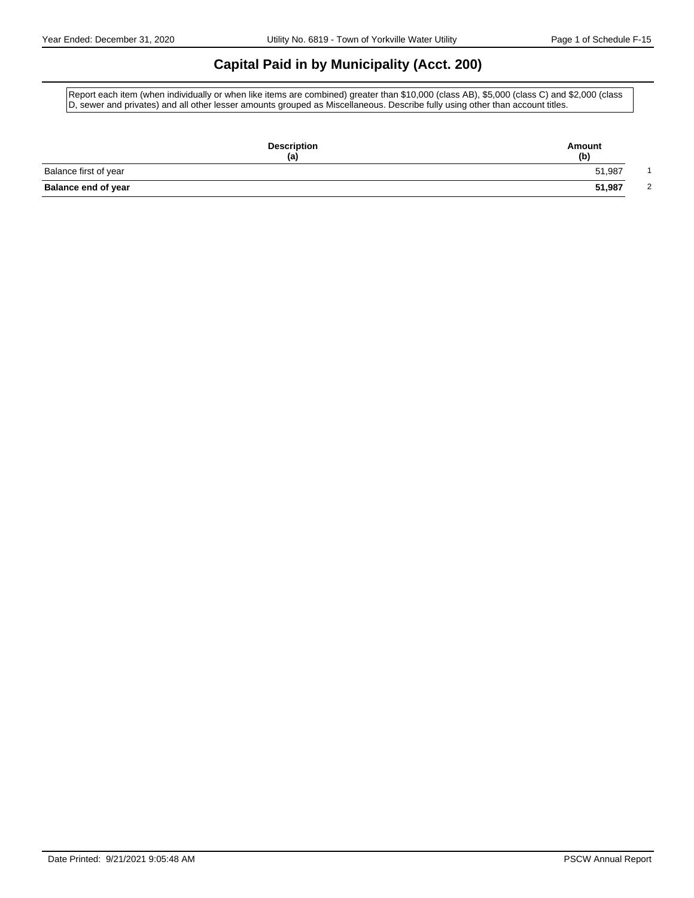### **Capital Paid in by Municipality (Acct. 200)**

Report each item (when individually or when like items are combined) greater than \$10,000 (class AB), \$5,000 (class C) and \$2,000 (class D, sewer and privates) and all other lesser amounts grouped as Miscellaneous. Describe fully using other than account titles.

| <b>Description</b><br>(a)  | Amount<br>(b) |
|----------------------------|---------------|
| Balance first of year      | 51,987        |
| <b>Balance end of year</b> | 51,987<br>2   |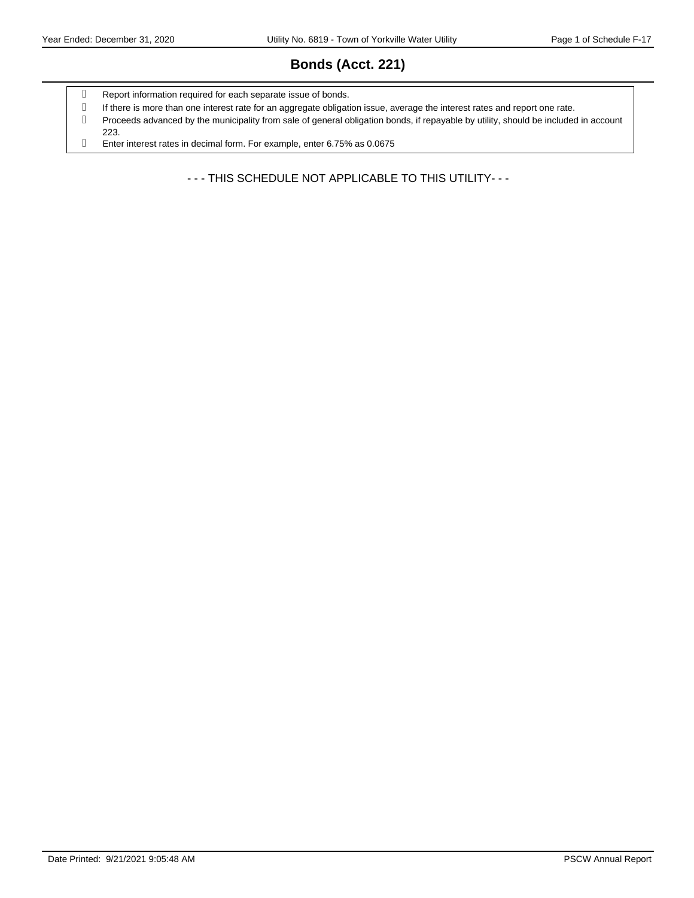# **Bonds (Acct. 221)**

- g Report information required for each separate issue of bonds.
- If there is more than one interest rate for an aggregate obligation issue, average the interest rates and report one rate.
- Proceeds advanced by the municipality from sale of general obligation bonds, if repayable by utility, should be included in account 223.
- Enter interest rates in decimal form. For example, enter 6.75% as 0.0675

- - - THIS SCHEDULE NOT APPLICABLE TO THIS UTILITY- - -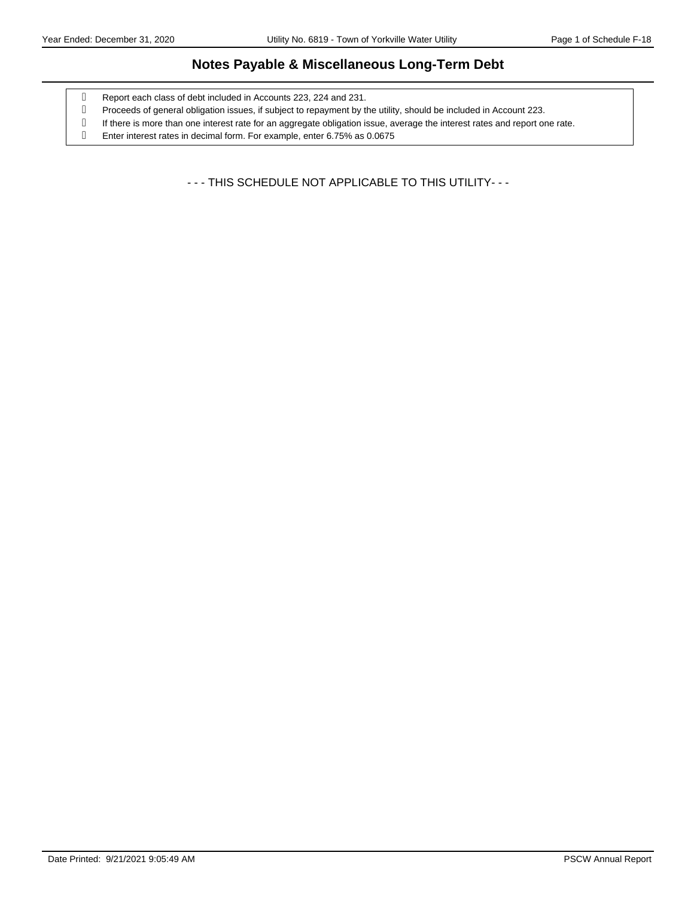#### **Notes Payable & Miscellaneous Long-Term Debt**

- Report each class of debt included in Accounts 223, 224 and 231.
- Proceeds of general obligation issues, if subject to repayment by the utility, should be included in Account 223.
- If there is more than one interest rate for an aggregate obligation issue, average the interest rates and report one rate.
- Enter interest rates in decimal form. For example, enter 6.75% as 0.0675

- - - THIS SCHEDULE NOT APPLICABLE TO THIS UTILITY- - -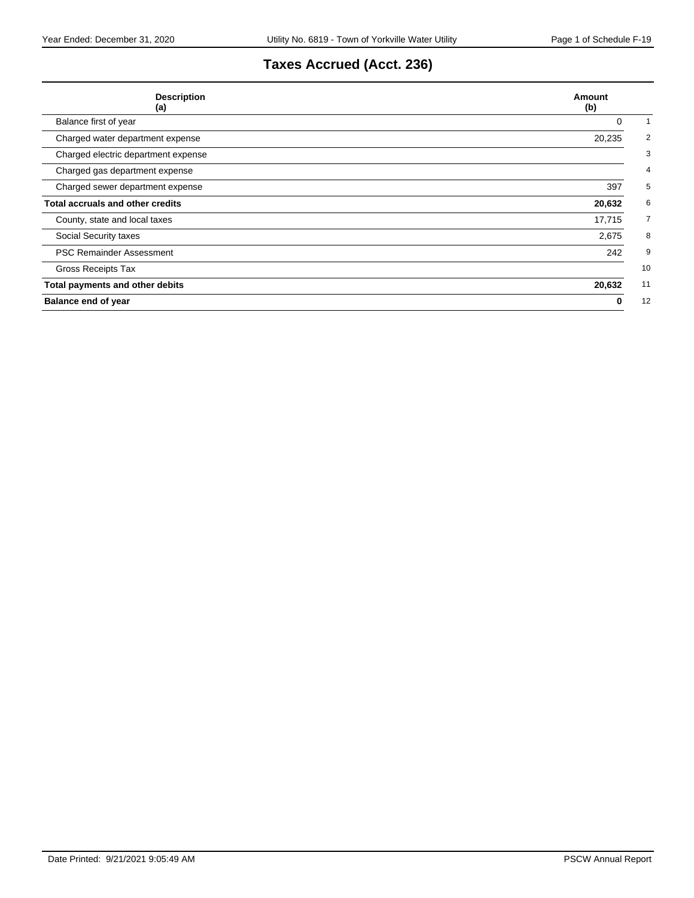# **Taxes Accrued (Acct. 236)**

| <b>Description</b><br>(a)               | Amount<br>(b) |
|-----------------------------------------|---------------|
| Balance first of year                   | 0             |
| Charged water department expense        | 20,235        |
| Charged electric department expense     |               |
| Charged gas department expense          |               |
| Charged sewer department expense        | 397           |
| <b>Total accruals and other credits</b> | 20,632        |
| County, state and local taxes           | 17,715        |
| Social Security taxes                   | 2,675         |
| <b>PSC Remainder Assessment</b>         | 242           |
| Gross Receipts Tax                      | 10            |
| Total payments and other debits         | 11<br>20,632  |
| <b>Balance end of year</b>              | 12<br>0       |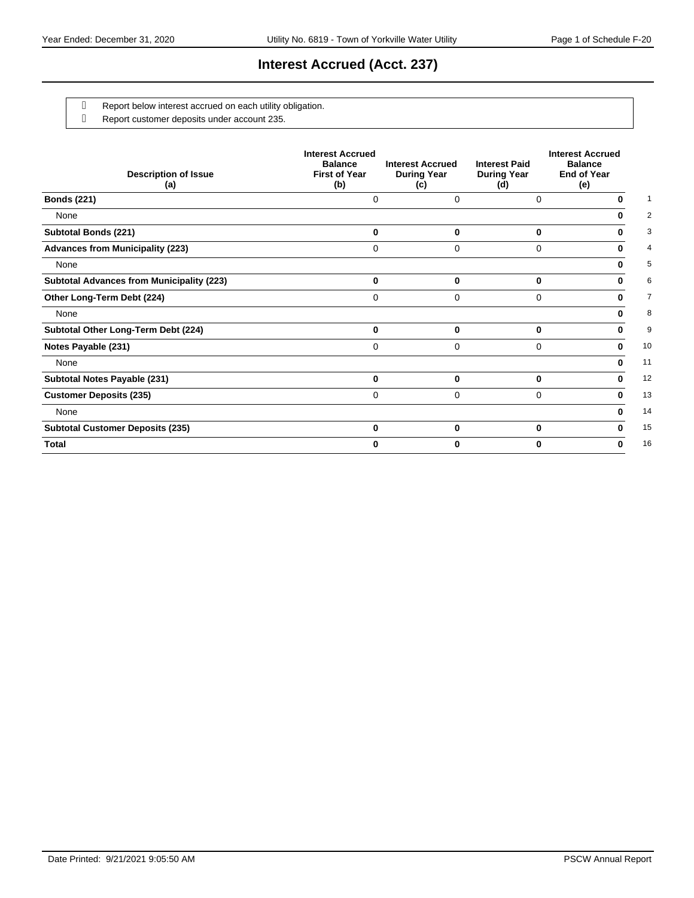### **Interest Accrued (Acct. 237)**

- g Report below interest accrued on each utility obligation.
	- Report customer deposits under account 235.

| <b>Description of Issue</b><br>(a)               | <b>Interest Accrued</b><br><b>Balance</b><br><b>First of Year</b><br>(b) | <b>Interest Accrued</b><br><b>During Year</b><br>(c) | <b>Interest Paid</b><br><b>During Year</b><br>(d) | <b>Interest Accrued</b><br><b>Balance</b><br><b>End of Year</b><br>(e) |
|--------------------------------------------------|--------------------------------------------------------------------------|------------------------------------------------------|---------------------------------------------------|------------------------------------------------------------------------|
| <b>Bonds (221)</b>                               | 0                                                                        | 0                                                    | 0                                                 | U                                                                      |
| None                                             |                                                                          |                                                      |                                                   |                                                                        |
| <b>Subtotal Bonds (221)</b>                      | 0                                                                        | 0                                                    | 0                                                 |                                                                        |
| <b>Advances from Municipality (223)</b>          | 0                                                                        | 0                                                    | 0                                                 | 0                                                                      |
| None                                             |                                                                          |                                                      |                                                   | n.                                                                     |
| <b>Subtotal Advances from Municipality (223)</b> | 0                                                                        | 0                                                    | 0                                                 | n.                                                                     |
| Other Long-Term Debt (224)                       | 0                                                                        | 0                                                    | $\Omega$                                          | n.                                                                     |
| None                                             |                                                                          |                                                      |                                                   | n.                                                                     |
| Subtotal Other Long-Term Debt (224)              | $\bf{0}$                                                                 | $\bf{0}$                                             | 0                                                 | n.                                                                     |
| Notes Payable (231)                              | 0                                                                        | $\Omega$                                             | 0                                                 | 0                                                                      |
| None                                             |                                                                          |                                                      |                                                   | 0                                                                      |
| Subtotal Notes Payable (231)                     | 0                                                                        | 0                                                    | 0                                                 | 0                                                                      |
| <b>Customer Deposits (235)</b>                   | 0                                                                        | $\Omega$                                             | 0                                                 | 0                                                                      |
| None                                             |                                                                          |                                                      |                                                   | 0                                                                      |
| <b>Subtotal Customer Deposits (235)</b>          | $\bf{0}$                                                                 | 0                                                    | 0                                                 | n.                                                                     |
| <b>Total</b>                                     | U                                                                        | 0                                                    | 0                                                 | 0                                                                      |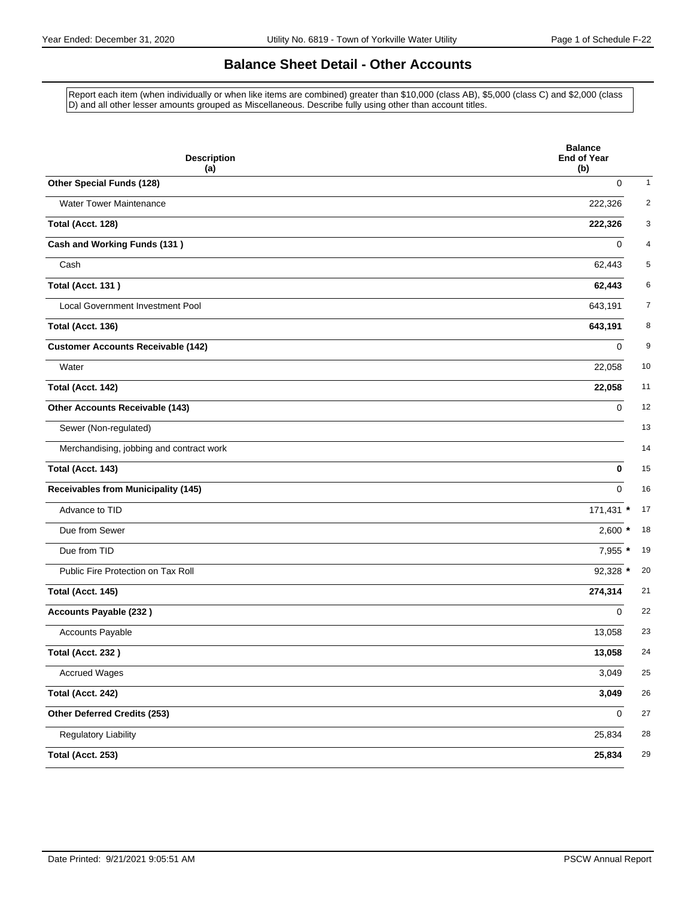### **Balance Sheet Detail - Other Accounts**

Report each item (when individually or when like items are combined) greater than \$10,000 (class AB), \$5,000 (class C) and \$2,000 (class D) and all other lesser amounts grouped as Miscellaneous. Describe fully using other than account titles.

| <b>Description</b><br>(a)                  | <b>Balance</b><br><b>End of Year</b><br>(b) |
|--------------------------------------------|---------------------------------------------|
| Other Special Funds (128)                  | $\mathbf{1}$<br>0                           |
| <b>Water Tower Maintenance</b>             | $\overline{2}$<br>222,326                   |
| Total (Acct. 128)                          | 3<br>222,326                                |
| <b>Cash and Working Funds (131)</b>        | 4<br>0                                      |
| Cash                                       | 5<br>62,443                                 |
| <b>Total (Acct. 131)</b>                   | 6<br>62,443                                 |
| Local Government Investment Pool           | 7<br>643,191                                |
| Total (Acct. 136)                          | 8<br>643,191                                |
| <b>Customer Accounts Receivable (142)</b>  | 9<br>0                                      |
| Water                                      | 10<br>22,058                                |
| Total (Acct. 142)                          | 11<br>22,058                                |
| Other Accounts Receivable (143)            | 12<br>$\mathbf 0$                           |
| Sewer (Non-regulated)                      | 13                                          |
| Merchandising, jobbing and contract work   | 14                                          |
| Total (Acct. 143)                          | 15<br>0                                     |
| <b>Receivables from Municipality (145)</b> | 16<br>0                                     |
| Advance to TID                             | 171,431 *<br>17                             |
| Due from Sewer                             | 18<br>$2,600$ *                             |
| Due from TID                               | 7,955 *<br>19                               |
| Public Fire Protection on Tax Roll         | 92,328 *<br>20                              |
| Total (Acct. 145)                          | 21<br>274,314                               |
| <b>Accounts Payable (232)</b>              | 22<br>0                                     |
| <b>Accounts Payable</b>                    | 23<br>13,058                                |
| Total (Acct. 232)                          | 13,058<br>24                                |
| <b>Accrued Wages</b>                       | 3,049<br>25                                 |
| Total (Acct. 242)                          | 26<br>3,049                                 |
| Other Deferred Credits (253)               | 27<br>0                                     |
| <b>Regulatory Liability</b>                | 25,834<br>28                                |
| Total (Acct. 253)                          | 25,834<br>29                                |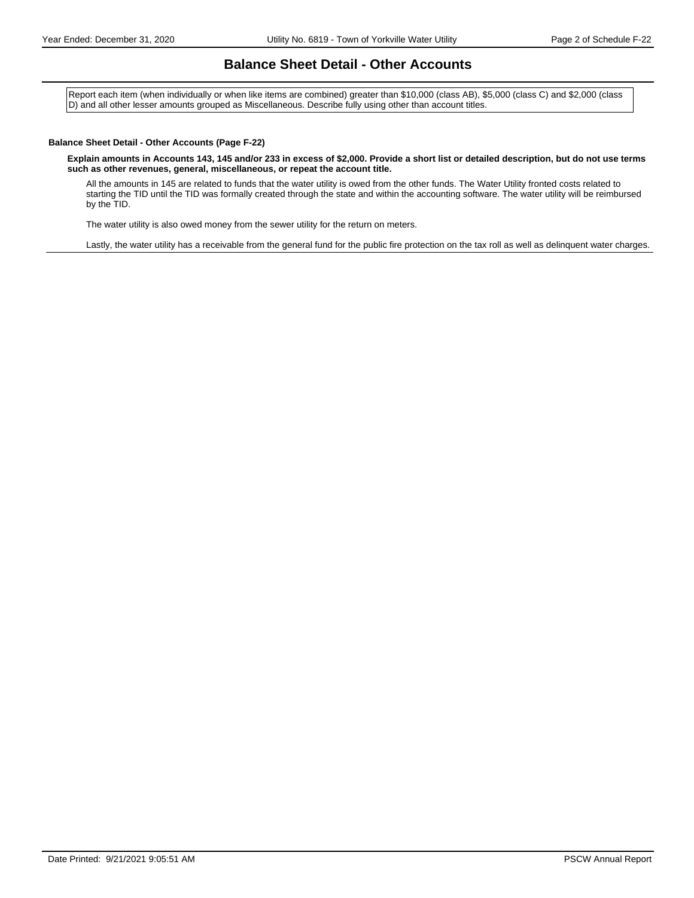#### **Balance Sheet Detail - Other Accounts**

Report each item (when individually or when like items are combined) greater than \$10,000 (class AB), \$5,000 (class C) and \$2,000 (class D) and all other lesser amounts grouped as Miscellaneous. Describe fully using other than account titles.

#### **Balance Sheet Detail - Other Accounts (Page F-22)**

**Explain amounts in Accounts 143, 145 and/or 233 in excess of \$2,000. Provide a short list or detailed description, but do not use terms such as other revenues, general, miscellaneous, or repeat the account title.**

All the amounts in 145 are related to funds that the water utility is owed from the other funds. The Water Utility fronted costs related to starting the TID until the TID was formally created through the state and within the accounting software. The water utility will be reimbursed by the TID.

The water utility is also owed money from the sewer utility for the return on meters.

Lastly, the water utility has a receivable from the general fund for the public fire protection on the tax roll as well as delinquent water charges.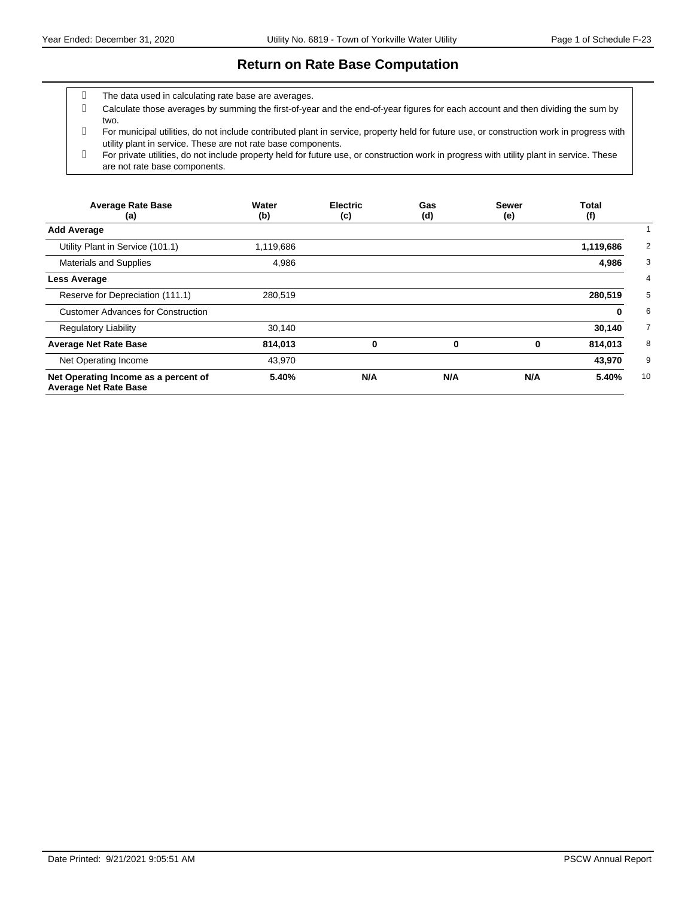#### **Return on Rate Base Computation**

- The data used in calculating rate base are averages.
- Calculate those averages by summing the first-of-year and the end-of-year figures for each account and then dividing the sum by two.
- For municipal utilities, do not include contributed plant in service, property held for future use, or construction work in progress with utility plant in service. These are not rate base components.
- For private utilities, do not include property held for future use, or construction work in progress with utility plant in service. These are not rate base components.

| <b>Average Rate Base</b><br>(a)                                      | Water<br>(b) | <b>Electric</b><br>(c) | Gas<br>(d) | <b>Sewer</b><br>(e) | <b>Total</b><br>(f) |
|----------------------------------------------------------------------|--------------|------------------------|------------|---------------------|---------------------|
| <b>Add Average</b>                                                   |              |                        |            |                     |                     |
| Utility Plant in Service (101.1)                                     | 1,119,686    |                        |            |                     | 1,119,686           |
| <b>Materials and Supplies</b>                                        | 4,986        |                        |            |                     | 4,986               |
| <b>Less Average</b>                                                  |              |                        |            |                     |                     |
| Reserve for Depreciation (111.1)                                     | 280,519      |                        |            |                     | 280,519             |
| <b>Customer Advances for Construction</b>                            |              |                        |            |                     | 0                   |
| <b>Regulatory Liability</b>                                          | 30,140       |                        |            |                     | 30,140              |
| <b>Average Net Rate Base</b>                                         | 814,013      | 0                      | 0          | 0                   | 814,013             |
| Net Operating Income                                                 | 43,970       |                        |            |                     | 43,970              |
| Net Operating Income as a percent of<br><b>Average Net Rate Base</b> | 5.40%        | N/A                    | N/A        | N/A                 | 5.40%               |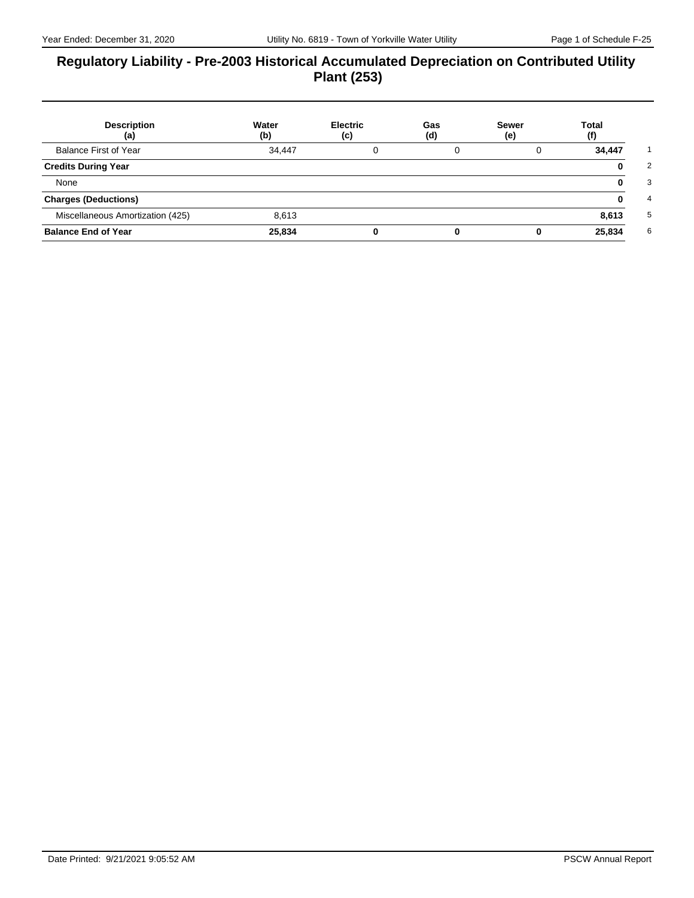#### **Regulatory Liability - Pre-2003 Historical Accumulated Depreciation on Contributed Utility Plant (253)**

| <b>Description</b><br>(a)        | Water<br>(b) | <b>Electric</b><br>(c) | Gas<br>(d) | Sewer<br>(e) | Total<br>(f) |
|----------------------------------|--------------|------------------------|------------|--------------|--------------|
| Balance First of Year            | 34,447       |                        | 0          | 0            | 34,447       |
| <b>Credits During Year</b>       |              |                        |            |              | 0            |
| None                             |              |                        |            |              | 0            |
| <b>Charges (Deductions)</b>      |              |                        |            |              | 0            |
| Miscellaneous Amortization (425) | 8,613        |                        |            |              | 8,613        |
| <b>Balance End of Year</b>       | 25,834       |                        |            |              | 25,834       |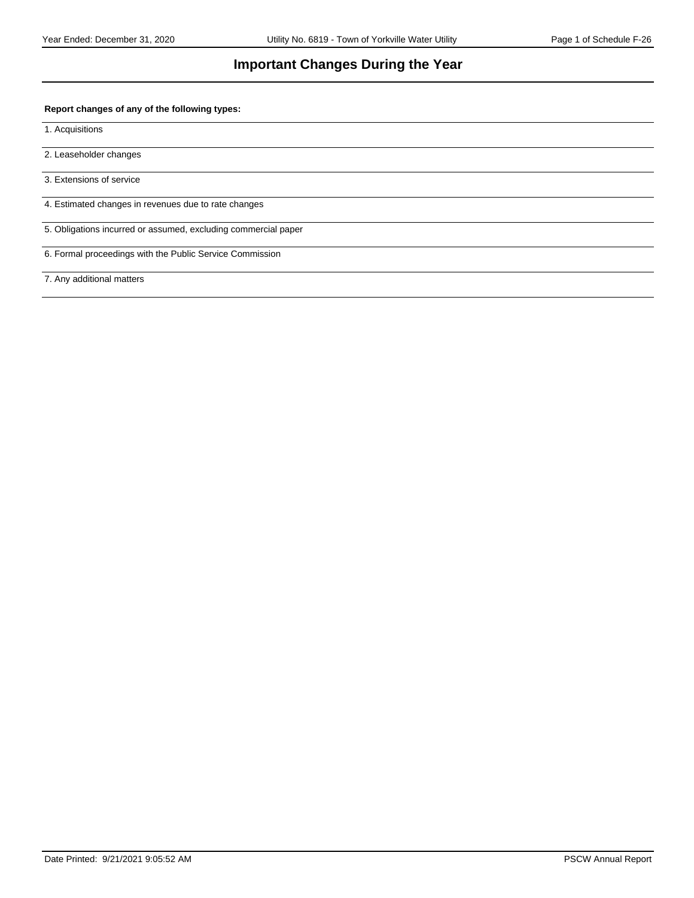#### **Important Changes During the Year**

#### **Report changes of any of the following types:**

1. Acquisitions

2. Leaseholder changes

3. Extensions of service

4. Estimated changes in revenues due to rate changes

5. Obligations incurred or assumed, excluding commercial paper

6. Formal proceedings with the Public Service Commission

7. Any additional matters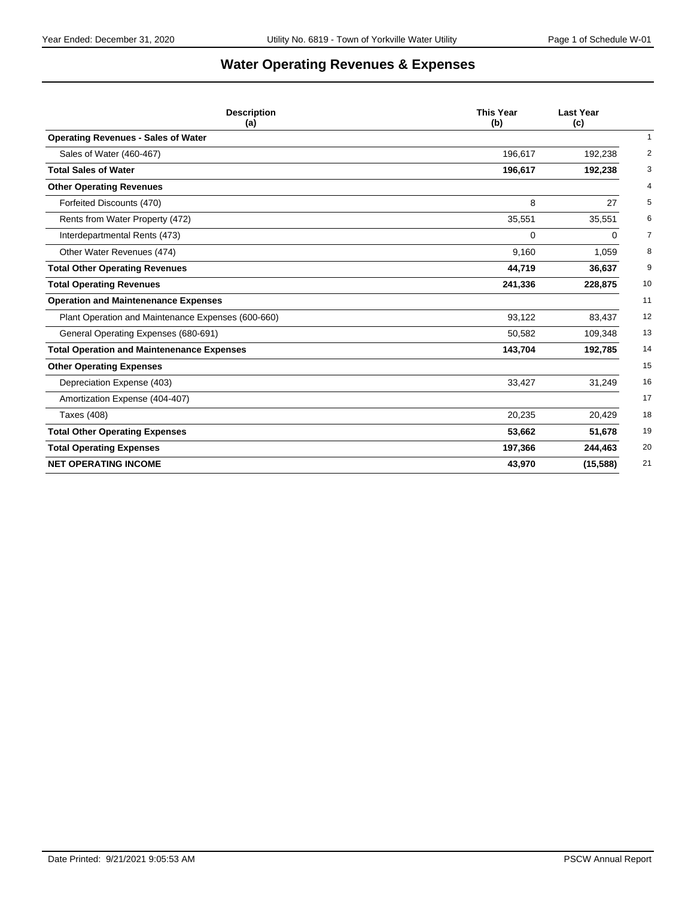# **Water Operating Revenues & Expenses**

| <b>Description</b><br>(a)                          | <b>This Year</b><br>(b) | <b>Last Year</b><br>(c)   |
|----------------------------------------------------|-------------------------|---------------------------|
| <b>Operating Revenues - Sales of Water</b>         |                         | $\mathbf{1}$              |
| Sales of Water (460-467)                           | 196,617                 | $\overline{2}$<br>192,238 |
| <b>Total Sales of Water</b>                        | 196,617                 | 3<br>192,238              |
| <b>Other Operating Revenues</b>                    |                         | 4                         |
| Forfeited Discounts (470)                          | 8                       | 5<br>27                   |
| Rents from Water Property (472)                    | 35,551                  | 35,551<br>6               |
| Interdepartmental Rents (473)                      | $\Omega$                | $\overline{7}$<br>0       |
| Other Water Revenues (474)                         | 9,160                   | 8<br>1,059                |
| <b>Total Other Operating Revenues</b>              | 44,719                  | 9<br>36,637               |
| <b>Total Operating Revenues</b>                    | 241,336                 | 10<br>228,875             |
| <b>Operation and Maintenenance Expenses</b>        |                         | 11                        |
| Plant Operation and Maintenance Expenses (600-660) | 93,122                  | 12<br>83,437              |
| General Operating Expenses (680-691)               | 50,582                  | 13<br>109,348             |
| <b>Total Operation and Maintenenance Expenses</b>  | 143,704                 | 14<br>192,785             |
| <b>Other Operating Expenses</b>                    |                         | 15                        |
| Depreciation Expense (403)                         | 33,427                  | 16<br>31,249              |
| Amortization Expense (404-407)                     |                         | 17                        |
| Taxes (408)                                        | 20,235                  | 18<br>20,429              |
| <b>Total Other Operating Expenses</b>              | 53,662                  | 19<br>51,678              |
| <b>Total Operating Expenses</b>                    | 197,366                 | 20<br>244,463             |
| <b>NET OPERATING INCOME</b>                        | 43,970                  | (15, 588)<br>21           |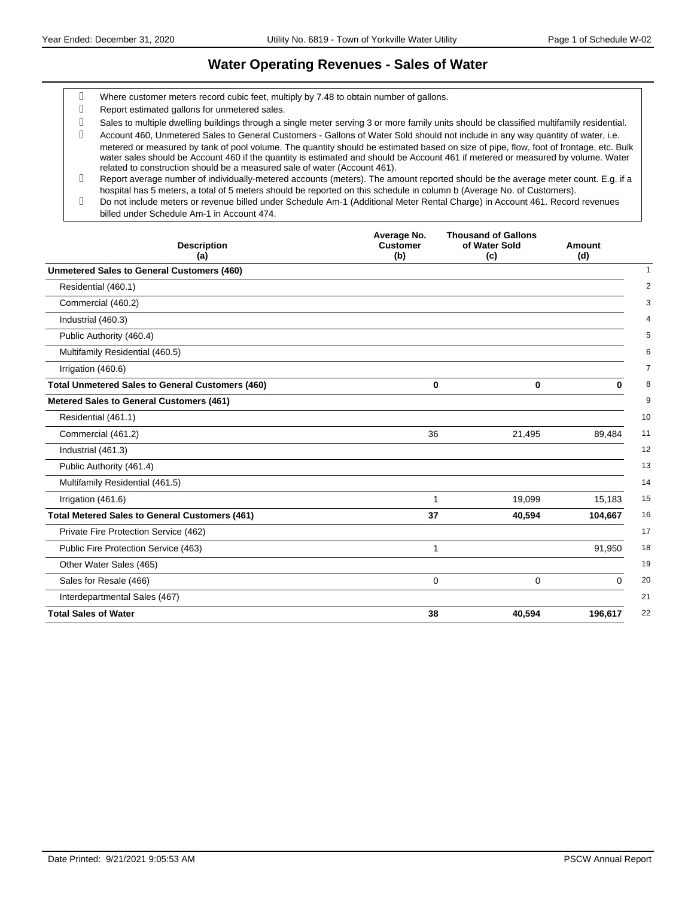#### **Water Operating Revenues - Sales of Water**

- Where customer meters record cubic feet, multiply by 7.48 to obtain number of gallons.
- Report estimated gallons for unmetered sales.
- Sales to multiple dwelling buildings through a single meter serving 3 or more family units should be classified multifamily residential.

 Account 460, Unmetered Sales to General Customers - Gallons of Water Sold should not include in any way quantity of water, i.e. metered or measured by tank of pool volume. The quantity should be estimated based on size of pipe, flow, foot of frontage, etc. Bulk water sales should be Account 460 if the quantity is estimated and should be Account 461 if metered or measured by volume. Water related to construction should be a measured sale of water (Account 461).

- Report average number of individually-metered accounts (meters). The amount reported should be the average meter count. E.g. if a hospital has 5 meters, a total of 5 meters should be reported on this schedule in column b (Average No. of Customers).
- Do not include meters or revenue billed under Schedule Am-1 (Additional Meter Rental Charge) in Account 461. Record revenues billed under Schedule Am-1 in Account 474.

| <b>Description</b><br>(a)                               | Average No.<br><b>Customer</b><br>(b) | <b>Thousand of Gallons</b><br>of Water Sold<br>(c) | Amount<br>(d)  |
|---------------------------------------------------------|---------------------------------------|----------------------------------------------------|----------------|
| <b>Unmetered Sales to General Customers (460)</b>       |                                       |                                                    |                |
| Residential (460.1)                                     |                                       |                                                    |                |
| Commercial (460.2)                                      |                                       |                                                    |                |
| Industrial (460.3)                                      |                                       |                                                    |                |
| Public Authority (460.4)                                |                                       |                                                    |                |
| Multifamily Residential (460.5)                         |                                       |                                                    |                |
| Irrigation (460.6)                                      |                                       |                                                    |                |
| <b>Total Unmetered Sales to General Customers (460)</b> | $\bf{0}$                              | $\bf{0}$                                           | $\bf{0}$       |
| Metered Sales to General Customers (461)                |                                       |                                                    |                |
| Residential (461.1)                                     |                                       |                                                    | 10             |
| Commercial (461.2)                                      | 36                                    | 21,495                                             | 11<br>89,484   |
| Industrial (461.3)                                      |                                       |                                                    | 12             |
| Public Authority (461.4)                                |                                       |                                                    | 13             |
| Multifamily Residential (461.5)                         |                                       |                                                    | 14             |
| Irrigation (461.6)                                      | 1                                     | 19,099                                             | 15<br>15,183   |
| <b>Total Metered Sales to General Customers (461)</b>   | 37                                    | 40,594                                             | 16<br>104,667  |
| Private Fire Protection Service (462)                   |                                       |                                                    | 17             |
| Public Fire Protection Service (463)                    | 1                                     |                                                    | 18<br>91.950   |
| Other Water Sales (465)                                 |                                       |                                                    | 19             |
| Sales for Resale (466)                                  | 0                                     | $\Omega$                                           | 20<br>$\Omega$ |
| Interdepartmental Sales (467)                           |                                       |                                                    | 21             |
| <b>Total Sales of Water</b>                             | 38                                    | 40,594                                             | 22<br>196,617  |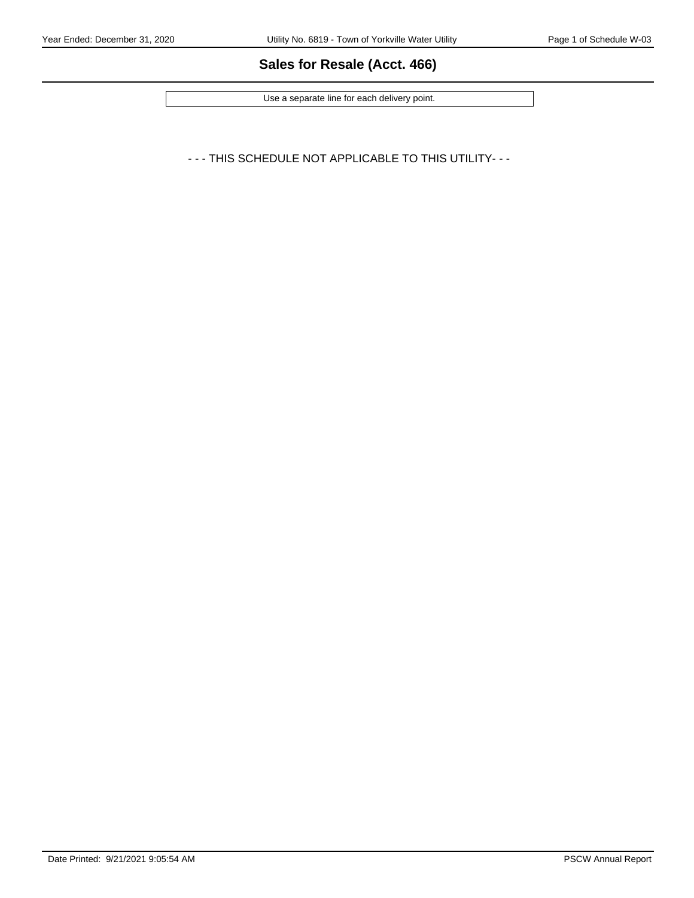### **Sales for Resale (Acct. 466)**

Use a separate line for each delivery point.

- - - THIS SCHEDULE NOT APPLICABLE TO THIS UTILITY- - -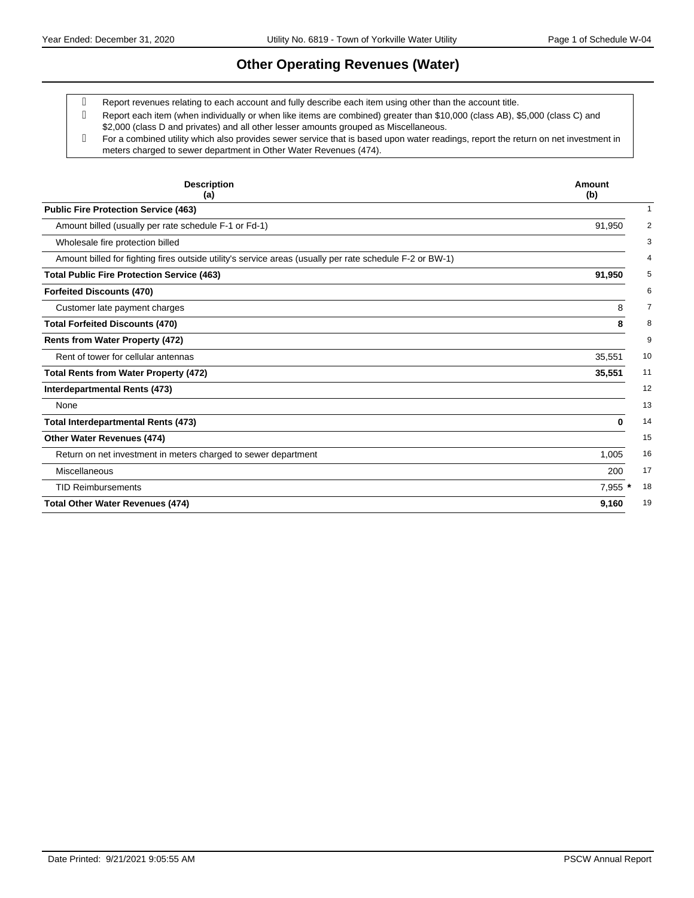### **Other Operating Revenues (Water)**

Report revenues relating to each account and fully describe each item using other than the account title.

- Report each item (when individually or when like items are combined) greater than \$10,000 (class AB), \$5,000 (class C) and \$2,000 (class D and privates) and all other lesser amounts grouped as Miscellaneous.
- For a combined utility which also provides sewer service that is based upon water readings, report the return on net investment in meters charged to sewer department in Other Water Revenues (474).

| <b>Description</b><br>(a)                                                                                | Amount<br>(b)            |
|----------------------------------------------------------------------------------------------------------|--------------------------|
| <b>Public Fire Protection Service (463)</b>                                                              | 1                        |
| Amount billed (usually per rate schedule F-1 or Fd-1)                                                    | 91,950<br>$\overline{2}$ |
| Wholesale fire protection billed                                                                         | 3                        |
| Amount billed for fighting fires outside utility's service areas (usually per rate schedule F-2 or BW-1) | 4                        |
| <b>Total Public Fire Protection Service (463)</b>                                                        | 91,950<br>5              |
| <b>Forfeited Discounts (470)</b>                                                                         | 6                        |
| Customer late payment charges                                                                            | 8<br>7                   |
| <b>Total Forfeited Discounts (470)</b>                                                                   | 8<br>8                   |
| Rents from Water Property (472)                                                                          | 9                        |
| Rent of tower for cellular antennas                                                                      | 35,551<br>10             |
| <b>Total Rents from Water Property (472)</b>                                                             | 35,551<br>11             |
| Interdepartmental Rents (473)                                                                            | 12                       |
| None                                                                                                     | 13                       |
| <b>Total Interdepartmental Rents (473)</b>                                                               | 14<br>0                  |
| Other Water Revenues (474)                                                                               | 15                       |
| Return on net investment in meters charged to sewer department                                           | 16<br>1,005              |
| Miscellaneous                                                                                            | 200<br>17                |
| <b>TID Reimbursements</b>                                                                                | 18<br>7,955              |
| <b>Total Other Water Revenues (474)</b>                                                                  | 19<br>9,160              |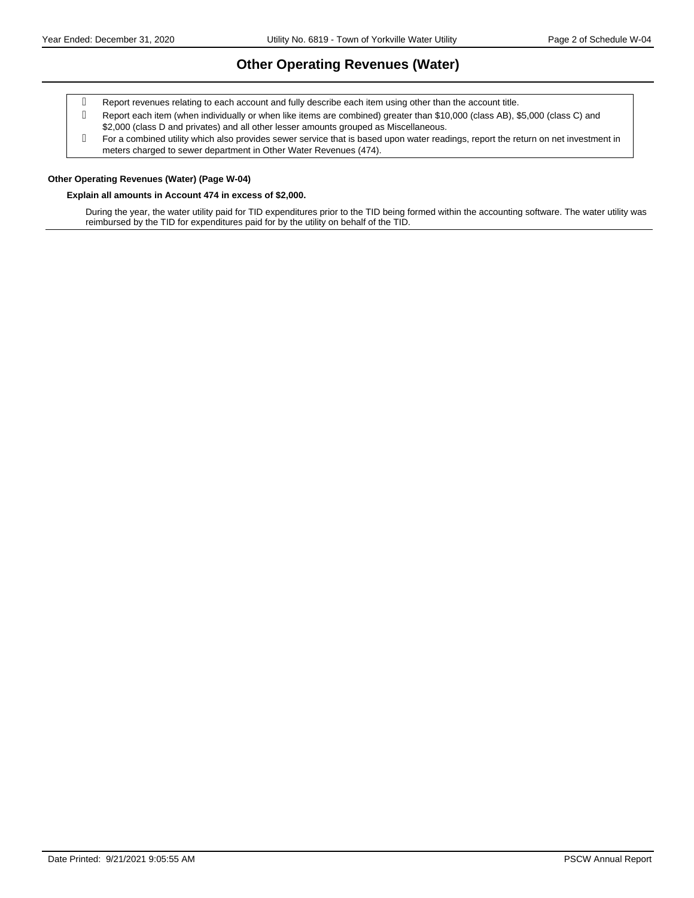### **Other Operating Revenues (Water)**

- Report revenues relating to each account and fully describe each item using other than the account title.
- Report each item (when individually or when like items are combined) greater than \$10,000 (class AB), \$5,000 (class C) and \$2,000 (class D and privates) and all other lesser amounts grouped as Miscellaneous.
- For a combined utility which also provides sewer service that is based upon water readings, report the return on net investment in meters charged to sewer department in Other Water Revenues (474).

#### **Other Operating Revenues (Water) (Page W-04)**

#### **Explain all amounts in Account 474 in excess of \$2,000.**

During the year, the water utility paid for TID expenditures prior to the TID being formed within the accounting software. The water utility was reimbursed by the TID for expenditures paid for by the utility on behalf of the TID.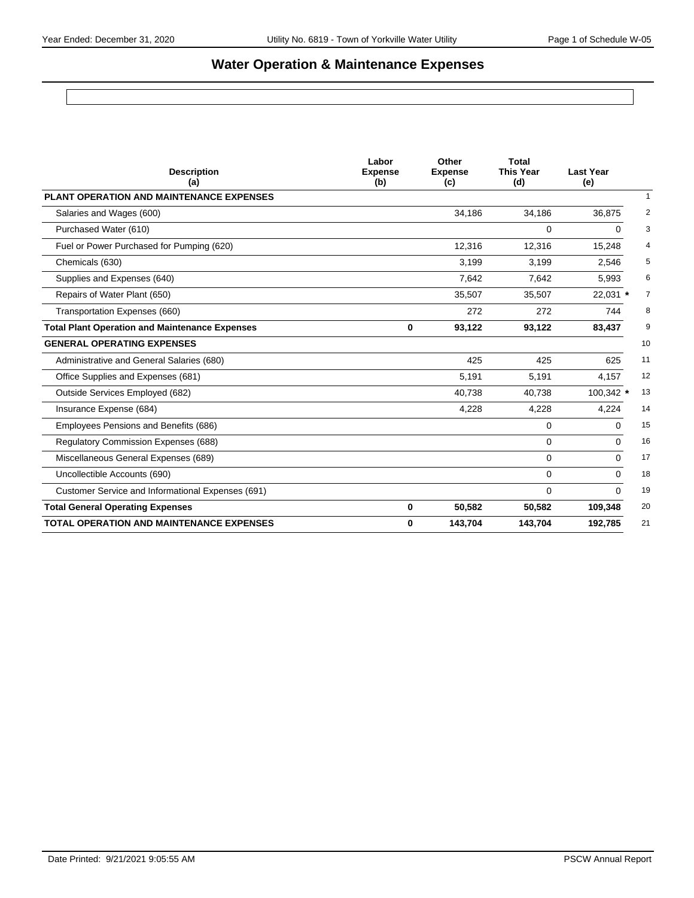# **Water Operation & Maintenance Expenses**

| <b>Description</b><br>(a)                             | Labor<br><b>Expense</b><br>(b) | Other<br><b>Expense</b><br>(c) | <b>Total</b><br><b>This Year</b><br>(d) | <b>Last Year</b><br>(e) |                |
|-------------------------------------------------------|--------------------------------|--------------------------------|-----------------------------------------|-------------------------|----------------|
| PLANT OPERATION AND MAINTENANCE EXPENSES              |                                |                                |                                         |                         | $\mathbf{1}$   |
| Salaries and Wages (600)                              |                                | 34,186                         | 34,186                                  | 36,875                  | 2              |
| Purchased Water (610)                                 |                                |                                | 0                                       | 0                       | 3              |
| Fuel or Power Purchased for Pumping (620)             |                                | 12,316                         | 12,316                                  | 15,248                  | 4              |
| Chemicals (630)                                       |                                | 3,199                          | 3,199                                   | 2,546                   | 5              |
| Supplies and Expenses (640)                           |                                | 7,642                          | 7,642                                   | 5,993                   | 6              |
| Repairs of Water Plant (650)                          |                                | 35,507                         | 35,507                                  | 22,031 *                | $\overline{7}$ |
| Transportation Expenses (660)                         |                                | 272                            | 272                                     | 744                     | 8              |
| <b>Total Plant Operation and Maintenance Expenses</b> | 0                              | 93,122                         | 93,122                                  | 83,437                  | 9              |
| <b>GENERAL OPERATING EXPENSES</b>                     |                                |                                |                                         |                         | 10             |
| Administrative and General Salaries (680)             |                                | 425                            | 425                                     | 625                     | 11             |
| Office Supplies and Expenses (681)                    |                                | 5,191                          | 5,191                                   | 4,157                   | 12             |
| Outside Services Employed (682)                       |                                | 40,738                         | 40,738                                  | 100,342 *               | 13             |
| Insurance Expense (684)                               |                                | 4,228                          | 4,228                                   | 4,224                   | 14             |
| Employees Pensions and Benefits (686)                 |                                |                                | 0                                       | 0                       | 15             |
| <b>Regulatory Commission Expenses (688)</b>           |                                |                                | 0                                       | $\Omega$                | 16             |
| Miscellaneous General Expenses (689)                  |                                |                                | 0                                       | 0                       | 17             |
| Uncollectible Accounts (690)                          |                                |                                | 0                                       | $\Omega$                | 18             |
| Customer Service and Informational Expenses (691)     |                                |                                | 0                                       | $\Omega$                | 19             |
| <b>Total General Operating Expenses</b>               | 0                              | 50,582                         | 50,582                                  | 109,348                 | 20             |
| <b>TOTAL OPERATION AND MAINTENANCE EXPENSES</b>       | 0                              | 143,704                        | 143,704                                 | 21<br>192,785           |                |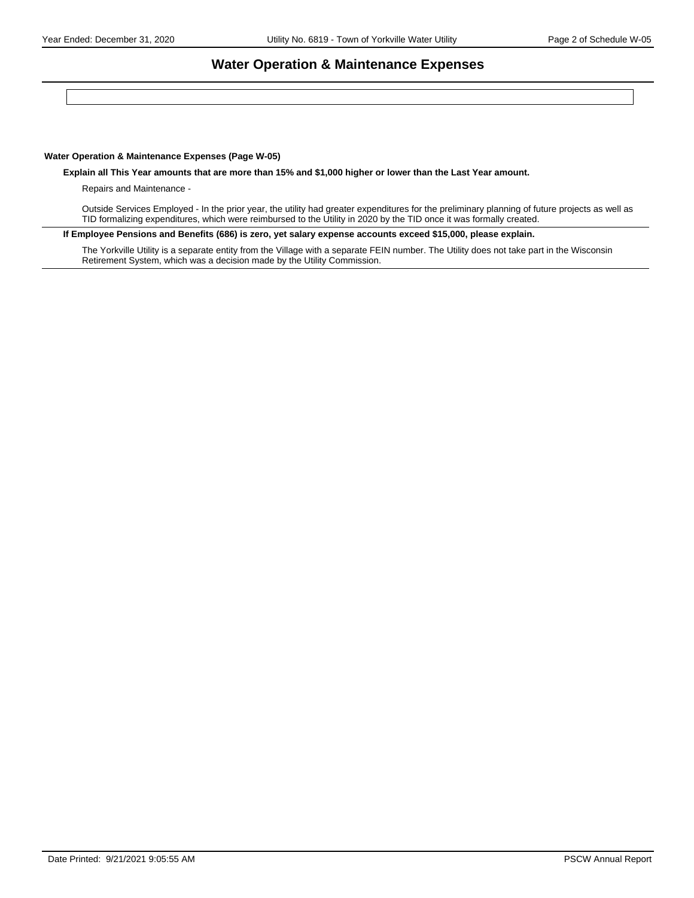#### **Water Operation & Maintenance Expenses**

#### **Water Operation & Maintenance Expenses (Page W-05)**

**Explain all This Year amounts that are more than 15% and \$1,000 higher or lower than the Last Year amount.** 

Repairs and Maintenance -

Outside Services Employed - In the prior year, the utility had greater expenditures for the preliminary planning of future projects as well as TID formalizing expenditures, which were reimbursed to the Utility in 2020 by the TID once it was formally created.

**If Employee Pensions and Benefits (686) is zero, yet salary expense accounts exceed \$15,000, please explain.**

The Yorkville Utility is a separate entity from the Village with a separate FEIN number. The Utility does not take part in the Wisconsin Retirement System, which was a decision made by the Utility Commission.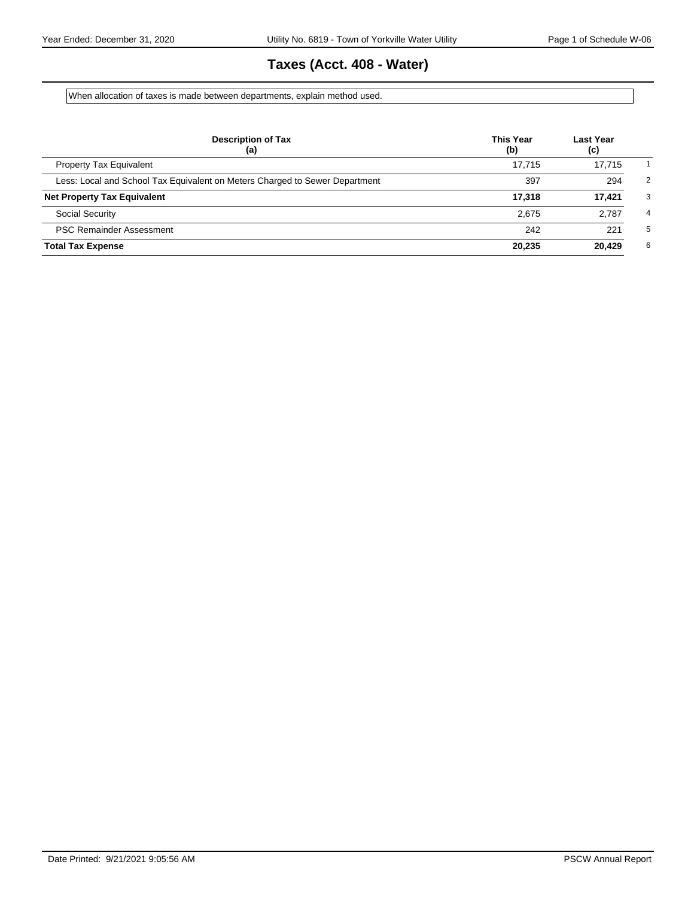# **Taxes (Acct. 408 - Water)**

When allocation of taxes is made between departments, explain method used.

| <b>Description of Tax</b><br>(a)                                            | <b>This Year</b><br>(b) | Last Year<br>(c) |                |
|-----------------------------------------------------------------------------|-------------------------|------------------|----------------|
| <b>Property Tax Equivalent</b>                                              | 17.715                  | 17.715           |                |
| Less: Local and School Tax Equivalent on Meters Charged to Sewer Department | 397                     | 294              | $\overline{2}$ |
| <b>Net Property Tax Equivalent</b>                                          | 17.318                  | 17,421           | 3              |
| <b>Social Security</b>                                                      | 2.675                   | 2.787            | 4              |
| <b>PSC Remainder Assessment</b>                                             | 242                     | 221              | 5              |
| <b>Total Tax Expense</b>                                                    | 20,235                  | 20,429           | 6              |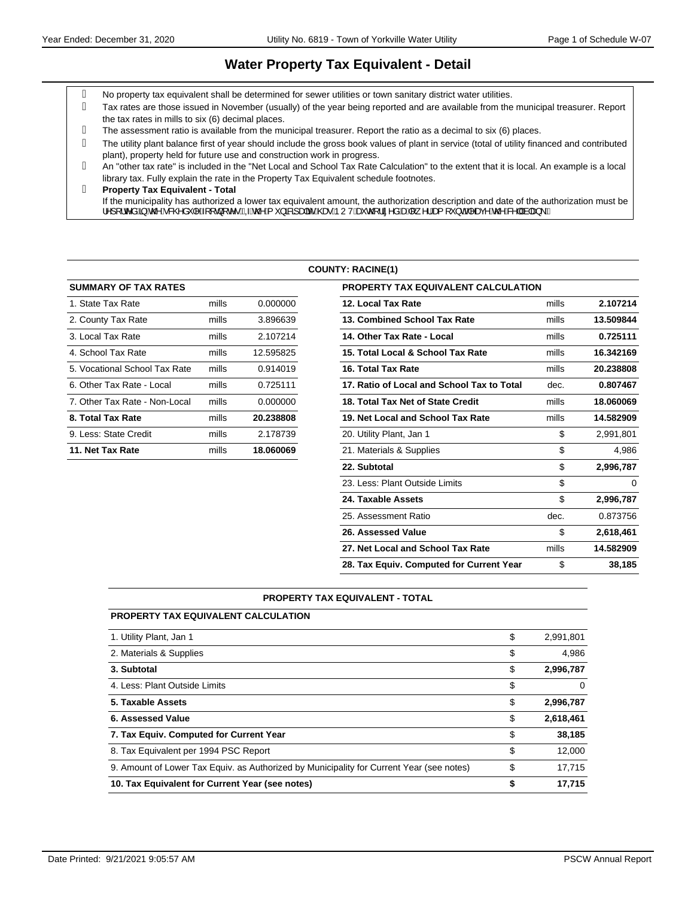#### **Water Property Tax Equivalent - Detail**

- No property tax equivalent shall be determined for sewer utilities or town sanitary district water utilities.
- Tax rates are those issued in November (usually) of the year being reported and are available from the municipal treasurer. Report the tax rates in mills to six (6) decimal places.
- The assessment ratio is available from the municipal treasurer. Report the ratio as a decimal to six (6) places.
- The utility plant balance first of year should include the gross book values of plant in service (total of utility financed and contributed plant), property held for future use and construction work in progress.
- An "other tax rate" is included in the "Net Local and School Tax Rate Calculation" to the extent that it is local. An example is a local library tax. Fully explain the rate in the Property Tax Equivalent schedule footnotes.
- **Property Tax Equivalent Total** If the municipality has authorized a lower tax equivalent amount, the authorization description and date of the authorization must be ¦^][¦c^åQ§Áx@Á&@åˇ|^Á{[ç}[c^∙BÁQÁx@Á{ˇ}āRz]a#āćÁ@eoÁÞUVÁæčo@¦ã^åÁæÁ∥¸^¦Áea{[ˇ}dBĂ^a@Á&^||Ás|aa}\BÁ

#### **COUNTY: RACINE(1)**

| <b>SUMMARY OF TAX RATES</b>   |       |           | <b>PROPERTY TAX EQUIVALENT CALCULATION</b> |
|-------------------------------|-------|-----------|--------------------------------------------|
| 1. State Tax Rate             | mills | 0.000000  | 12. Local Tax Rate                         |
| 2. County Tax Rate            | mills | 3.896639  | 13. Combined School Tax Rate               |
| 3. Local Tax Rate             | mills | 2.107214  | 14. Other Tax Rate - Local                 |
| 4. School Tax Rate            | mills | 12.595825 | 15. Total Local & School Tax Rate          |
| 5. Vocational School Tax Rate | mills | 0.914019  | 16. Total Tax Rate                         |
| 6. Other Tax Rate - Local     | mills | 0.725111  | 17. Ratio of Local and School Tax to Total |
| 7. Other Tax Rate - Non-Local | mills | 0.000000  | 18. Total Tax Net of State Credit          |
| 8. Total Tax Rate             | mills | 20.238808 | 19. Net Local and School Tax Rate          |
| 9. Less: State Credit         | mills | 2.178739  | 20. Utility Plant, Jan 1                   |
| 11. Net Tax Rate              | mills | 18.060069 | 21. Materials & Supplies                   |
|                               |       |           |                                            |

| <b>SUMMARY OF TAX RATES</b>   |       |           | <b>PROPERTY TAX EQUIVALENT CALCULATION</b> |       |           |
|-------------------------------|-------|-----------|--------------------------------------------|-------|-----------|
| 1. State Tax Rate             | mills | 0.000000  | 12. Local Tax Rate                         | mills | 2.107214  |
| 2. County Tax Rate            | mills | 3.896639  | 13. Combined School Tax Rate               | mills | 13.509844 |
| 3. Local Tax Rate             | mills | 2.107214  | 14. Other Tax Rate - Local                 | mills | 0.725111  |
| 4. School Tax Rate            | mills | 12.595825 | 15. Total Local & School Tax Rate          | mills | 16.342169 |
| 5. Vocational School Tax Rate | mills | 0.914019  | 16. Total Tax Rate                         | mills | 20.238808 |
| 6. Other Tax Rate - Local     | mills | 0.725111  | 17. Ratio of Local and School Tax to Total | dec.  | 0.807467  |
| 7. Other Tax Rate - Non-Local | mills | 0.000000  | 18. Total Tax Net of State Credit          | mills | 18.060069 |
| 8. Total Tax Rate             | mills | 20.238808 | 19. Net Local and School Tax Rate          | mills | 14.582909 |
| 9. Less: State Credit         | mills | 2.178739  | 20. Utility Plant, Jan 1                   | \$    | 2,991,801 |
| 11. Net Tax Rate              | mills | 18.060069 | 21. Materials & Supplies                   | \$    | 4,986     |
|                               |       |           | 22. Subtotal                               | \$    | 2,996,787 |
|                               |       |           | 23. Less: Plant Outside Limits             | \$    | $\Omega$  |
|                               |       |           | 24. Taxable Assets                         | \$    | 2,996,787 |
|                               |       |           | 25. Assessment Ratio                       | dec.  | 0.873756  |
|                               |       |           | 26. Assessed Value                         | \$    | 2,618,461 |
|                               |       |           | 27. Net Local and School Tax Rate          | mills | 14.582909 |
|                               |       |           | 28. Tax Equiv. Computed for Current Year   | \$    | 38,185    |

#### **PROPERTY TAX EQUIVALENT - TOTAL**

| <b>PROPERTY TAX EQUIVALENT CALCULATION</b>                                               |                 |
|------------------------------------------------------------------------------------------|-----------------|
| 1. Utility Plant, Jan 1                                                                  | \$<br>2,991,801 |
| 2. Materials & Supplies                                                                  | \$<br>4.986     |
| 3. Subtotal                                                                              | \$<br>2,996,787 |
| 4. Less: Plant Outside Limits                                                            | \$<br>0         |
| 5. Taxable Assets                                                                        | \$<br>2,996,787 |
| 6. Assessed Value                                                                        | \$<br>2,618,461 |
| 7. Tax Equiv. Computed for Current Year                                                  | \$<br>38,185    |
| 8. Tax Equivalent per 1994 PSC Report                                                    | \$<br>12,000    |
| 9. Amount of Lower Tax Equiv. as Authorized by Municipality for Current Year (see notes) | \$<br>17.715    |
| 10. Tax Equivalent for Current Year (see notes)                                          | \$<br>17.715    |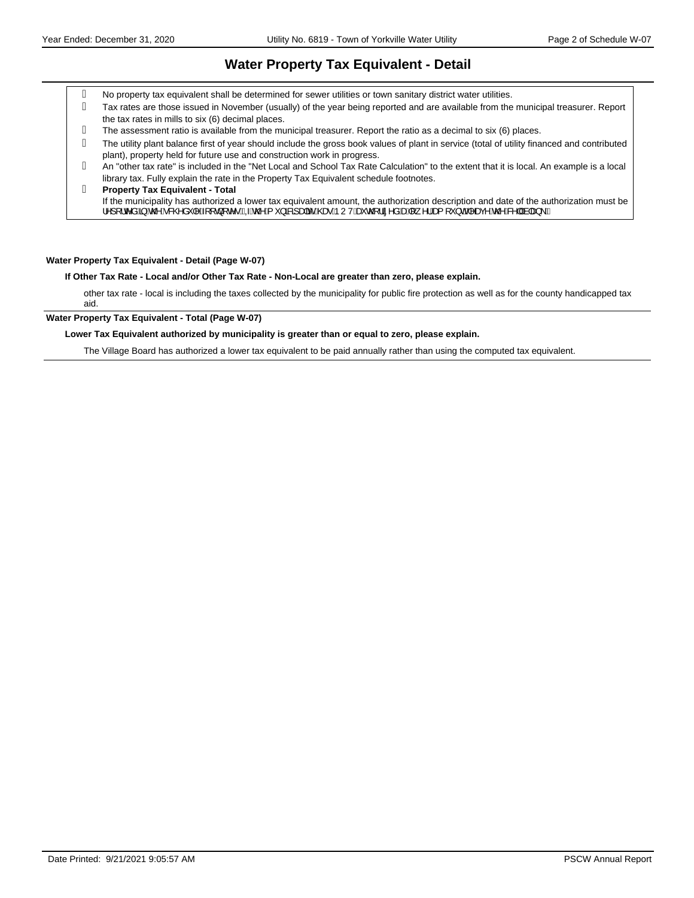#### **Water Property Tax Equivalent - Detail**

- No property tax equivalent shall be determined for sewer utilities or town sanitary district water utilities.
- Tax rates are those issued in November (usually) of the year being reported and are available from the municipal treasurer. Report the tax rates in mills to six (6) decimal places.
- The assessment ratio is available from the municipal treasurer. Report the ratio as a decimal to six (6) places.
- The utility plant balance first of year should include the gross book values of plant in service (total of utility financed and contributed plant), property held for future use and construction work in progress.
- An "other tax rate" is included in the "Net Local and School Tax Rate Calculation" to the extent that it is local. An example is a local library tax. Fully explain the rate in the Property Tax Equivalent schedule footnotes.

#### **Property Tax Equivalent - Total** If the municipality has authorized a lower tax equivalent amount, the authorization description and date of the authorization must be ¦^][¦c^åÁ§Áo@Áo&@åˇ|^Á{[d}[c^∙ĚÁQÁo@Á{ˇ}ā8a]a‡āčÁ@eoÁÞUVÁečo@¦lã^åÁænÁ{¸^¦Áæ{[ˇ}dÉ(^azy^Áo@Á&^||Ás|a=}\ÉÁ

#### **Water Property Tax Equivalent - Detail (Page W-07)**

#### **If Other Tax Rate - Local and/or Other Tax Rate - Non-Local are greater than zero, please explain.**

other tax rate - local is including the taxes collected by the municipality for public fire protection as well as for the county handicapped tax aid.

#### **Water Property Tax Equivalent - Total (Page W-07)**

#### **Lower Tax Equivalent authorized by municipality is greater than or equal to zero, please explain.**

The Village Board has authorized a lower tax equivalent to be paid annually rather than using the computed tax equivalent.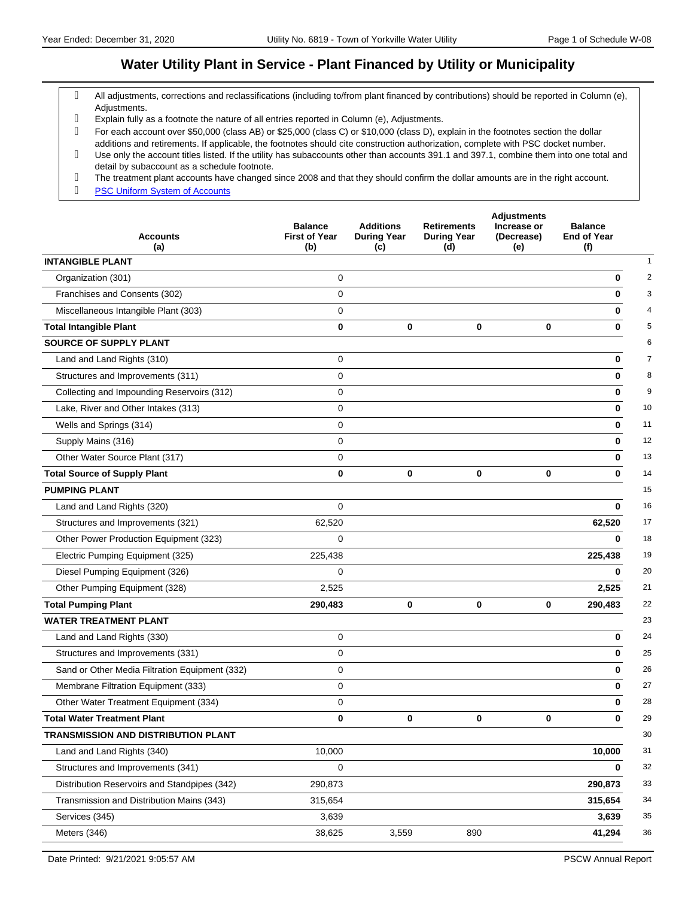#### **Water Utility Plant in Service - Plant Financed by Utility or Municipality**

- All adjustments, corrections and reclassifications (including to/from plant financed by contributions) should be reported in Column (e), Adjustments.
- Explain fully as a footnote the nature of all entries reported in Column (e), Adjustments.
- For each account over \$50,000 (class AB) or \$25,000 (class C) or \$10,000 (class D), explain in the footnotes section the dollar additions and retirements. If applicable, the footnotes should cite construction authorization, complete with PSC docket number.
- Use only the account titles listed. If the utility has subaccounts other than accounts 391.1 and 397.1, combine them into one total and detail by subaccount as a schedule footnote.
- The treatment plant accounts have changed since 2008 and that they should confirm the dollar amounts are in the right account.
- g **[PSC Uniform System of Accounts](https://psc.wi.gov/Documents/water/USOAWater.pdf)**

| <b>Accounts</b><br>(a)                         | <b>Balance</b><br><b>First of Year</b><br>(b) | <b>Additions</b><br><b>During Year</b><br>(c) | <b>Retirements</b><br><b>During Year</b><br>(d) | <b>Adjustments</b><br>Increase or<br>(Decrease)<br>(e) | <b>Balance</b><br><b>End of Year</b><br>(f) |
|------------------------------------------------|-----------------------------------------------|-----------------------------------------------|-------------------------------------------------|--------------------------------------------------------|---------------------------------------------|
| <b>INTANGIBLE PLANT</b>                        |                                               |                                               |                                                 |                                                        | 1                                           |
| Organization (301)                             | 0                                             |                                               |                                                 |                                                        | $\overline{\mathbf{c}}$<br>$\bf{0}$         |
| Franchises and Consents (302)                  | $\mathbf 0$                                   |                                               |                                                 |                                                        | 3<br>$\bf{0}$                               |
| Miscellaneous Intangible Plant (303)           | $\mathbf 0$                                   |                                               |                                                 |                                                        | 4<br>0                                      |
| <b>Total Intangible Plant</b>                  | $\mathbf 0$                                   | 0                                             | 0                                               | $\bf{0}$                                               | 5<br>0                                      |
| <b>SOURCE OF SUPPLY PLANT</b>                  |                                               |                                               |                                                 |                                                        | 6                                           |
| Land and Land Rights (310)                     | $\mathbf 0$                                   |                                               |                                                 |                                                        | $\overline{7}$<br>$\bf{0}$                  |
| Structures and Improvements (311)              | $\mathbf 0$                                   |                                               |                                                 |                                                        | 8<br>$\bf{0}$                               |
| Collecting and Impounding Reservoirs (312)     | 0                                             |                                               |                                                 |                                                        | 9<br>0                                      |
| Lake, River and Other Intakes (313)            | $\mathbf 0$                                   |                                               |                                                 |                                                        | $\bf{0}$<br>10                              |
| Wells and Springs (314)                        | 0                                             |                                               |                                                 |                                                        | 11<br>0                                     |
| Supply Mains (316)                             | $\mathbf 0$                                   |                                               |                                                 |                                                        | 12<br>0                                     |
| Other Water Source Plant (317)                 | $\mathbf 0$                                   |                                               |                                                 |                                                        | 13<br>0                                     |
| <b>Total Source of Supply Plant</b>            | $\bf{0}$                                      | 0                                             | 0                                               | $\bf{0}$                                               | 14<br>0                                     |
| <b>PUMPING PLANT</b>                           |                                               |                                               |                                                 |                                                        | 15                                          |
| Land and Land Rights (320)                     | $\mathbf 0$                                   |                                               |                                                 |                                                        | 16<br>0                                     |
| Structures and Improvements (321)              | 62,520                                        |                                               |                                                 |                                                        | 62,520<br>17                                |
| Other Power Production Equipment (323)         | 0                                             |                                               |                                                 |                                                        | 18<br>$\bf{0}$                              |
| Electric Pumping Equipment (325)               | 225,438                                       |                                               |                                                 |                                                        | 19<br>225,438                               |
| Diesel Pumping Equipment (326)                 | $\Omega$                                      |                                               |                                                 |                                                        | 20<br>$\mathbf{0}$                          |
| Other Pumping Equipment (328)                  | 2,525                                         |                                               |                                                 |                                                        | 21<br>2,525                                 |
| <b>Total Pumping Plant</b>                     | 290,483                                       | 0                                             | 0                                               | $\bf{0}$                                               | 22<br>290,483                               |
| <b>WATER TREATMENT PLANT</b>                   |                                               |                                               |                                                 |                                                        | 23                                          |
| Land and Land Rights (330)                     | 0                                             |                                               |                                                 |                                                        | 24<br>0                                     |
| Structures and Improvements (331)              | $\mathbf 0$                                   |                                               |                                                 |                                                        | 25<br>0                                     |
| Sand or Other Media Filtration Equipment (332) | 0                                             |                                               |                                                 |                                                        | 26<br>0                                     |
| Membrane Filtration Equipment (333)            | 0                                             |                                               |                                                 |                                                        | 27<br>0                                     |
| Other Water Treatment Equipment (334)          | 0                                             |                                               |                                                 |                                                        | 28<br>0                                     |
| <b>Total Water Treatment Plant</b>             | 0                                             | 0                                             | 0                                               | $\Omega$                                               | 29<br>0                                     |
| <b>TRANSMISSION AND DISTRIBUTION PLANT</b>     |                                               |                                               |                                                 |                                                        | 30                                          |
| Land and Land Rights (340)                     | 10,000                                        |                                               |                                                 |                                                        | 31<br>10,000                                |
| Structures and Improvements (341)              | 0                                             |                                               |                                                 |                                                        | 32<br>0                                     |
| Distribution Reservoirs and Standpipes (342)   | 290,873                                       |                                               |                                                 |                                                        | $33\,$<br>290,873                           |
| Transmission and Distribution Mains (343)      | 315,654                                       |                                               |                                                 |                                                        | 34<br>315,654                               |
| Services (345)                                 | 3,639                                         |                                               |                                                 |                                                        | $35\,$<br>3,639                             |
| Meters (346)                                   | 38,625                                        | 3,559                                         | 890                                             |                                                        | 36<br>41,294                                |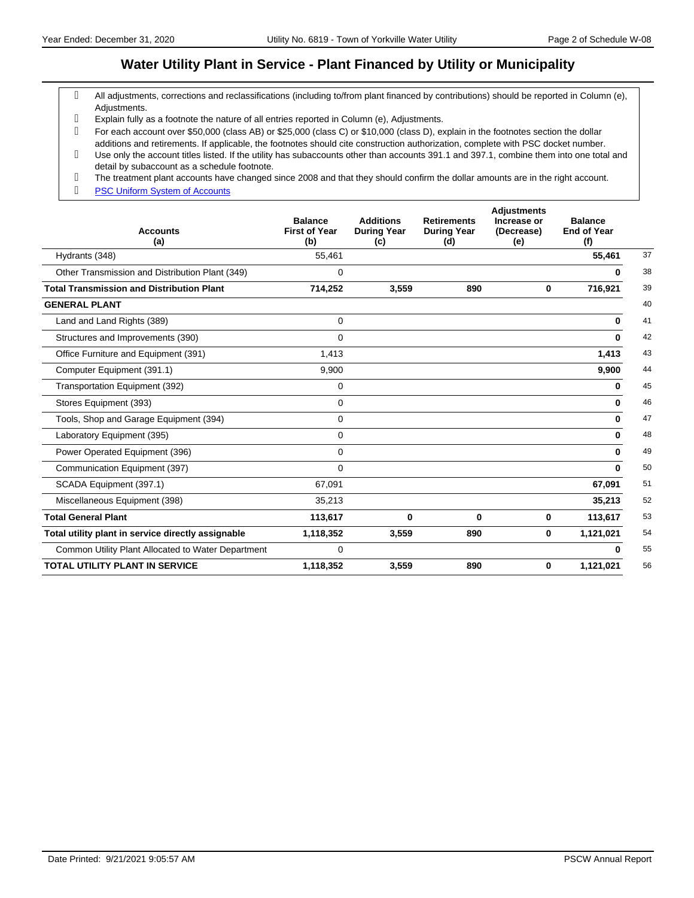#### **Water Utility Plant in Service - Plant Financed by Utility or Municipality**

- All adjustments, corrections and reclassifications (including to/from plant financed by contributions) should be reported in Column (e), Adjustments.
- Explain fully as a footnote the nature of all entries reported in Column (e), Adjustments.
- For each account over \$50,000 (class AB) or \$25,000 (class C) or \$10,000 (class D), explain in the footnotes section the dollar additions and retirements. If applicable, the footnotes should cite construction authorization, complete with PSC docket number.
- Use only the account titles listed. If the utility has subaccounts other than accounts 391.1 and 397.1, combine them into one total and detail by subaccount as a schedule footnote.
- The treatment plant accounts have changed since 2008 and that they should confirm the dollar amounts are in the right account.
- g **[PSC Uniform System of Accounts](https://psc.wi.gov/Documents/water/USOAWater.pdf)**

| <b>Accounts</b><br>(a)                             | <b>Balance</b><br><b>First of Year</b><br>(b) | <b>Additions</b><br><b>During Year</b><br>(c) | <b>Retirements</b><br><b>During Year</b><br>(d) | <b>Adjustments</b><br>Increase or<br>(Decrease)<br>(e) | <b>Balance</b><br><b>End of Year</b><br>(f) |    |
|----------------------------------------------------|-----------------------------------------------|-----------------------------------------------|-------------------------------------------------|--------------------------------------------------------|---------------------------------------------|----|
| Hydrants (348)                                     | 55,461                                        |                                               |                                                 |                                                        | 55,461                                      | 37 |
| Other Transmission and Distribution Plant (349)    | 0                                             |                                               |                                                 |                                                        | 0                                           | 38 |
| <b>Total Transmission and Distribution Plant</b>   | 714,252                                       | 3,559                                         | 890                                             | 0                                                      | 716,921                                     | 39 |
| <b>GENERAL PLANT</b>                               |                                               |                                               |                                                 |                                                        |                                             | 40 |
| Land and Land Rights (389)                         | 0                                             |                                               |                                                 |                                                        | 0                                           | 41 |
| Structures and Improvements (390)                  | $\mathbf 0$                                   |                                               |                                                 |                                                        | $\bf{0}$                                    | 42 |
| Office Furniture and Equipment (391)               | 1,413                                         |                                               |                                                 |                                                        | 1,413                                       | 43 |
| Computer Equipment (391.1)                         | 9,900                                         |                                               |                                                 |                                                        | 9,900                                       | 44 |
| Transportation Equipment (392)                     | $\mathbf 0$                                   |                                               |                                                 |                                                        | 0                                           | 45 |
| Stores Equipment (393)                             | $\mathbf 0$                                   |                                               |                                                 |                                                        | $\bf{0}$                                    | 46 |
| Tools, Shop and Garage Equipment (394)             | 0                                             |                                               |                                                 |                                                        | $\bf{0}$                                    | 47 |
| Laboratory Equipment (395)                         | 0                                             |                                               |                                                 |                                                        | 0                                           | 48 |
| Power Operated Equipment (396)                     | 0                                             |                                               |                                                 |                                                        | $\mathbf{0}$                                | 49 |
| Communication Equipment (397)                      | 0                                             |                                               |                                                 |                                                        | $\bf{0}$                                    | 50 |
| SCADA Equipment (397.1)                            | 67,091                                        |                                               |                                                 |                                                        | 67,091                                      | 51 |
| Miscellaneous Equipment (398)                      | 35,213                                        |                                               |                                                 |                                                        | 35,213                                      | 52 |
| <b>Total General Plant</b>                         | 113,617                                       | 0                                             | 0                                               | 0                                                      | 113,617                                     | 53 |
| Total utility plant in service directly assignable | 1,118,352                                     | 3,559                                         | 890                                             | 0                                                      | 1,121,021                                   | 54 |
| Common Utility Plant Allocated to Water Department | 0                                             |                                               |                                                 |                                                        | 0                                           | 55 |
| <b>TOTAL UTILITY PLANT IN SERVICE</b>              | 1,118,352                                     | 3,559                                         | 890                                             | 0                                                      | 1,121,021                                   | 56 |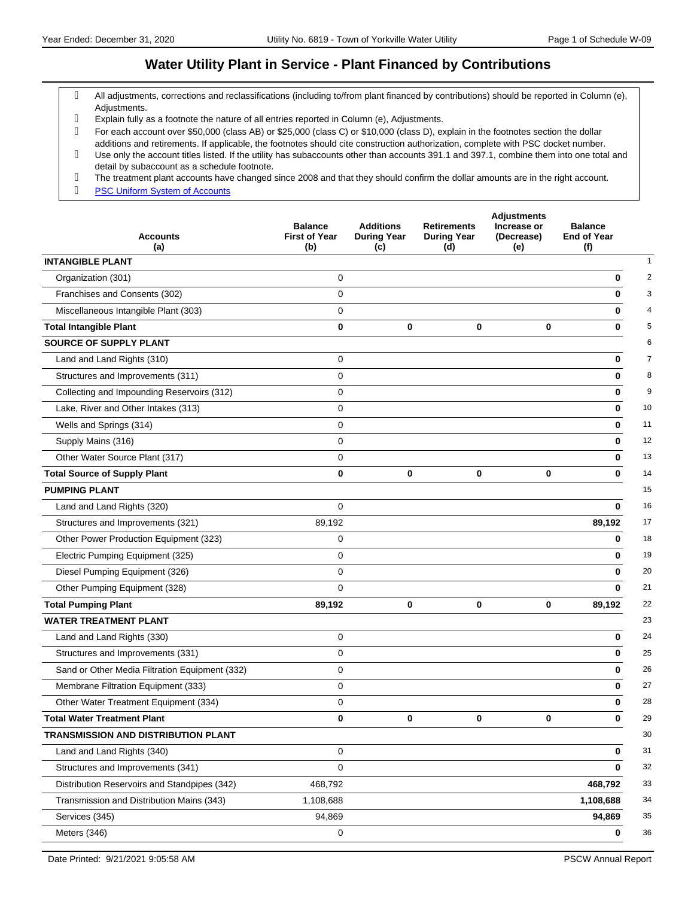#### **Water Utility Plant in Service - Plant Financed by Contributions**

- All adjustments, corrections and reclassifications (including to/from plant financed by contributions) should be reported in Column (e), Adjustments.
- Explain fully as a footnote the nature of all entries reported in Column (e), Adjustments.
- For each account over \$50,000 (class AB) or \$25,000 (class C) or \$10,000 (class D), explain in the footnotes section the dollar additions and retirements. If applicable, the footnotes should cite construction authorization, complete with PSC docket number.
- Use only the account titles listed. If the utility has subaccounts other than accounts 391.1 and 397.1, combine them into one total and detail by subaccount as a schedule footnote.
- The treatment plant accounts have changed since 2008 and that they should confirm the dollar amounts are in the right account.
- g **[PSC Uniform System of Accounts](https://psc.wi.gov/Documents/water/USOAWater.pdf)**

| <b>Accounts</b><br>(a)                         | <b>Balance</b><br><b>First of Year</b><br>(b) | <b>Additions</b><br><b>During Year</b><br>(c) | <b>Retirements</b><br><b>During Year</b><br>(d) | <b>Adjustments</b><br>Increase or<br>(Decrease)<br>(e) | <b>Balance</b><br><b>End of Year</b><br>(f) |
|------------------------------------------------|-----------------------------------------------|-----------------------------------------------|-------------------------------------------------|--------------------------------------------------------|---------------------------------------------|
| <b>INTANGIBLE PLANT</b>                        |                                               |                                               |                                                 |                                                        |                                             |
| Organization (301)                             | 0                                             |                                               |                                                 |                                                        | 0                                           |
| Franchises and Consents (302)                  | $\mathbf 0$                                   |                                               |                                                 |                                                        | $\bf{0}$                                    |
| Miscellaneous Intangible Plant (303)           | $\mathbf 0$                                   |                                               |                                                 |                                                        | $\bf{0}$                                    |
| <b>Total Intangible Plant</b>                  | $\mathbf{0}$                                  | 0                                             | 0                                               | $\mathbf 0$                                            | 0                                           |
| <b>SOURCE OF SUPPLY PLANT</b>                  |                                               |                                               |                                                 |                                                        |                                             |
| Land and Land Rights (310)                     | 0                                             |                                               |                                                 |                                                        | 0                                           |
| Structures and Improvements (311)              | 0                                             |                                               |                                                 |                                                        | 0                                           |
| Collecting and Impounding Reservoirs (312)     | $\mathbf 0$                                   |                                               |                                                 |                                                        | $\bf{0}$                                    |
| Lake, River and Other Intakes (313)            | $\mathbf 0$                                   |                                               |                                                 |                                                        | 10<br>0                                     |
| Wells and Springs (314)                        | $\mathbf 0$                                   |                                               |                                                 |                                                        | 11<br>0                                     |
| Supply Mains (316)                             | 0                                             |                                               |                                                 |                                                        | 12<br>0                                     |
| Other Water Source Plant (317)                 | 0                                             |                                               |                                                 |                                                        | 13<br>0                                     |
| <b>Total Source of Supply Plant</b>            | $\bf{0}$                                      | 0                                             | 0                                               | $\mathbf 0$                                            | 14<br>$\bf{0}$                              |
| <b>PUMPING PLANT</b>                           |                                               |                                               |                                                 |                                                        | 15                                          |
| Land and Land Rights (320)                     | $\mathbf 0$                                   |                                               |                                                 |                                                        | 16<br>0                                     |
| Structures and Improvements (321)              | 89,192                                        |                                               |                                                 |                                                        | 17<br>89,192                                |
| Other Power Production Equipment (323)         | 0                                             |                                               |                                                 |                                                        | 18<br>0                                     |
| Electric Pumping Equipment (325)               | $\mathbf 0$                                   |                                               |                                                 |                                                        | 19<br>$\bf{0}$                              |
| Diesel Pumping Equipment (326)                 | $\mathbf 0$                                   |                                               |                                                 |                                                        | 20<br>$\bf{0}$                              |
| Other Pumping Equipment (328)                  | $\mathbf 0$                                   |                                               |                                                 |                                                        | 21<br>$\bf{0}$                              |
| <b>Total Pumping Plant</b>                     | 89,192                                        | 0                                             | 0                                               | 0                                                      | 22<br>89,192                                |
| <b>WATER TREATMENT PLANT</b>                   |                                               |                                               |                                                 |                                                        | 23                                          |
| Land and Land Rights (330)                     | 0                                             |                                               |                                                 |                                                        | 24<br>0                                     |
| Structures and Improvements (331)              | $\mathbf 0$                                   |                                               |                                                 |                                                        | 25<br>0                                     |
| Sand or Other Media Filtration Equipment (332) | 0                                             |                                               |                                                 |                                                        | 26<br>0                                     |
| Membrane Filtration Equipment (333)            | 0                                             |                                               |                                                 |                                                        | 27<br>0                                     |
| Other Water Treatment Equipment (334)          | $\pmb{0}$                                     |                                               |                                                 |                                                        | 28<br>0                                     |
| <b>Total Water Treatment Plant</b>             | $\bf{0}$                                      | 0                                             | 0                                               | $\bf{0}$                                               | 29<br>0                                     |
| TRANSMISSION AND DISTRIBUTION PLANT            |                                               |                                               |                                                 |                                                        | 30                                          |
| Land and Land Rights (340)                     | 0                                             |                                               |                                                 |                                                        | 31<br>0                                     |
| Structures and Improvements (341)              | 0                                             |                                               |                                                 |                                                        | 32<br>0                                     |
| Distribution Reservoirs and Standpipes (342)   | 468,792                                       |                                               |                                                 |                                                        | 33<br>468,792                               |
| Transmission and Distribution Mains (343)      | 1,108,688                                     |                                               |                                                 |                                                        | 34<br>1,108,688                             |
| Services (345)                                 | 94,869                                        |                                               |                                                 |                                                        | 35<br>94,869                                |
| Meters (346)                                   | 0                                             |                                               |                                                 |                                                        | 36<br>0                                     |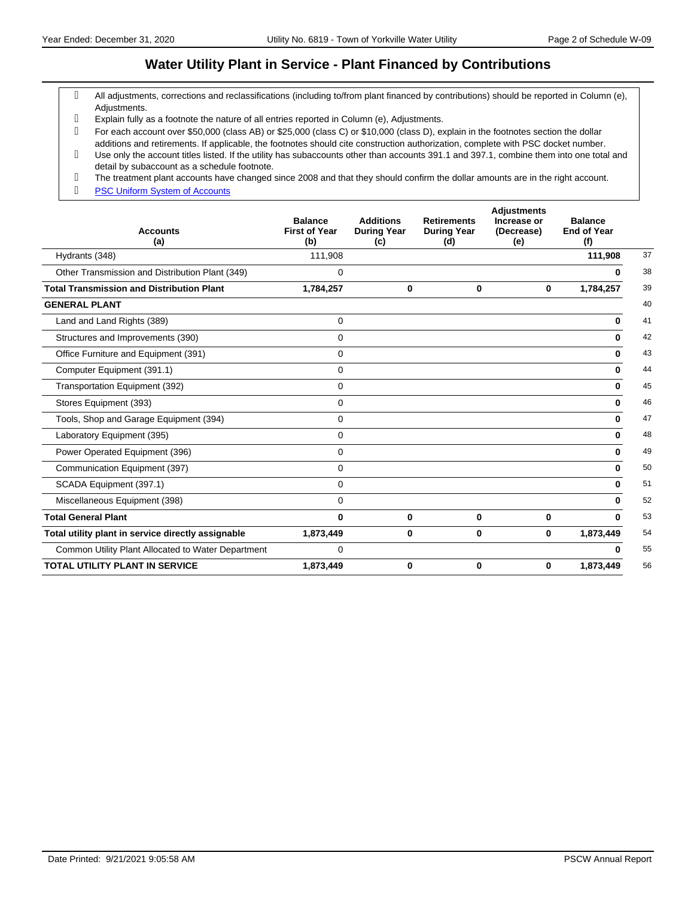#### **Water Utility Plant in Service - Plant Financed by Contributions**

- All adjustments, corrections and reclassifications (including to/from plant financed by contributions) should be reported in Column (e), Adjustments.
- Explain fully as a footnote the nature of all entries reported in Column (e), Adjustments.
- For each account over \$50,000 (class AB) or \$25,000 (class C) or \$10,000 (class D), explain in the footnotes section the dollar additions and retirements. If applicable, the footnotes should cite construction authorization, complete with PSC docket number.
- Use only the account titles listed. If the utility has subaccounts other than accounts 391.1 and 397.1, combine them into one total and detail by subaccount as a schedule footnote.
- The treatment plant accounts have changed since 2008 and that they should confirm the dollar amounts are in the right account.
- g **[PSC Uniform System of Accounts](https://psc.wi.gov/Documents/water/USOAWater.pdf)**

| <b>Accounts</b><br>(a)                             | <b>Balance</b><br><b>First of Year</b><br>(b) | <b>Additions</b><br><b>During Year</b><br>(c) | <b>Retirements</b><br><b>During Year</b><br>(d) | <b>Adjustments</b><br>Increase or<br>(Decrease)<br>(e) | <b>Balance</b><br><b>End of Year</b><br>(f) |    |
|----------------------------------------------------|-----------------------------------------------|-----------------------------------------------|-------------------------------------------------|--------------------------------------------------------|---------------------------------------------|----|
| Hydrants (348)                                     | 111,908                                       |                                               |                                                 |                                                        | 111,908                                     | 37 |
| Other Transmission and Distribution Plant (349)    | 0                                             |                                               |                                                 |                                                        | 0                                           | 38 |
| <b>Total Transmission and Distribution Plant</b>   | 1,784,257                                     | 0                                             | 0                                               | 0                                                      | 1,784,257                                   | 39 |
| <b>GENERAL PLANT</b>                               |                                               |                                               |                                                 |                                                        |                                             | 40 |
| Land and Land Rights (389)                         | $\mathbf 0$                                   |                                               |                                                 |                                                        | $\bf{0}$                                    | 41 |
| Structures and Improvements (390)                  | $\mathbf 0$                                   |                                               |                                                 |                                                        | 0                                           | 42 |
| Office Furniture and Equipment (391)               | $\mathbf 0$                                   |                                               |                                                 |                                                        | 0                                           | 43 |
| Computer Equipment (391.1)                         | 0                                             |                                               |                                                 |                                                        | $\bf{0}$                                    | 44 |
| Transportation Equipment (392)                     | $\mathbf 0$                                   |                                               |                                                 |                                                        | 0                                           | 45 |
| Stores Equipment (393)                             | $\mathbf 0$                                   |                                               |                                                 |                                                        | $\bf{0}$                                    | 46 |
| Tools, Shop and Garage Equipment (394)             | 0                                             |                                               |                                                 |                                                        | $\bf{0}$                                    | 47 |
| Laboratory Equipment (395)                         | 0                                             |                                               |                                                 |                                                        | 0                                           | 48 |
| Power Operated Equipment (396)                     | 0                                             |                                               |                                                 |                                                        | 0                                           | 49 |
| Communication Equipment (397)                      | 0                                             |                                               |                                                 |                                                        | $\bf{0}$                                    | 50 |
| SCADA Equipment (397.1)                            | $\mathbf 0$                                   |                                               |                                                 |                                                        | 0                                           | 51 |
| Miscellaneous Equipment (398)                      | $\mathbf 0$                                   |                                               |                                                 |                                                        | <sup>0</sup>                                | 52 |
| <b>Total General Plant</b>                         | 0                                             | 0                                             | 0                                               | $\bf{0}$                                               | $\mathbf{0}$                                | 53 |
| Total utility plant in service directly assignable | 1,873,449                                     | 0                                             | 0                                               | $\mathbf{0}$                                           | 1,873,449                                   | 54 |
| Common Utility Plant Allocated to Water Department | 0                                             |                                               |                                                 |                                                        | 0                                           | 55 |
| <b>TOTAL UTILITY PLANT IN SERVICE</b>              | 1,873,449                                     | 0                                             | 0                                               | 0                                                      | 1,873,449                                   | 56 |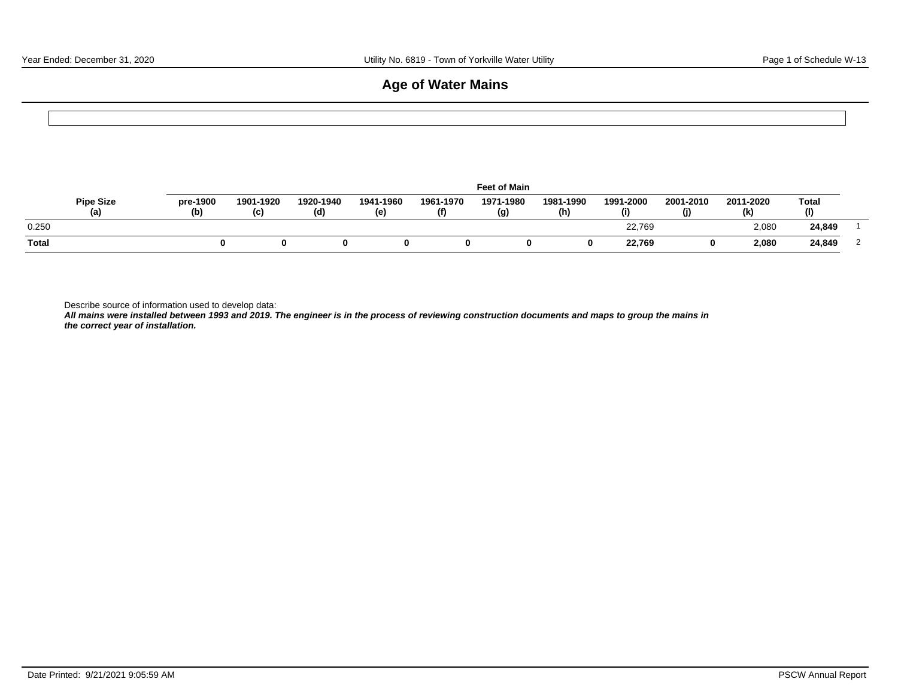### **Age of Water Mains**

|                         |                 |                  |                  |                  |                  | <b>Feet of Main</b> |                  |                  |                  |                  |                     |                |
|-------------------------|-----------------|------------------|------------------|------------------|------------------|---------------------|------------------|------------------|------------------|------------------|---------------------|----------------|
| <b>Pipe Size</b><br>(a) | pre-1900<br>(b) | 1901-1920<br>(c) | 1920-1940<br>(d) | 1941-1960<br>(e) | 1961-1970<br>(f) | 1971-1980<br>(g)    | 1981-1990<br>(h) | 1991-2000<br>(i) | 2001-2010<br>(j) | 2011-2020<br>(k) | <b>Total</b><br>(1) |                |
| 0.250                   |                 |                  |                  |                  |                  |                     |                  | 22,769           |                  | 2,080            | 24,849              |                |
| <b>Total</b>            |                 | 0                | 0                | 0                | 0                | 0                   | 0                | 22,769           | 0                | 2,080            | 24,849              | $\overline{2}$ |

Describe source of information used to develop data:

**All mains were installed between 1993 and 2019. The engineer is in the process of reviewing construction documents and maps to group the mains in the correct year of installation.**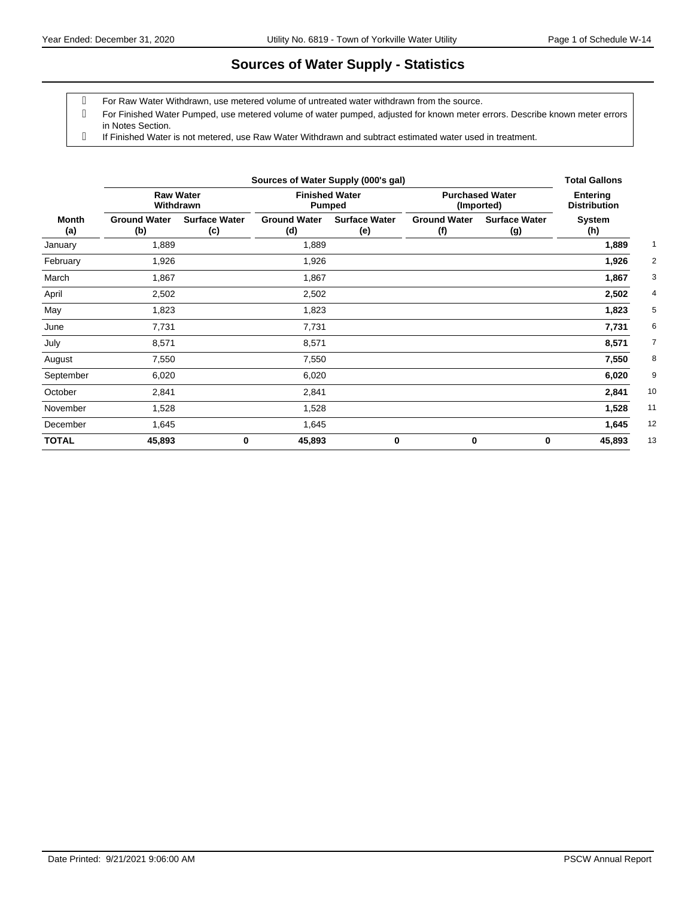# **Sources of Water Supply - Statistics**

For Raw Water Withdrawn, use metered volume of untreated water withdrawn from the source.

 For Finished Water Pumped, use metered volume of water pumped, adjusted for known meter errors. Describe known meter errors in Notes Section.

If Finished Water is not metered, use Raw Water Withdrawn and subtract estimated water used in treatment.

|                     |                            | <b>Total Gallons</b>          |                            |                                        |                                      |                                        |               |
|---------------------|----------------------------|-------------------------------|----------------------------|----------------------------------------|--------------------------------------|----------------------------------------|---------------|
|                     |                            | <b>Raw Water</b><br>Withdrawn |                            | <b>Finished Water</b><br><b>Pumped</b> | <b>Purchased Water</b><br>(Imported) | <b>Entering</b><br><b>Distribution</b> |               |
| <b>Month</b><br>(a) | <b>Ground Water</b><br>(b) | <b>Surface Water</b><br>(c)   | <b>Ground Water</b><br>(d) | <b>Surface Water</b><br>(e)            | <b>Ground Water</b><br>(f)           | <b>Surface Water</b><br>(g)            | System<br>(h) |
| January             | 1,889                      |                               | 1,889                      |                                        |                                      |                                        | 1,889         |
| February            | 1,926                      |                               | 1,926                      |                                        |                                      |                                        | 1,926         |
| March               | 1,867                      |                               | 1,867                      |                                        |                                      |                                        | 1,867         |
| April               | 2,502                      |                               | 2,502                      |                                        |                                      |                                        | 2,502         |
| May                 | 1,823                      |                               | 1,823                      |                                        |                                      |                                        | 1,823         |
| June                | 7,731                      |                               | 7,731                      |                                        |                                      |                                        | 7,731         |
| July                | 8,571                      |                               | 8,571                      |                                        |                                      |                                        | 8,571         |
| August              | 7,550                      |                               | 7,550                      |                                        |                                      |                                        | 7,550         |
| September           | 6,020                      |                               | 6,020                      |                                        |                                      |                                        | 6,020         |
| October             | 2,841                      |                               | 2,841                      |                                        |                                      |                                        | 10<br>2,841   |
| November            | 1,528                      |                               | 1,528                      |                                        |                                      |                                        | 11<br>1,528   |
| December            | 1,645                      |                               | 1,645                      |                                        |                                      |                                        | 12<br>1,645   |
| <b>TOTAL</b>        | 45,893                     | 0                             | 45,893                     | $\bf{0}$                               | 0                                    | 0                                      | 13<br>45,893  |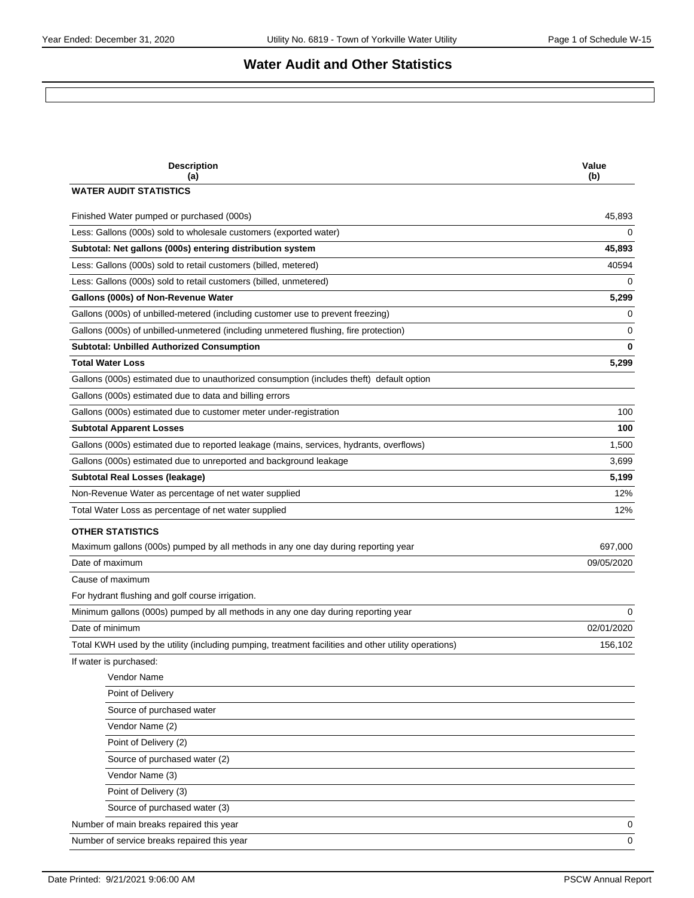# **Water Audit and Other Statistics**

| <b>Description</b><br>(a)                                                                            | Value<br>(b) |
|------------------------------------------------------------------------------------------------------|--------------|
| <b>WATER AUDIT STATISTICS</b>                                                                        |              |
| Finished Water pumped or purchased (000s)                                                            | 45,893       |
| Less: Gallons (000s) sold to wholesale customers (exported water)                                    | $\Omega$     |
| Subtotal: Net gallons (000s) entering distribution system                                            | 45,893       |
| Less: Gallons (000s) sold to retail customers (billed, metered)                                      | 40594        |
| Less: Gallons (000s) sold to retail customers (billed, unmetered)                                    | 0            |
| Gallons (000s) of Non-Revenue Water                                                                  | 5,299        |
| Gallons (000s) of unbilled-metered (including customer use to prevent freezing)                      | 0            |
| Gallons (000s) of unbilled-unmetered (including unmetered flushing, fire protection)                 | 0            |
| <b>Subtotal: Unbilled Authorized Consumption</b>                                                     | $\bf{0}$     |
| <b>Total Water Loss</b>                                                                              | 5,299        |
| Gallons (000s) estimated due to unauthorized consumption (includes theft) default option             |              |
| Gallons (000s) estimated due to data and billing errors                                              |              |
| Gallons (000s) estimated due to customer meter under-registration                                    | 100          |
| <b>Subtotal Apparent Losses</b>                                                                      | 100          |
| Gallons (000s) estimated due to reported leakage (mains, services, hydrants, overflows)              | 1,500        |
| Gallons (000s) estimated due to unreported and background leakage                                    | 3,699        |
| Subtotal Real Losses (leakage)                                                                       | 5,199        |
| Non-Revenue Water as percentage of net water supplied                                                | 12%          |
| Total Water Loss as percentage of net water supplied                                                 | 12%          |
| <b>OTHER STATISTICS</b>                                                                              |              |
| Maximum gallons (000s) pumped by all methods in any one day during reporting year                    | 697,000      |
| Date of maximum                                                                                      | 09/05/2020   |
| Cause of maximum                                                                                     |              |
| For hydrant flushing and golf course irrigation.                                                     |              |
| Minimum gallons (000s) pumped by all methods in any one day during reporting year                    | 0            |
| Date of minimum                                                                                      | 02/01/2020   |
| Total KWH used by the utility (including pumping, treatment facilities and other utility operations) | 156,102      |
| If water is purchased:                                                                               |              |
| Vendor Name                                                                                          |              |
| Point of Delivery                                                                                    |              |
| Source of purchased water                                                                            |              |
| Vendor Name (2)                                                                                      |              |
| Point of Delivery (2)                                                                                |              |
| Source of purchased water (2)                                                                        |              |
| Vendor Name (3)                                                                                      |              |
| Point of Delivery (3)                                                                                |              |
| Source of purchased water (3)                                                                        |              |
| Number of main breaks repaired this year                                                             |              |
| Number of service breaks repaired this year                                                          | 0<br>0       |
|                                                                                                      |              |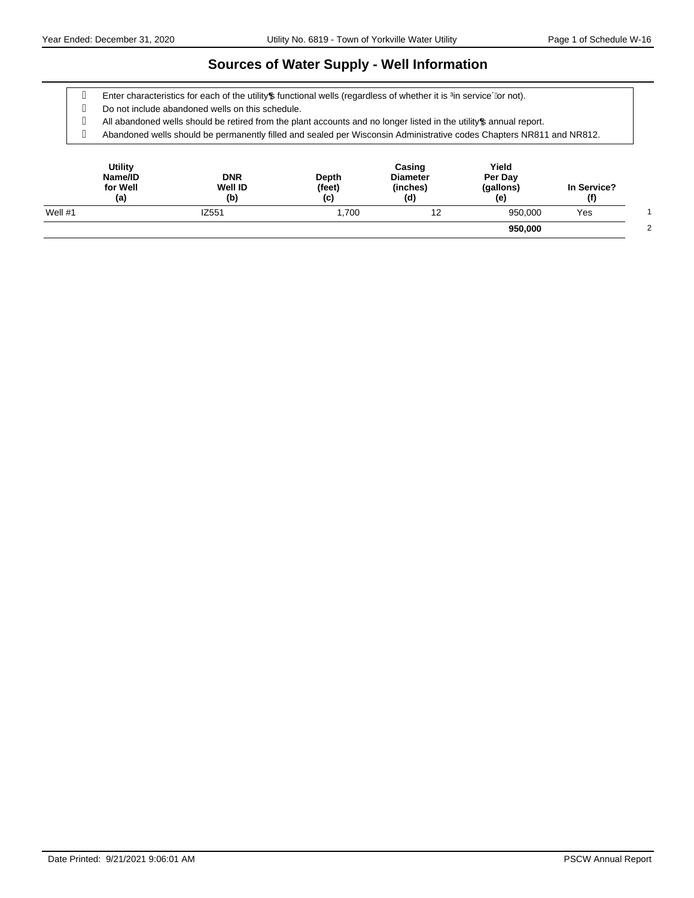#### **Sources of Water Supply - Well Information**

g Enter characteristics for each of the utility pfunctional wells (regardless of whether it is ‰ service+or not).

Do not include abandoned wells on this schedule.

g All abandoned wells should be retired from the plant accounts and no longer listed in the utility annual report.

Abandoned wells should be permanently filled and sealed per Wisconsin Administrative codes Chapters NR811 and NR812.

| <b>Utility</b><br>Name/ID<br>for Well<br>(a) | <b>DNR</b><br><b>Well ID</b><br>(b) | Depth<br>(feet)<br>(c) | Casing<br><b>Diameter</b><br>(inches)<br>(d) | Yield<br>Per Day<br>(gallons)<br>(e) | In Service?<br>(f) |  |
|----------------------------------------------|-------------------------------------|------------------------|----------------------------------------------|--------------------------------------|--------------------|--|
| Well $#1$                                    | IZ551                               | 1.700                  | 12                                           | 950,000                              | Yes                |  |
|                                              |                                     |                        |                                              | 950,000                              |                    |  |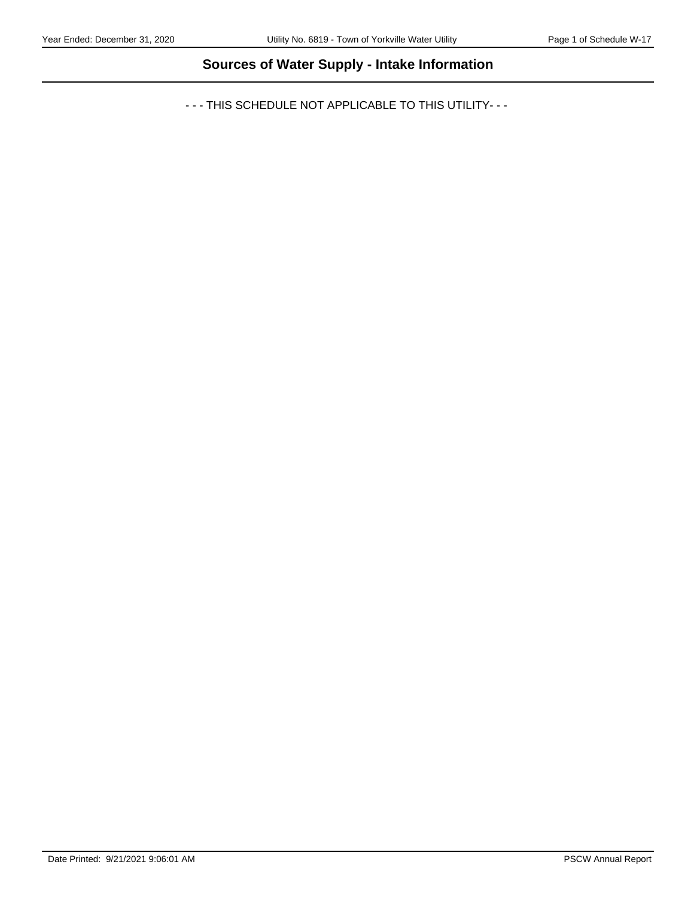# **Sources of Water Supply - Intake Information**

- - - THIS SCHEDULE NOT APPLICABLE TO THIS UTILITY- - -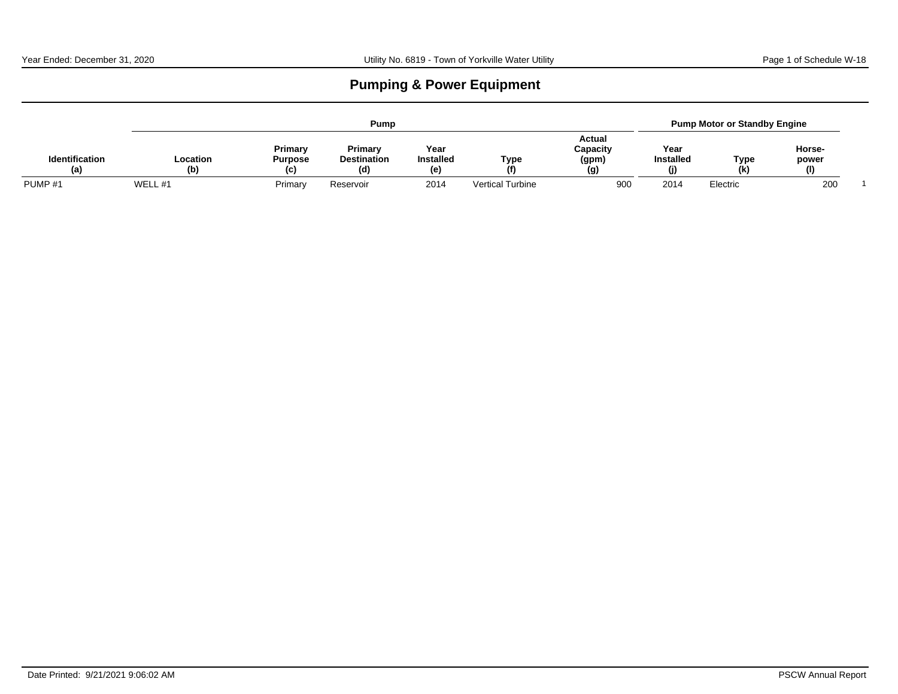# **Pumping & Power Equipment**

|                              |                 |                                  | Pump                                |                                |                         |                                    |                               | <b>Pump Motor or Standby Engine</b> |                        |  |
|------------------------------|-----------------|----------------------------------|-------------------------------------|--------------------------------|-------------------------|------------------------------------|-------------------------------|-------------------------------------|------------------------|--|
| <b>Identification</b><br>(a) | Location<br>(b) | Primary<br><b>Purpose</b><br>(C) | Primary<br><b>Destination</b><br>(ď | Year<br><b>Installed</b><br>(e | <b>Type</b><br>(f)      | Actual<br>Capacity<br>(gpm)<br>(g) | Year<br><b>Installed</b><br>O | Type<br>(k)                         | Horse-<br>power<br>(I) |  |
| PUMP <sub>#1</sub>           | WELL #1         | Primary                          | Reservoir                           | 2014                           | <b>Vertical Turbine</b> | 900                                | 2014                          | Electric                            | 200                    |  |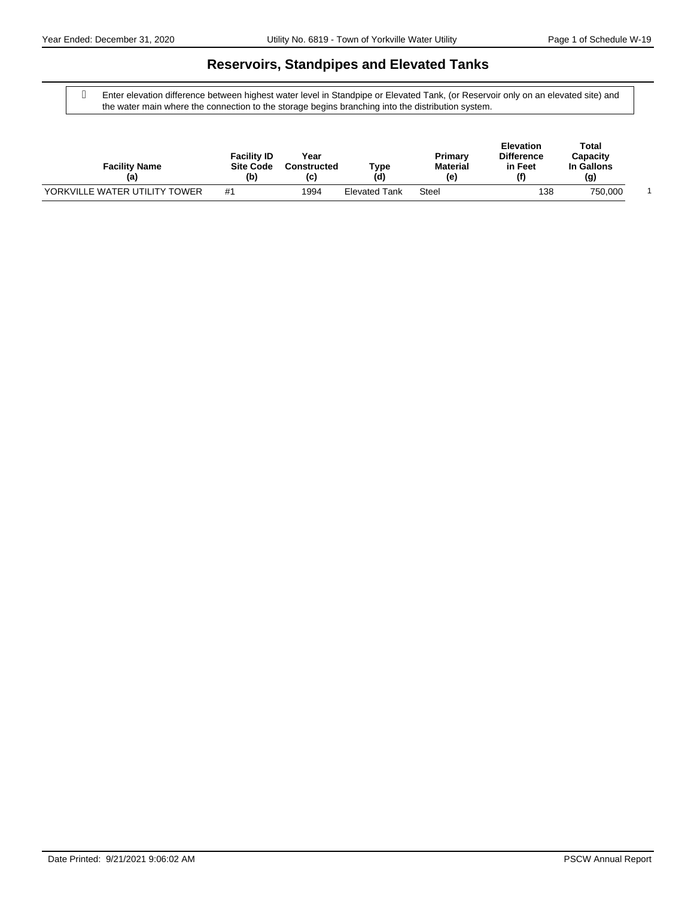### **Reservoirs, Standpipes and Elevated Tanks**

 Enter elevation difference between highest water level in Standpipe or Elevated Tank, (or Reservoir only on an elevated site) and the water main where the connection to the storage begins branching into the distribution system.

| <b>Facility Name</b><br>(a)   | <b>Facility ID</b><br><b>Site Code</b><br>(b) | Year<br><b>Constructed</b><br>(c) | ⊤уре<br>(d)          | Primary<br><b>Material</b><br>(e) | <b>Elevation</b><br><b>Difference</b><br>in Feet<br>(f) | Total<br>Capacity<br>In Gallons<br>(g) |  |
|-------------------------------|-----------------------------------------------|-----------------------------------|----------------------|-----------------------------------|---------------------------------------------------------|----------------------------------------|--|
| YORKVILLE WATER UTILITY TOWER | #1                                            | 1994                              | <b>Elevated Tank</b> | Steel                             | 138                                                     | 750.000                                |  |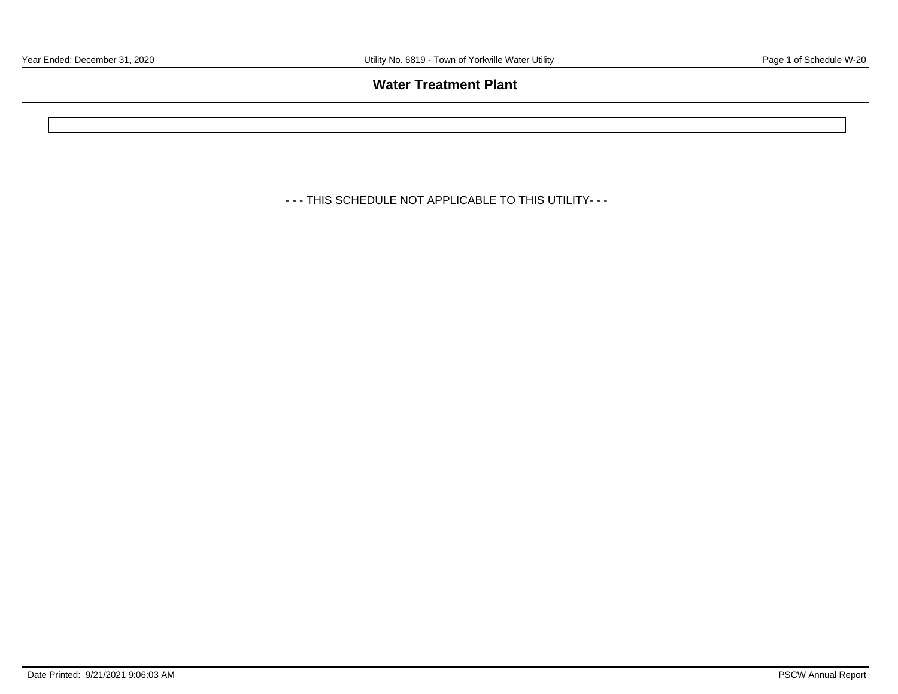### **Water Treatment Plant**

- - - THIS SCHEDULE NOT APPLICABLE TO THIS UTILITY- - -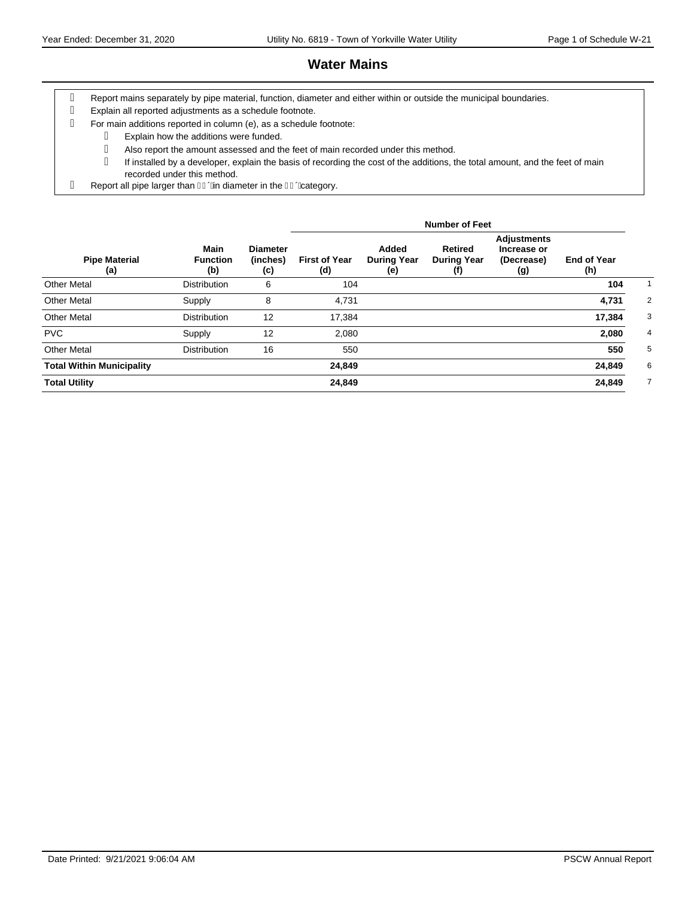# **Water Mains**

- Report mains separately by pipe material, function, diameter and either within or outside the municipal boundaries.
- Explain all reported adjustments as a schedule footnote.
- For main additions reported in column (e), as a schedule footnote:
- Explain how the additions were funded. Also report the amount assessed and the feet of main recorded under this method. If installed by a developer, explain the basis of recording the cost of the additions, the total amount, and the feet of main recorded under this method.
- g Report all pipe larger than  $\overline{\mathsf{I}}$  Given diameter in the  $\overline{\mathsf{I}}$  Given Given Given Bin

|                                  |                                       |                                    |                             |                                    | <b>Number of Feet</b>                       |                                                        |                           |                |
|----------------------------------|---------------------------------------|------------------------------------|-----------------------------|------------------------------------|---------------------------------------------|--------------------------------------------------------|---------------------------|----------------|
| <b>Pipe Material</b><br>(a)      | <b>Main</b><br><b>Function</b><br>(b) | <b>Diameter</b><br>(inches)<br>(c) | <b>First of Year</b><br>(d) | Added<br><b>During Year</b><br>(e) | <b>Retired</b><br><b>During Year</b><br>(†) | <b>Adjustments</b><br>Increase or<br>(Decrease)<br>(g) | <b>End of Year</b><br>(h) |                |
| <b>Other Metal</b>               | <b>Distribution</b>                   | 6                                  | 104                         |                                    |                                             |                                                        | 104                       |                |
| <b>Other Metal</b>               | Supply                                | 8                                  | 4,731                       |                                    |                                             |                                                        | 4,731                     | 2              |
| <b>Other Metal</b>               | <b>Distribution</b>                   | 12                                 | 17,384                      |                                    |                                             |                                                        | 17,384                    | 3              |
| <b>PVC</b>                       | Supply                                | 12                                 | 2,080                       |                                    |                                             |                                                        | 2,080                     | 4              |
| <b>Other Metal</b>               | <b>Distribution</b>                   | 16                                 | 550                         |                                    |                                             |                                                        | 550                       | 5              |
| <b>Total Within Municipality</b> |                                       |                                    | 24,849                      |                                    |                                             |                                                        | 24,849                    | 6              |
| <b>Total Utility</b>             |                                       |                                    | 24,849                      |                                    |                                             |                                                        | 24,849                    | $\overline{7}$ |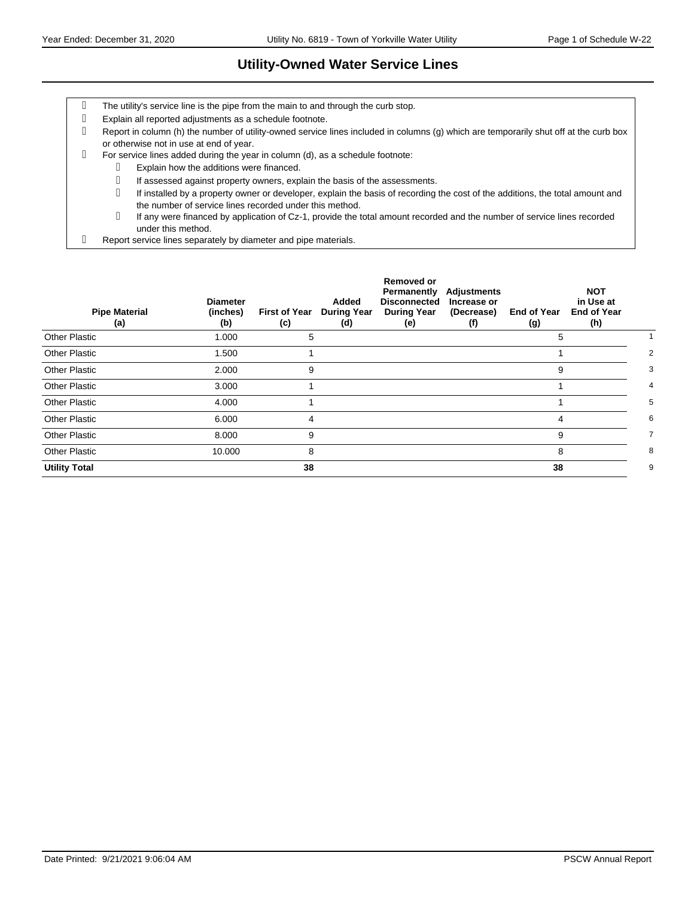#### **Utility-Owned Water Service Lines**

- The utility's service line is the pipe from the main to and through the curb stop.
- Explain all reported adjustments as a schedule footnote.
- Report in column (h) the number of utility-owned service lines included in columns (g) which are temporarily shut off at the curb box or otherwise not in use at end of year.
- For service lines added during the year in column (d), as a schedule footnote:
	- Explain how the additions were financed.

If assessed against property owners, explain the basis of the assessments.

- If installed by a property owner or developer, explain the basis of recording the cost of the additions, the total amount and the number of service lines recorded under this method.
- If any were financed by application of Cz-1, provide the total amount recorded and the number of service lines recorded under this method.
- Report service lines separately by diameter and pipe materials.

| <b>Pipe Material</b><br>(a) | <b>Diameter</b><br>(inches)<br>(b) | <b>First of Year</b><br>(c) | Added<br><b>During Year</b><br>(d) | <b>Removed or</b><br>Permanently<br><b>Disconnected</b><br><b>During Year</b><br>(e) | <b>Adjustments</b><br>Increase or<br>(Decrease)<br>(f) | <b>End of Year</b><br>(g) | <b>NOT</b><br>in Use at<br><b>End of Year</b><br>(h) |   |
|-----------------------------|------------------------------------|-----------------------------|------------------------------------|--------------------------------------------------------------------------------------|--------------------------------------------------------|---------------------------|------------------------------------------------------|---|
| <b>Other Plastic</b>        | 1.000                              | 5                           |                                    |                                                                                      |                                                        | 5                         |                                                      |   |
| <b>Other Plastic</b>        | 1.500                              |                             |                                    |                                                                                      |                                                        |                           |                                                      | 2 |
| <b>Other Plastic</b>        | 2.000                              | 9                           |                                    |                                                                                      |                                                        | 9                         |                                                      | 3 |
| <b>Other Plastic</b>        | 3.000                              |                             |                                    |                                                                                      |                                                        |                           |                                                      | 4 |
| <b>Other Plastic</b>        | 4.000                              |                             |                                    |                                                                                      |                                                        |                           |                                                      | 5 |
| <b>Other Plastic</b>        | 6.000                              | 4                           |                                    |                                                                                      |                                                        | 4                         |                                                      | 6 |
| <b>Other Plastic</b>        | 8.000                              | 9                           |                                    |                                                                                      |                                                        | 9                         |                                                      | 7 |
| <b>Other Plastic</b>        | 10.000                             | 8                           |                                    |                                                                                      |                                                        | 8                         |                                                      | 8 |
| <b>Utility Total</b>        |                                    | 38                          |                                    |                                                                                      |                                                        | 38                        |                                                      | 9 |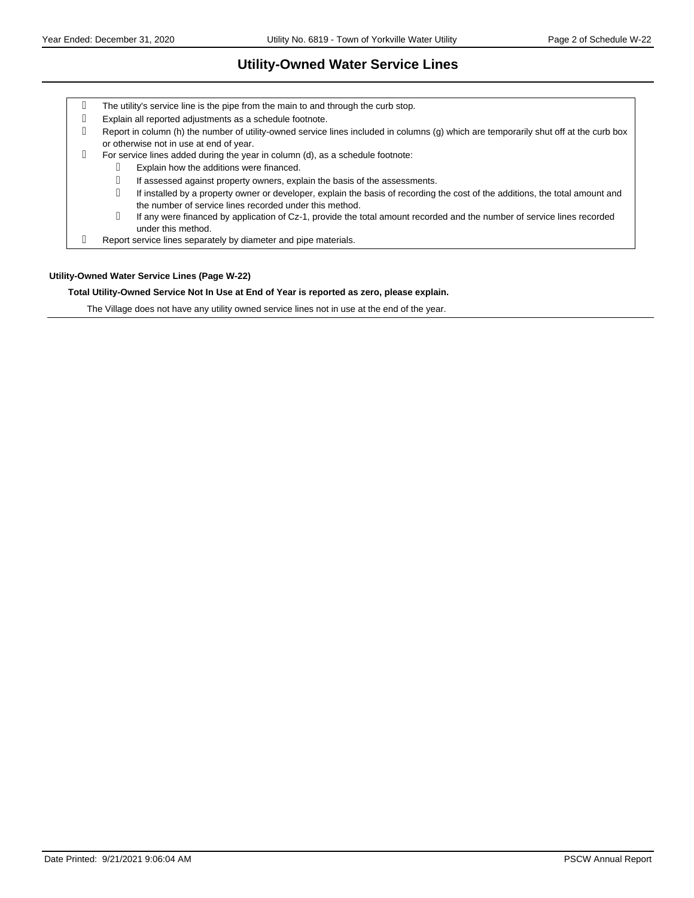# **Utility-Owned Water Service Lines**

| q | The utility's service line is the pipe from the main to and through the curb stop.                                                                                                       |
|---|------------------------------------------------------------------------------------------------------------------------------------------------------------------------------------------|
| g | Explain all reported adjustments as a schedule footnote.                                                                                                                                 |
| q | Report in column (h) the number of utility-owned service lines included in columns (g) which are temporarily shut off at the curb box<br>or otherwise not in use at end of year.         |
| q | For service lines added during the year in column (d), as a schedule footnote:                                                                                                           |
|   | Explain how the additions were financed.                                                                                                                                                 |
|   | If assessed against property owners, explain the basis of the assessments.                                                                                                               |
|   | If installed by a property owner or developer, explain the basis of recording the cost of the additions, the total amount and<br>the number of service lines recorded under this method. |
|   | If any were financed by application of Cz-1, provide the total amount recorded and the number of service lines recorded<br>under this method.                                            |
| q | Report service lines separately by diameter and pipe materials.                                                                                                                          |

#### **Utility-Owned Water Service Lines (Page W-22)**

#### **Total Utility-Owned Service Not In Use at End of Year is reported as zero, please explain.**

The Village does not have any utility owned service lines not in use at the end of the year.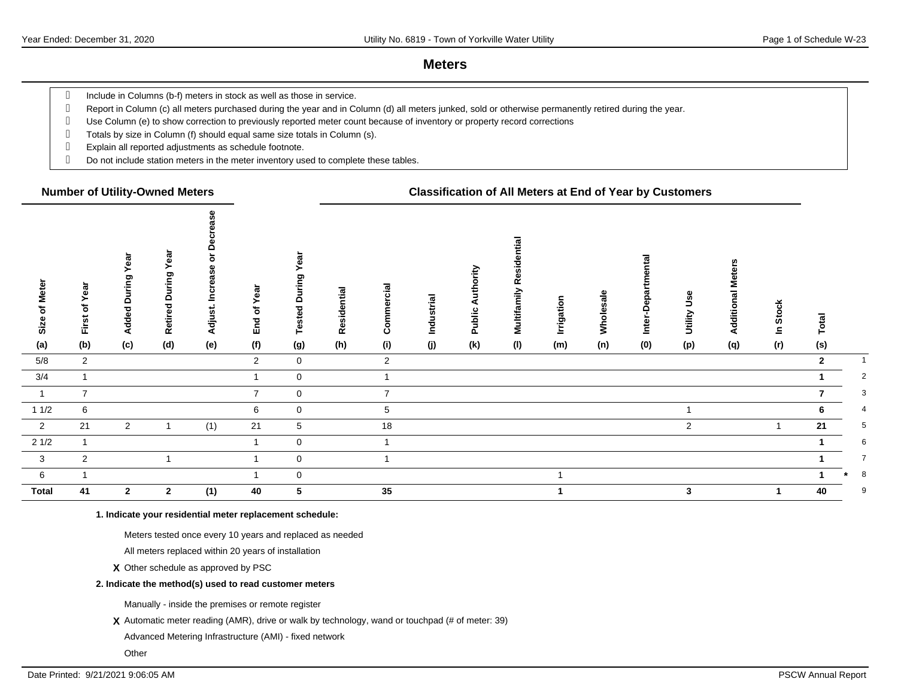#### **Meters**

g Include in Columns (b-f) meters in stock as well as those in service.

Report in Column (c) all meters purchased during the year and in Column (d) all meters junked, sold or otherwise permanently retired during the year.

- Use Column (e) to show correction to previously reported meter count because of inventory or property record corrections
- Totals by size in Column (f) should equal same size totals in Column (s).
- Explain all reported adjustments as schedule footnote.
- Do not include station meters in the meter inventory used to complete these tables.

#### **Number of Utility-Owned Meters Classification of All Meters at End of Year by Customers**

| Size of Meter<br>(a)    | First of Year<br>(b) | Year<br>During<br>Added<br>(c) | ear<br>≻<br>ring<br>∍<br>$\circ$<br><b>Retired</b><br>(d) | ≏<br>o<br>Φ<br>reas<br>ပ<br>Adjust.<br>(e) | Year<br>৳<br>End<br>(f) | នា<br>ဥ<br>ţ<br>$\circ$<br><b>Tested</b><br>(g) | Residential<br>(h) | Commercial<br>(i) | Industrial<br>(j) | ority<br>$\frac{1}{2}$<br>⋖<br>Public<br>(k) | tial<br>$\overline{\mathbf{a}}$<br>Multifamily Resid<br>(1) | Irrigation<br>(m) | Wholesale<br>(n) | ℼ<br>န္မ<br>Inter-D<br>(0) | وءِن<br>Utility<br>(p) | <b>Meters</b><br>Additional<br>(q) | <b>Stock</b><br>으<br>(r) | Total<br>(s)   |                |
|-------------------------|----------------------|--------------------------------|-----------------------------------------------------------|--------------------------------------------|-------------------------|-------------------------------------------------|--------------------|-------------------|-------------------|----------------------------------------------|-------------------------------------------------------------|-------------------|------------------|----------------------------|------------------------|------------------------------------|--------------------------|----------------|----------------|
| 5/8                     | $\overline{2}$       |                                |                                                           |                                            | $\overline{2}$          | $\mathbf 0$                                     |                    | 2                 |                   |                                              |                                                             |                   |                  |                            |                        |                                    |                          | $\overline{2}$ | $\mathbf{1}$   |
|                         |                      |                                |                                                           |                                            |                         |                                                 |                    |                   |                   |                                              |                                                             |                   |                  |                            |                        |                                    |                          |                |                |
| 3/4                     | $\mathbf{1}$         |                                |                                                           |                                            |                         | $\mathbf 0$                                     |                    | $\overline{1}$    |                   |                                              |                                                             |                   |                  |                            |                        |                                    |                          |                | $\overline{2}$ |
| $\mathbf{1}$            | $\overline{7}$       |                                |                                                           |                                            | $\overline{7}$          | $\mathbf 0$                                     |                    | $\overline{7}$    |                   |                                              |                                                             |                   |                  |                            |                        |                                    |                          |                | 3              |
| 11/2                    | 6                    |                                |                                                           |                                            | 6                       | $\mathbf 0$                                     |                    | 5                 |                   |                                              |                                                             |                   |                  |                            |                        |                                    |                          | 6              | $\overline{4}$ |
| $\overline{2}$          | 21                   | $\overline{2}$                 | 1                                                         | (1)                                        | 21                      | $5\phantom{.0}$                                 |                    | $18$              |                   |                                              |                                                             |                   |                  |                            | $\overline{2}$         |                                    |                          | 21             | 5              |
| $21/2$                  | $\mathbf{1}$         |                                |                                                           |                                            |                         | $\mathbf 0$                                     |                    |                   |                   |                                              |                                                             |                   |                  |                            |                        |                                    |                          |                | 6              |
| $\overline{\mathbf{3}}$ | $\overline{2}$       |                                |                                                           |                                            |                         | $\mathbf 0$                                     |                    |                   |                   |                                              |                                                             |                   |                  |                            |                        |                                    |                          |                | $\overline{7}$ |
| $6\overline{6}$         | $\overline{1}$       |                                |                                                           |                                            |                         | $\mathbf 0$                                     |                    |                   |                   |                                              |                                                             | $\mathbf{1}$      |                  |                            |                        |                                    |                          |                | 8              |
| <b>Total</b>            | 41                   | $\overline{2}$                 | $\mathbf{2}$                                              | (1)                                        | 40                      | 5                                               |                    | 35                |                   |                                              |                                                             |                   |                  |                            | 3                      |                                    |                          | 40             | 9              |

**1. Indicate your residential meter replacement schedule:**

Meters tested once every 10 years and replaced as needed

All meters replaced within 20 years of installation

**X** Other schedule as approved by PSC

#### **2. Indicate the method(s) used to read customer meters**

Manually - inside the premises or remote register

**X** Automatic meter reading (AMR), drive or walk by technology, wand or touchpad (# of meter: 39)

Advanced Metering Infrastructure (AMI) - fixed network

**Other**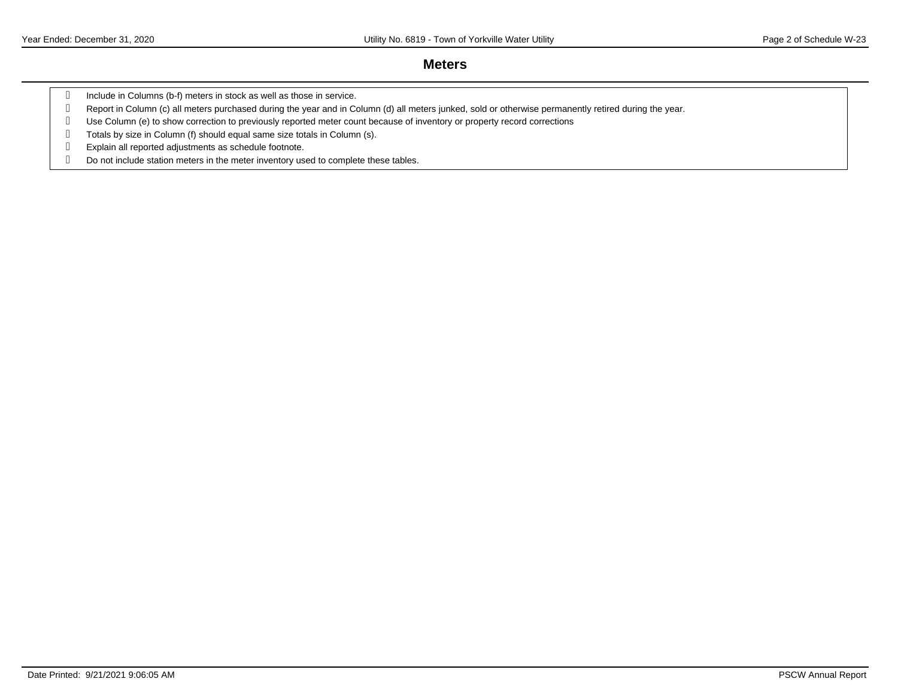#### **Meters**

- g Include in Columns (b-f) meters in stock as well as those in service.
- Report in Column (c) all meters purchased during the year and in Column (d) all meters junked, sold or otherwise permanently retired during the year.
- Use Column (e) to show correction to previously reported meter count because of inventory or property record corrections
- Totals by size in Column (f) should equal same size totals in Column (s).
- Explain all reported adjustments as schedule footnote.
- Do not include station meters in the meter inventory used to complete these tables.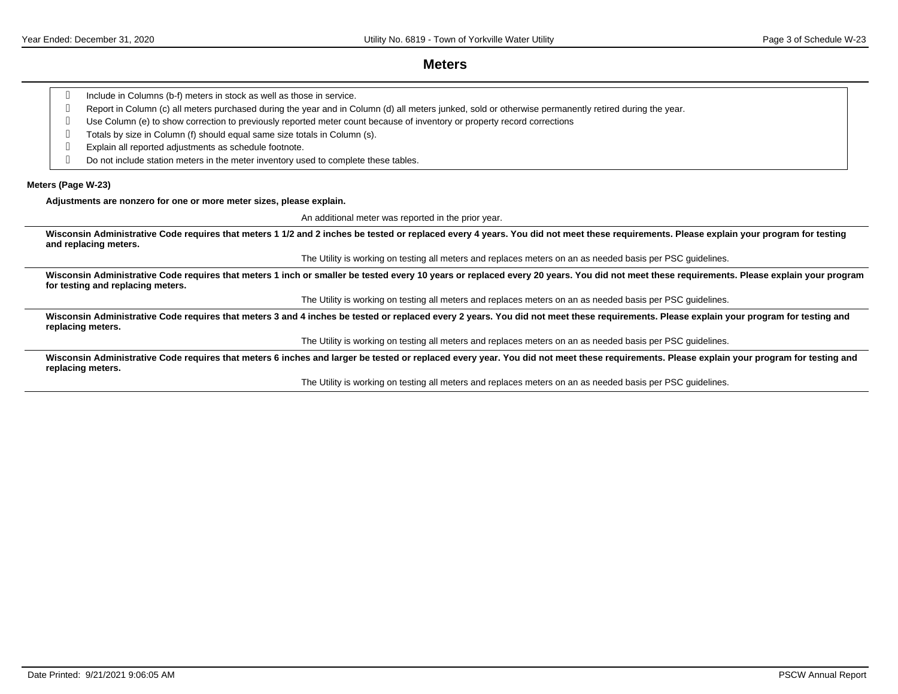$\overline{\phantom{a}}$ 

#### **Meters**

| Include in Columns (b-f) meters in stock as well as those in service.<br>q                                                                                                                                                      |
|---------------------------------------------------------------------------------------------------------------------------------------------------------------------------------------------------------------------------------|
| Report in Column (c) all meters purchased during the year and in Column (d) all meters junked, sold or otherwise permanently retired during the year.<br>q                                                                      |
| Use Column (e) to show correction to previously reported meter count because of inventory or property record corrections<br>q                                                                                                   |
| Totals by size in Column (f) should equal same size totals in Column (s).<br>q                                                                                                                                                  |
| Explain all reported adjustments as schedule footnote.<br>q                                                                                                                                                                     |
| Do not include station meters in the meter inventory used to complete these tables.<br>q                                                                                                                                        |
| Meters (Page W-23)                                                                                                                                                                                                              |
| Adjustments are nonzero for one or more meter sizes, please explain.                                                                                                                                                            |
| An additional meter was reported in the prior year.                                                                                                                                                                             |
| Wisconsin Administrative Code requires that meters 1 1/2 and 2 inches be tested or replaced every 4 years. You did not meet these requirements. Please explain your program for testing<br>and replacing meters.                |
| The Utility is working on testing all meters and replaces meters on an as needed basis per PSC guidelines.                                                                                                                      |
| Wisconsin Administrative Code requires that meters 1 inch or smaller be tested every 10 years or replaced every 20 years. You did not meet these requirements. Please explain your program<br>for testing and replacing meters. |
| The Utility is working on testing all meters and replaces meters on an as needed basis per PSC guidelines.                                                                                                                      |
| Wisconsin Administrative Code requires that meters 3 and 4 inches be tested or replaced every 2 years. You did not meet these requirements. Please explain your program for testing and<br>replacing meters.                    |
| The Utility is working on testing all meters and replaces meters on an as needed basis per PSC guidelines.                                                                                                                      |
| Wisconsin Administrative Code requires that meters 6 inches and larger be tested or replaced every year. You did not meet these requirements. Please explain your program for testing and<br>replacing meters.                  |
| The Utility is working on testing all meters and replaces meters on an as needed basis per PSC guidelines.                                                                                                                      |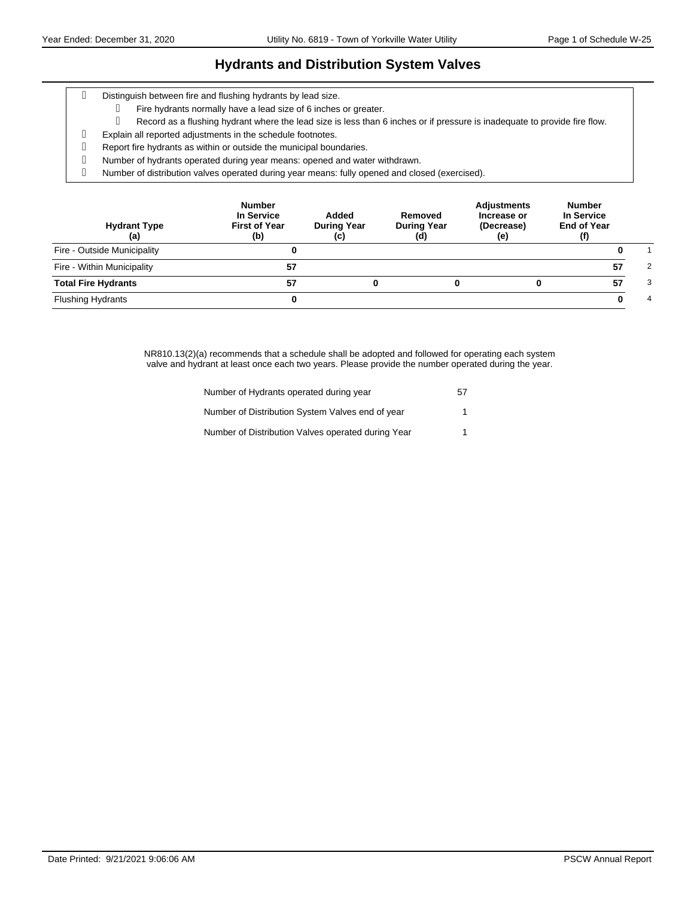### **Hydrants and Distribution System Valves**

- Distinguish between fire and flushing hydrants by lead size.
	- Fire hydrants normally have a lead size of 6 inches or greater.
		- Record as a flushing hydrant where the lead size is less than 6 inches or if pressure is inadequate to provide fire flow.
- Explain all reported adjustments in the schedule footnotes.
- Report fire hydrants as within or outside the municipal boundaries.
- Number of hydrants operated during year means: opened and water withdrawn.
- Number of distribution valves operated during year means: fully opened and closed (exercised).

| <b>Hydrant Type</b><br>(a)  | <b>Number</b><br>In Service<br><b>First of Year</b><br>(b) | Added<br><b>During Year</b><br>(c) | Removed<br><b>During Year</b><br>(d) | <b>Adjustments</b><br>Increase or<br>(Decrease)<br>(e) | <b>Number</b><br>In Service<br><b>End of Year</b> |   |
|-----------------------------|------------------------------------------------------------|------------------------------------|--------------------------------------|--------------------------------------------------------|---------------------------------------------------|---|
| Fire - Outside Municipality |                                                            |                                    |                                      |                                                        |                                                   |   |
| Fire - Within Municipality  | 57                                                         |                                    |                                      |                                                        | 57                                                | 2 |
| <b>Total Fire Hydrants</b>  | 57                                                         |                                    |                                      |                                                        | 57                                                | 3 |
| <b>Flushing Hydrants</b>    |                                                            |                                    |                                      |                                                        |                                                   | 4 |

NR810.13(2)(a) recommends that a schedule shall be adopted and followed for operating each system valve and hydrant at least once each two years. Please provide the number operated during the year.

| Number of Hydrants operated during year            | 57 |
|----------------------------------------------------|----|
| Number of Distribution System Valves end of year   |    |
| Number of Distribution Valves operated during Year |    |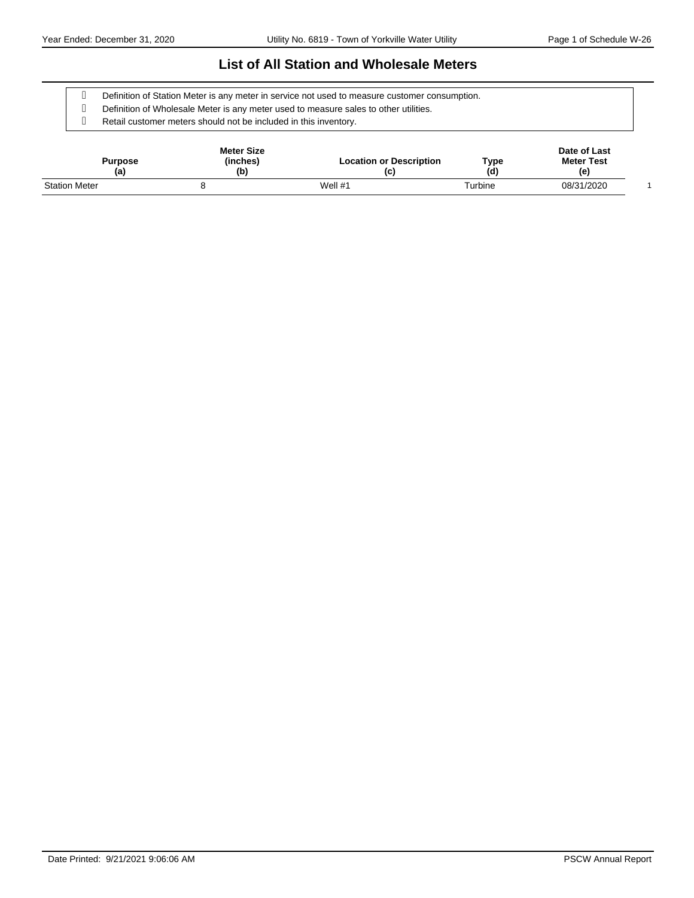#### **List of All Station and Wholesale Meters**

Definition of Station Meter is any meter in service not used to measure customer consumption.

Definition of Wholesale Meter is any meter used to measure sales to other utilities.

Retail customer meters should not be included in this inventory.

| Purpose<br>(a)       | <b>Meter Size</b><br>(inches)<br>(b) |           | Type<br>(d) | Date of Last<br><b>Meter Test</b><br>(e) |  |
|----------------------|--------------------------------------|-----------|-------------|------------------------------------------|--|
| <b>Station Meter</b> |                                      | Well $#1$ | Turbine     | 08/31/2020                               |  |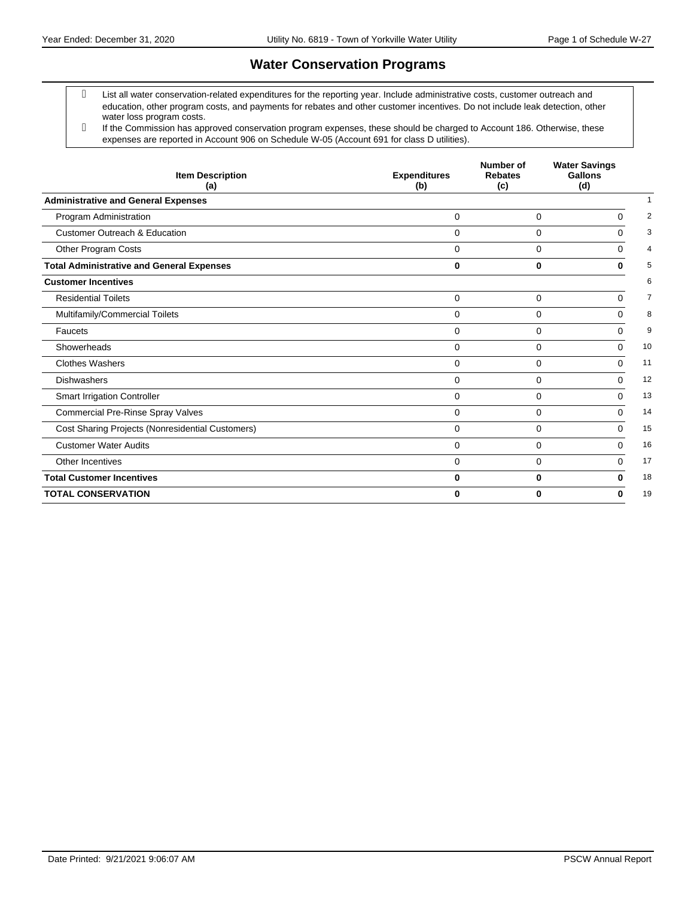# **Water Conservation Programs**

- List all water conservation-related expenditures for the reporting year. Include administrative costs, customer outreach and education, other program costs, and payments for rebates and other customer incentives. Do not include leak detection, other water loss program costs.
- If the Commission has approved conservation program expenses, these should be charged to Account 186. Otherwise, these expenses are reported in Account 906 on Schedule W-05 (Account 691 for class D utilities).

| <b>Item Description</b><br>(a)                   | <b>Expenditures</b><br>(b) | Number of<br><b>Rebates</b><br>(c) | <b>Water Savings</b><br>Gallons<br>(d) |    |  |
|--------------------------------------------------|----------------------------|------------------------------------|----------------------------------------|----|--|
| <b>Administrative and General Expenses</b>       |                            |                                    |                                        |    |  |
| Program Administration                           | $\mathbf 0$                | $\mathbf 0$                        | $\Omega$                               | 2  |  |
| <b>Customer Outreach &amp; Education</b>         | $\Omega$                   | $\mathbf 0$                        | $\Omega$                               | 3  |  |
| Other Program Costs                              | $\Omega$                   | $\Omega$                           | $\Omega$                               | 4  |  |
| <b>Total Administrative and General Expenses</b> | $\bf{0}$                   | $\bf{0}$                           | O                                      | 5  |  |
| <b>Customer Incentives</b>                       |                            |                                    |                                        | 6  |  |
| <b>Residential Toilets</b>                       | $\Omega$                   | 0                                  | $\Omega$                               | 7  |  |
| Multifamily/Commercial Toilets                   | $\mathbf 0$                | $\mathbf 0$                        | 0                                      | 8  |  |
| Faucets                                          | $\Omega$                   | $\Omega$                           | $\Omega$                               | 9  |  |
| Showerheads                                      | $\Omega$                   | $\Omega$                           | $\Omega$                               | 10 |  |
| <b>Clothes Washers</b>                           | $\Omega$                   | $\Omega$                           | $\Omega$                               | 11 |  |
| Dishwashers                                      | $\Omega$                   | $\Omega$                           | $\Omega$                               | 12 |  |
| <b>Smart Irrigation Controller</b>               | 0                          | $\mathbf 0$                        | $\Omega$                               | 13 |  |
| <b>Commercial Pre-Rinse Spray Valves</b>         | $\Omega$                   | $\Omega$                           | $\Omega$                               | 14 |  |
| Cost Sharing Projects (Nonresidential Customers) | $\Omega$                   | $\mathbf 0$                        | $\Omega$                               | 15 |  |
| <b>Customer Water Audits</b>                     | $\Omega$                   | 0                                  | $\Omega$                               | 16 |  |
| Other Incentives                                 | $\Omega$                   | $\Omega$                           | $\Omega$                               | 17 |  |
| <b>Total Customer Incentives</b>                 | $\bf{0}$                   | 0                                  | 0                                      | 18 |  |
| <b>TOTAL CONSERVATION</b>                        | 0                          | $\bf{0}$                           | 0                                      | 19 |  |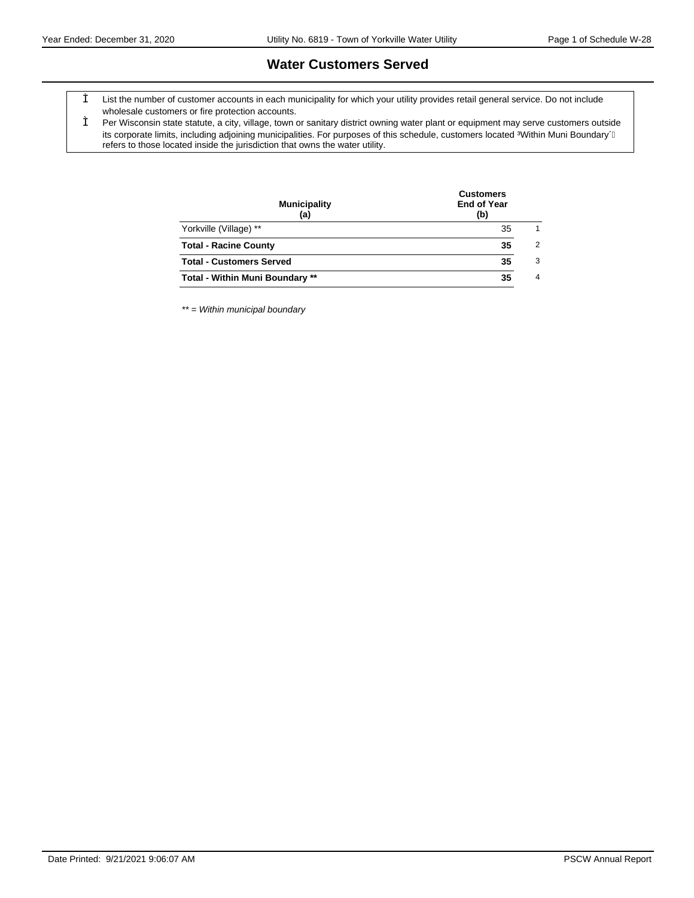#### **Water Customers Served**

- List the number of customer accounts in each municipality for which your utility provides retail general service. Do not include wholesale customers or fire protection accounts.
- Per Wisconsin state statute, a city, village, town or sanitary district owning water plant or equipment may serve customers outside its corporate limits, including adjoining municipalities. For purposes of this schedule, customers located %Within Muni Boundary $\acute{+}$ refers to those located inside the jurisdiction that owns the water utility.

| <b>Municipality</b><br>(a)             | <b>Customers</b><br><b>End of Year</b><br>(b) |                |  |  |  |
|----------------------------------------|-----------------------------------------------|----------------|--|--|--|
| Yorkville (Village) **                 | 35                                            | 1              |  |  |  |
| <b>Total - Racine County</b>           | 35                                            | $\overline{2}$ |  |  |  |
| <b>Total - Customers Served</b>        | 35                                            | 3              |  |  |  |
| <b>Total - Within Muni Boundary **</b> | 35                                            | $\overline{4}$ |  |  |  |
|                                        |                                               |                |  |  |  |

\*\* = Within municipal boundary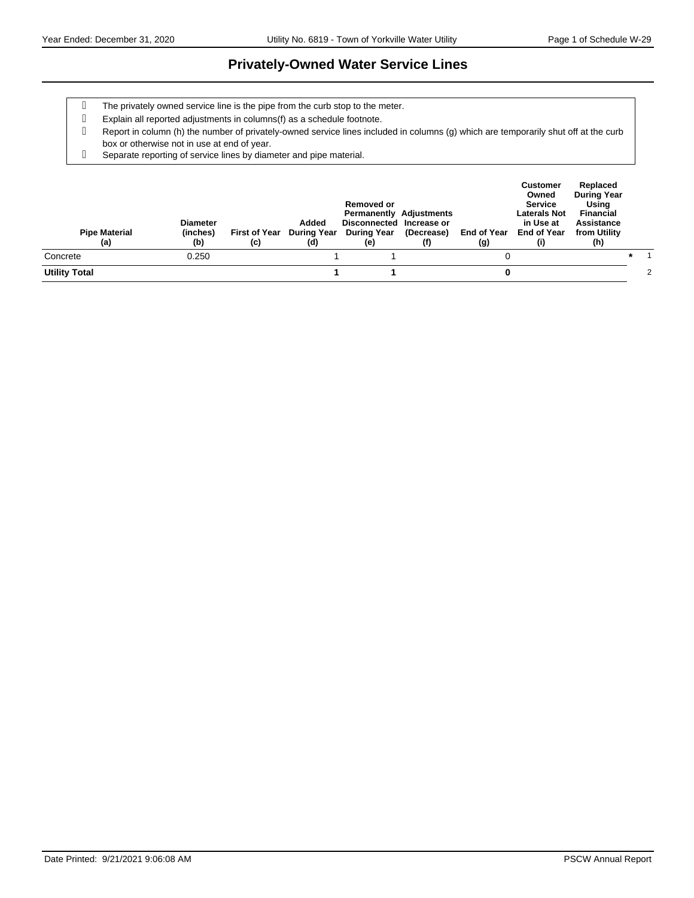#### **Privately-Owned Water Service Lines**

- The privately owned service line is the pipe from the curb stop to the meter.
- Explain all reported adjustments in columns(f) as a schedule footnote.
- Report in column (h) the number of privately-owned service lines included in columns (g) which are temporarily shut off at the curb box or otherwise not in use at end of year.
- Separate reporting of service lines by diameter and pipe material.

| <b>Pipe Material</b><br>(a) | <b>Diameter</b><br>(inches)<br>(b) | (c) | Added<br>First of Year During Year<br>(d) | Removed or<br><b>Permanently Adjustments</b><br>Disconnected Increase or<br>During Year<br>(e) | (Decrease)<br>(f) | End of Year<br>(g) | <b>Customer</b><br>Owned<br><b>Service</b><br>Laterals Not<br>in Use at<br>End of Year | Replaced<br><b>During Year</b><br>Usina<br><b>Financial</b><br>Assistance<br>from Utility<br>(h) |  |
|-----------------------------|------------------------------------|-----|-------------------------------------------|------------------------------------------------------------------------------------------------|-------------------|--------------------|----------------------------------------------------------------------------------------|--------------------------------------------------------------------------------------------------|--|
| Concrete                    | 0.250                              |     |                                           |                                                                                                |                   |                    |                                                                                        |                                                                                                  |  |
| <b>Utility Total</b>        |                                    |     |                                           |                                                                                                |                   |                    |                                                                                        |                                                                                                  |  |